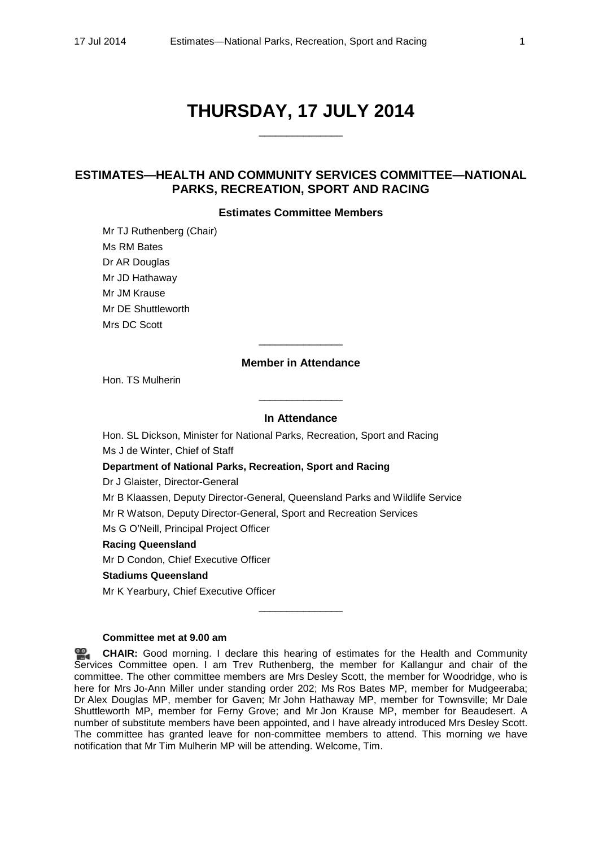# **THURSDAY, 17 JULY 2014**

\_\_\_\_\_\_\_\_\_\_\_\_\_\_\_

# **ESTIMATES—HEALTH AND COMMUNITY SERVICES COMMITTEE—NATIONAL PARKS, RECREATION, SPORT AND RACING**

## **Estimates Committee Members**

Mr TJ Ruthenberg (Chair) Ms RM Bates Dr AR Douglas Mr JD Hathaway Mr JM Krause Mr DE Shuttleworth Mrs DC Scott

## **Member in Attendance**

\_\_\_\_\_\_\_\_\_\_\_\_\_\_\_

Hon. TS Mulherin

## **In Attendance**

\_\_\_\_\_\_\_\_\_\_\_\_\_\_\_

Hon. SL Dickson, Minister for National Parks, Recreation, Sport and Racing Ms J de Winter, Chief of Staff

**Department of National Parks, Recreation, Sport and Racing**

Dr J Glaister, Director-General

Mr B Klaassen, Deputy Director-General, Queensland Parks and Wildlife Service

Mr R Watson, Deputy Director-General, Sport and Recreation Services

Ms G O'Neill, Principal Project Officer

## **Racing Queensland**

Mr D Condon, Chief Executive Officer

#### **Stadiums Queensland**

Mr K Yearbury, Chief Executive Officer

#### **Committee met at 9.00 am**

**[CHAIR:](http://www.parliament.qld.gov.au/docs/find.aspx?id=0MbaHCSC20140717_085954)** Good morning. I declare this hearing of estimates for the Health and Community Services Committee open. I am Trev Ruthenberg, the member for Kallangur and chair of the committee. The other committee members are Mrs Desley Scott, the member for Woodridge, who is here for Mrs Jo-Ann Miller under standing order 202; Ms Ros Bates MP, member for Mudgeeraba; Dr Alex Douglas MP, member for Gaven; Mr John Hathaway MP, member for Townsville; Mr Dale Shuttleworth MP, member for Ferny Grove; and Mr Jon Krause MP, member for Beaudesert. A number of substitute members have been appointed, and I have already introduced Mrs Desley Scott. The committee has granted leave for non-committee members to attend. This morning we have notification that Mr Tim Mulherin MP will be attending. Welcome, Tim.

 $\overline{\phantom{a}}$  , where the contract of the contract of the contract of the contract of the contract of the contract of the contract of the contract of the contract of the contract of the contract of the contract of the contr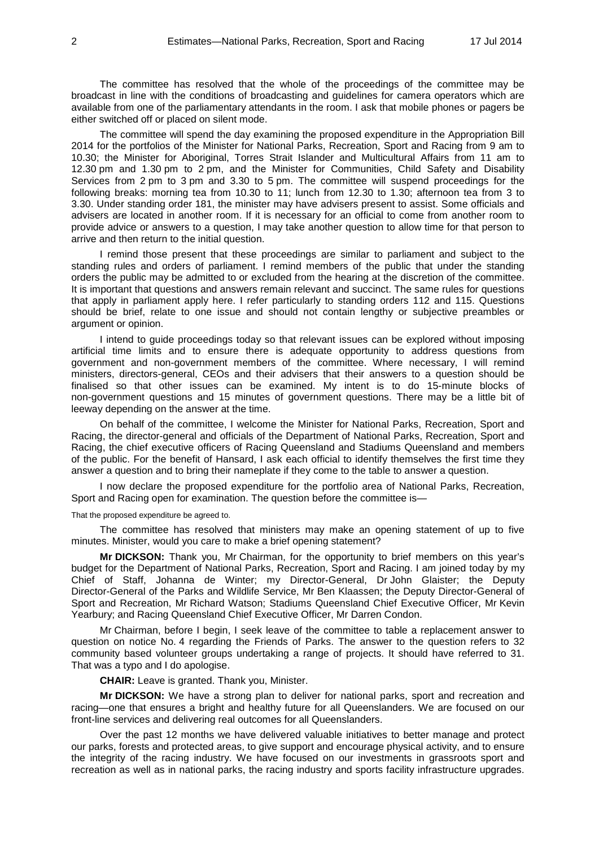The committee has resolved that the whole of the proceedings of the committee may be broadcast in line with the conditions of broadcasting and guidelines for camera operators which are available from one of the parliamentary attendants in the room. I ask that mobile phones or pagers be either switched off or placed on silent mode.

The committee will spend the day examining the proposed expenditure in the Appropriation Bill 2014 for the portfolios of the Minister for National Parks, Recreation, Sport and Racing from 9 am to 10.30; the Minister for Aboriginal, Torres Strait Islander and Multicultural Affairs from 11 am to 12.30 pm and 1.30 pm to 2 pm, and the Minister for Communities, Child Safety and Disability Services from 2 pm to 3 pm and 3.30 to 5 pm. The committee will suspend proceedings for the following breaks: morning tea from 10.30 to 11; lunch from 12.30 to 1.30; afternoon tea from 3 to 3.30. Under standing order 181, the minister may have advisers present to assist. Some officials and advisers are located in another room. If it is necessary for an official to come from another room to provide advice or answers to a question, I may take another question to allow time for that person to arrive and then return to the initial question.

I remind those present that these proceedings are similar to parliament and subject to the standing rules and orders of parliament. I remind members of the public that under the standing orders the public may be admitted to or excluded from the hearing at the discretion of the committee. It is important that questions and answers remain relevant and succinct. The same rules for questions that apply in parliament apply here. I refer particularly to standing orders 112 and 115. Questions should be brief, relate to one issue and should not contain lengthy or subjective preambles or argument or opinion.

I intend to guide proceedings today so that relevant issues can be explored without imposing artificial time limits and to ensure there is adequate opportunity to address questions from government and non-government members of the committee. Where necessary, I will remind ministers, directors-general, CEOs and their advisers that their answers to a question should be finalised so that other issues can be examined. My intent is to do 15-minute blocks of non-government questions and 15 minutes of government questions. There may be a little bit of leeway depending on the answer at the time.

On behalf of the committee, I welcome the Minister for National Parks, Recreation, Sport and Racing, the director-general and officials of the Department of National Parks, Recreation, Sport and Racing, the chief executive officers of Racing Queensland and Stadiums Queensland and members of the public. For the benefit of Hansard, I ask each official to identify themselves the first time they answer a question and to bring their nameplate if they come to the table to answer a question.

I now declare the proposed expenditure for the portfolio area of National Parks, Recreation, Sport and Racing open for examination. The question before the committee is—

#### That the proposed expenditure be agreed to.

The committee has resolved that ministers may make an opening statement of up to five minutes. Minister, would you care to make a brief opening statement?

**Mr DICKSON:** Thank you, Mr Chairman, for the opportunity to brief members on this year's budget for the Department of National Parks, Recreation, Sport and Racing. I am joined today by my Chief of Staff, Johanna de Winter; my Director-General, Dr John Glaister; the Deputy Director-General of the Parks and Wildlife Service, Mr Ben Klaassen; the Deputy Director-General of Sport and Recreation, Mr Richard Watson; Stadiums Queensland Chief Executive Officer, Mr Kevin Yearbury; and Racing Queensland Chief Executive Officer, Mr Darren Condon.

Mr Chairman, before I begin, I seek leave of the committee to table a replacement answer to question on notice No. 4 regarding the Friends of Parks. The answer to the question refers to 32 community based volunteer groups undertaking a range of projects. It should have referred to 31. That was a typo and I do apologise.

**CHAIR:** Leave is granted. Thank you, Minister.

**Mr DICKSON:** We have a strong plan to deliver for national parks, sport and recreation and racing—one that ensures a bright and healthy future for all Queenslanders. We are focused on our front-line services and delivering real outcomes for all Queenslanders.

Over the past 12 months we have delivered valuable initiatives to better manage and protect our parks, forests and protected areas, to give support and encourage physical activity, and to ensure the integrity of the racing industry. We have focused on our investments in grassroots sport and recreation as well as in national parks, the racing industry and sports facility infrastructure upgrades.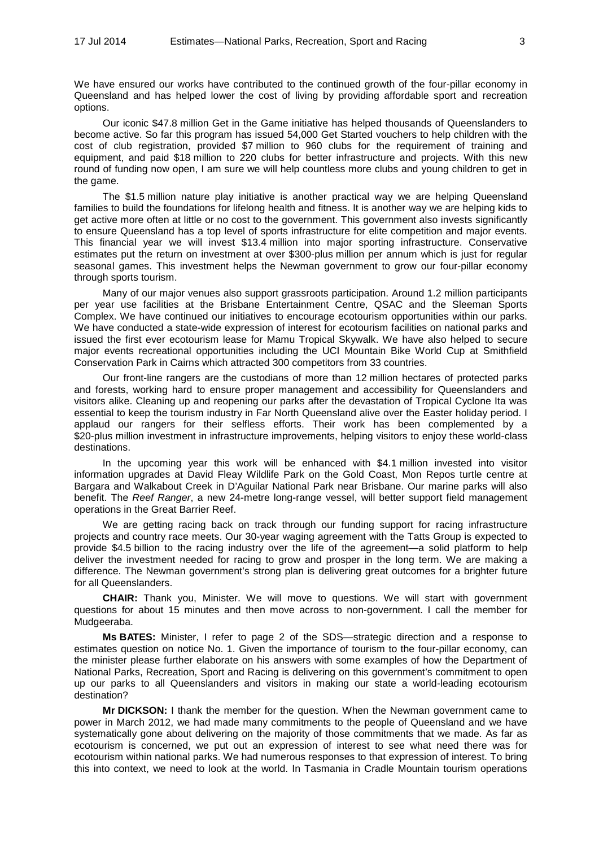We have ensured our works have contributed to the continued growth of the four-pillar economy in Queensland and has helped lower the cost of living by providing affordable sport and recreation options.

Our iconic \$47.8 million Get in the Game initiative has helped thousands of Queenslanders to become active. So far this program has issued 54,000 Get Started vouchers to help children with the cost of club registration, provided \$7 million to 960 clubs for the requirement of training and equipment, and paid \$18 million to 220 clubs for better infrastructure and projects. With this new round of funding now open, I am sure we will help countless more clubs and young children to get in the game.

The \$1.5 million nature play initiative is another practical way we are helping Queensland families to build the foundations for lifelong health and fitness. It is another way we are helping kids to get active more often at little or no cost to the government. This government also invests significantly to ensure Queensland has a top level of sports infrastructure for elite competition and major events. This financial year we will invest \$13.4 million into major sporting infrastructure. Conservative estimates put the return on investment at over \$300-plus million per annum which is just for regular seasonal games. This investment helps the Newman government to grow our four-pillar economy through sports tourism.

Many of our major venues also support grassroots participation. Around 1.2 million participants per year use facilities at the Brisbane Entertainment Centre, QSAC and the Sleeman Sports Complex. We have continued our initiatives to encourage ecotourism opportunities within our parks. We have conducted a state-wide expression of interest for ecotourism facilities on national parks and issued the first ever ecotourism lease for Mamu Tropical Skywalk. We have also helped to secure major events recreational opportunities including the UCI Mountain Bike World Cup at Smithfield Conservation Park in Cairns which attracted 300 competitors from 33 countries.

Our front-line rangers are the custodians of more than 12 million hectares of protected parks and forests, working hard to ensure proper management and accessibility for Queenslanders and visitors alike. Cleaning up and reopening our parks after the devastation of Tropical Cyclone Ita was essential to keep the tourism industry in Far North Queensland alive over the Easter holiday period. I applaud our rangers for their selfless efforts. Their work has been complemented by a \$20-plus million investment in infrastructure improvements, helping visitors to enjoy these world-class destinations.

In the upcoming year this work will be enhanced with \$4.1 million invested into visitor information upgrades at David Fleay Wildlife Park on the Gold Coast, Mon Repos turtle centre at Bargara and Walkabout Creek in D'Aguilar National Park near Brisbane. Our marine parks will also benefit. The *Reef Ranger*, a new 24-metre long-range vessel, will better support field management operations in the Great Barrier Reef.

We are getting racing back on track through our funding support for racing infrastructure projects and country race meets. Our 30-year waging agreement with the Tatts Group is expected to provide \$4.5 billion to the racing industry over the life of the agreement—a solid platform to help deliver the investment needed for racing to grow and prosper in the long term. We are making a difference. The Newman government's strong plan is delivering great outcomes for a brighter future for all Queenslanders.

**CHAIR:** Thank you, Minister. We will move to questions. We will start with government questions for about 15 minutes and then move across to non-government. I call the member for Mudgeeraba.

**Ms BATES:** Minister, I refer to page 2 of the SDS—strategic direction and a response to estimates question on notice No. 1. Given the importance of tourism to the four-pillar economy, can the minister please further elaborate on his answers with some examples of how the Department of National Parks, Recreation, Sport and Racing is delivering on this government's commitment to open up our parks to all Queenslanders and visitors in making our state a world-leading ecotourism destination?

**Mr DICKSON:** I thank the member for the question. When the Newman government came to power in March 2012, we had made many commitments to the people of Queensland and we have systematically gone about delivering on the majority of those commitments that we made. As far as ecotourism is concerned, we put out an expression of interest to see what need there was for ecotourism within national parks. We had numerous responses to that expression of interest. To bring this into context, we need to look at the world. In Tasmania in Cradle Mountain tourism operations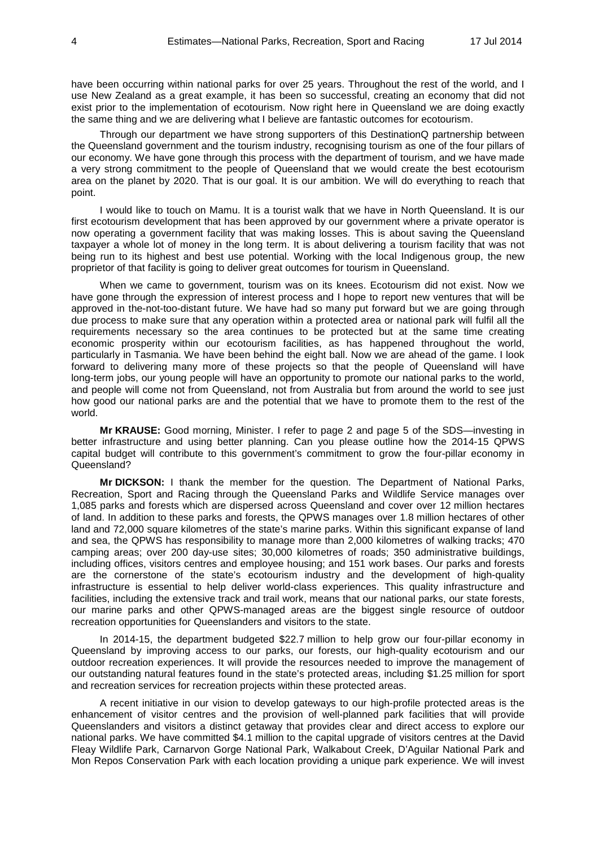have been occurring within national parks for over 25 years. Throughout the rest of the world, and I use New Zealand as a great example, it has been so successful, creating an economy that did not exist prior to the implementation of ecotourism. Now right here in Queensland we are doing exactly the same thing and we are delivering what I believe are fantastic outcomes for ecotourism.

Through our department we have strong supporters of this DestinationQ partnership between the Queensland government and the tourism industry, recognising tourism as one of the four pillars of our economy. We have gone through this process with the department of tourism, and we have made a very strong commitment to the people of Queensland that we would create the best ecotourism area on the planet by 2020. That is our goal. It is our ambition. We will do everything to reach that point.

I would like to touch on Mamu. It is a tourist walk that we have in North Queensland. It is our first ecotourism development that has been approved by our government where a private operator is now operating a government facility that was making losses. This is about saving the Queensland taxpayer a whole lot of money in the long term. It is about delivering a tourism facility that was not being run to its highest and best use potential. Working with the local Indigenous group, the new proprietor of that facility is going to deliver great outcomes for tourism in Queensland.

When we came to government, tourism was on its knees. Ecotourism did not exist. Now we have gone through the expression of interest process and I hope to report new ventures that will be approved in the-not-too-distant future. We have had so many put forward but we are going through due process to make sure that any operation within a protected area or national park will fulfil all the requirements necessary so the area continues to be protected but at the same time creating economic prosperity within our ecotourism facilities, as has happened throughout the world, particularly in Tasmania. We have been behind the eight ball. Now we are ahead of the game. I look forward to delivering many more of these projects so that the people of Queensland will have long-term jobs, our young people will have an opportunity to promote our national parks to the world, and people will come not from Queensland, not from Australia but from around the world to see just how good our national parks are and the potential that we have to promote them to the rest of the world.

**Mr KRAUSE:** Good morning, Minister. I refer to page 2 and page 5 of the SDS—investing in better infrastructure and using better planning. Can you please outline how the 2014-15 QPWS capital budget will contribute to this government's commitment to grow the four-pillar economy in Queensland?

**Mr DICKSON:** I thank the member for the question. The Department of National Parks, Recreation, Sport and Racing through the Queensland Parks and Wildlife Service manages over 1,085 parks and forests which are dispersed across Queensland and cover over 12 million hectares of land. In addition to these parks and forests, the QPWS manages over 1.8 million hectares of other land and 72,000 square kilometres of the state's marine parks. Within this significant expanse of land and sea, the QPWS has responsibility to manage more than 2,000 kilometres of walking tracks; 470 camping areas; over 200 day-use sites; 30,000 kilometres of roads; 350 administrative buildings, including offices, visitors centres and employee housing; and 151 work bases. Our parks and forests are the cornerstone of the state's ecotourism industry and the development of high-quality infrastructure is essential to help deliver world-class experiences. This quality infrastructure and facilities, including the extensive track and trail work, means that our national parks, our state forests, our marine parks and other QPWS-managed areas are the biggest single resource of outdoor recreation opportunities for Queenslanders and visitors to the state.

In 2014-15, the department budgeted \$22.7 million to help grow our four-pillar economy in Queensland by improving access to our parks, our forests, our high-quality ecotourism and our outdoor recreation experiences. It will provide the resources needed to improve the management of our outstanding natural features found in the state's protected areas, including \$1.25 million for sport and recreation services for recreation projects within these protected areas.

A recent initiative in our vision to develop gateways to our high-profile protected areas is the enhancement of visitor centres and the provision of well-planned park facilities that will provide Queenslanders and visitors a distinct getaway that provides clear and direct access to explore our national parks. We have committed \$4.1 million to the capital upgrade of visitors centres at the David Fleay Wildlife Park, Carnarvon Gorge National Park, Walkabout Creek, D'Aguilar National Park and Mon Repos Conservation Park with each location providing a unique park experience. We will invest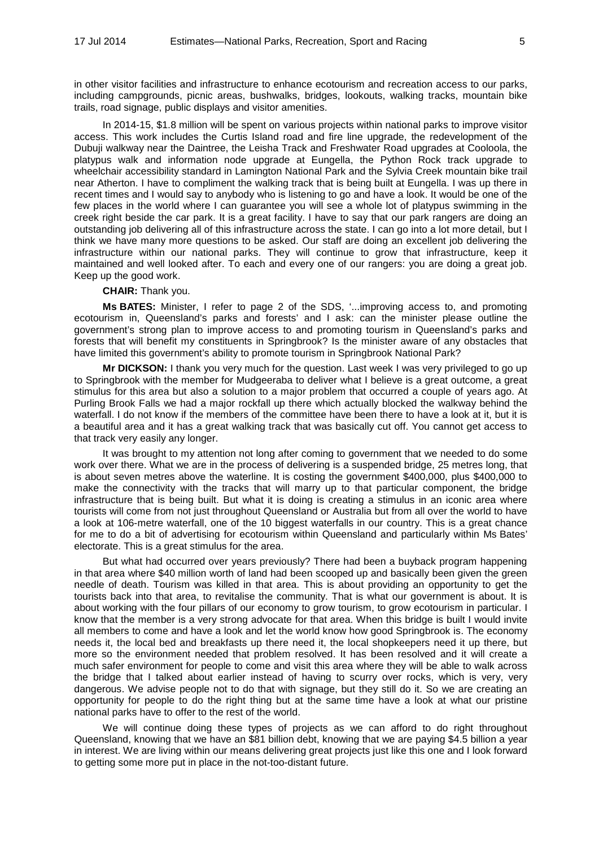in other visitor facilities and infrastructure to enhance ecotourism and recreation access to our parks, including campgrounds, picnic areas, bushwalks, bridges, lookouts, walking tracks, mountain bike trails, road signage, public displays and visitor amenities.

In 2014-15, \$1.8 million will be spent on various projects within national parks to improve visitor access. This work includes the Curtis Island road and fire line upgrade, the redevelopment of the Dubuji walkway near the Daintree, the Leisha Track and Freshwater Road upgrades at Cooloola, the platypus walk and information node upgrade at Eungella, the Python Rock track upgrade to wheelchair accessibility standard in Lamington National Park and the Sylvia Creek mountain bike trail near Atherton. I have to compliment the walking track that is being built at Eungella. I was up there in recent times and I would say to anybody who is listening to go and have a look. It would be one of the few places in the world where I can guarantee you will see a whole lot of platypus swimming in the creek right beside the car park. It is a great facility. I have to say that our park rangers are doing an outstanding job delivering all of this infrastructure across the state. I can go into a lot more detail, but I think we have many more questions to be asked. Our staff are doing an excellent job delivering the infrastructure within our national parks. They will continue to grow that infrastructure, keep it maintained and well looked after. To each and every one of our rangers: you are doing a great job. Keep up the good work.

#### **CHAIR:** Thank you.

**Ms BATES:** Minister, I refer to page 2 of the SDS, '...improving access to, and promoting ecotourism in, Queensland's parks and forests' and I ask: can the minister please outline the government's strong plan to improve access to and promoting tourism in Queensland's parks and forests that will benefit my constituents in Springbrook? Is the minister aware of any obstacles that have limited this government's ability to promote tourism in Springbrook National Park?

**Mr DICKSON:** I thank you very much for the question. Last week I was very privileged to go up to Springbrook with the member for Mudgeeraba to deliver what I believe is a great outcome, a great stimulus for this area but also a solution to a major problem that occurred a couple of years ago. At Purling Brook Falls we had a major rockfall up there which actually blocked the walkway behind the waterfall. I do not know if the members of the committee have been there to have a look at it, but it is a beautiful area and it has a great walking track that was basically cut off. You cannot get access to that track very easily any longer.

It was brought to my attention not long after coming to government that we needed to do some work over there. What we are in the process of delivering is a suspended bridge, 25 metres long, that is about seven metres above the waterline. It is costing the government \$400,000, plus \$400,000 to make the connectivity with the tracks that will marry up to that particular component, the bridge infrastructure that is being built. But what it is doing is creating a stimulus in an iconic area where tourists will come from not just throughout Queensland or Australia but from all over the world to have a look at 106-metre waterfall, one of the 10 biggest waterfalls in our country. This is a great chance for me to do a bit of advertising for ecotourism within Queensland and particularly within Ms Bates' electorate. This is a great stimulus for the area.

But what had occurred over years previously? There had been a buyback program happening in that area where \$40 million worth of land had been scooped up and basically been given the green needle of death. Tourism was killed in that area. This is about providing an opportunity to get the tourists back into that area, to revitalise the community. That is what our government is about. It is about working with the four pillars of our economy to grow tourism, to grow ecotourism in particular. I know that the member is a very strong advocate for that area. When this bridge is built I would invite all members to come and have a look and let the world know how good Springbrook is. The economy needs it, the local bed and breakfasts up there need it, the local shopkeepers need it up there, but more so the environment needed that problem resolved. It has been resolved and it will create a much safer environment for people to come and visit this area where they will be able to walk across the bridge that I talked about earlier instead of having to scurry over rocks, which is very, very dangerous. We advise people not to do that with signage, but they still do it. So we are creating an opportunity for people to do the right thing but at the same time have a look at what our pristine national parks have to offer to the rest of the world.

We will continue doing these types of projects as we can afford to do right throughout Queensland, knowing that we have an \$81 billion debt, knowing that we are paying \$4.5 billion a year in interest. We are living within our means delivering great projects just like this one and I look forward to getting some more put in place in the not-too-distant future.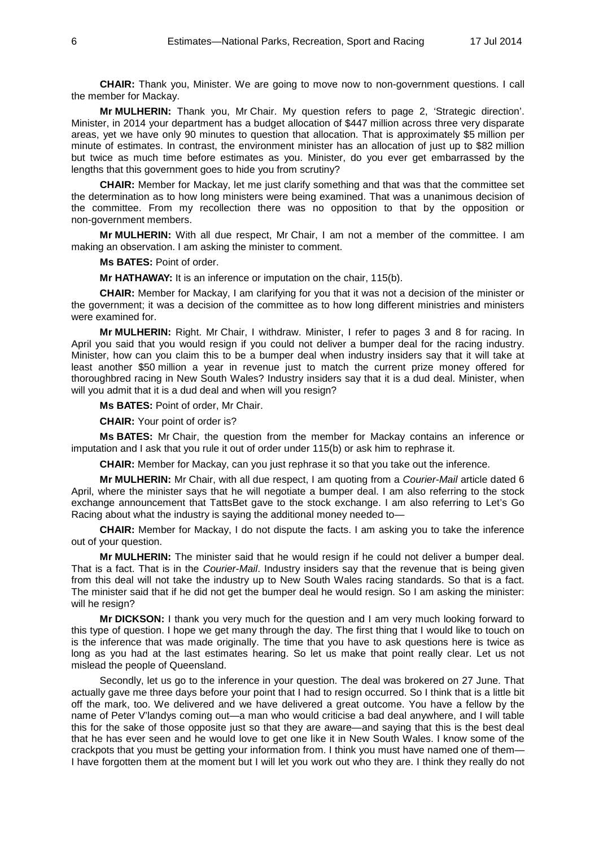**CHAIR:** Thank you, Minister. We are going to move now to non-government questions. I call the member for Mackay.

**Mr MULHERIN:** Thank you, Mr Chair. My question refers to page 2, 'Strategic direction'. Minister, in 2014 your department has a budget allocation of \$447 million across three very disparate areas, yet we have only 90 minutes to question that allocation. That is approximately \$5 million per minute of estimates. In contrast, the environment minister has an allocation of just up to \$82 million but twice as much time before estimates as you. Minister, do you ever get embarrassed by the lengths that this government goes to hide you from scrutiny?

**CHAIR:** Member for Mackay, let me just clarify something and that was that the committee set the determination as to how long ministers were being examined. That was a unanimous decision of the committee. From my recollection there was no opposition to that by the opposition or non-government members.

**Mr MULHERIN:** With all due respect, Mr Chair, I am not a member of the committee. I am making an observation. I am asking the minister to comment.

**Ms BATES:** Point of order.

**Mr HATHAWAY:** It is an inference or imputation on the chair, 115(b).

**CHAIR:** Member for Mackay, I am clarifying for you that it was not a decision of the minister or the government; it was a decision of the committee as to how long different ministries and ministers were examined for.

**Mr MULHERIN:** Right. Mr Chair, I withdraw. Minister, I refer to pages 3 and 8 for racing. In April you said that you would resign if you could not deliver a bumper deal for the racing industry. Minister, how can you claim this to be a bumper deal when industry insiders say that it will take at least another \$50 million a year in revenue just to match the current prize money offered for thoroughbred racing in New South Wales? Industry insiders say that it is a dud deal. Minister, when will you admit that it is a dud deal and when will you resign?

**Ms BATES:** Point of order, Mr Chair.

**CHAIR:** Your point of order is?

**Ms BATES:** Mr Chair, the question from the member for Mackay contains an inference or imputation and I ask that you rule it out of order under 115(b) or ask him to rephrase it.

**CHAIR:** Member for Mackay, can you just rephrase it so that you take out the inference.

**Mr MULHERIN:** Mr Chair, with all due respect, I am quoting from a *Courier-Mail* article dated 6 April, where the minister says that he will negotiate a bumper deal. I am also referring to the stock exchange announcement that TattsBet gave to the stock exchange. I am also referring to Let's Go Racing about what the industry is saying the additional money needed to—

**CHAIR:** Member for Mackay, I do not dispute the facts. I am asking you to take the inference out of your question.

**Mr MULHERIN:** The minister said that he would resign if he could not deliver a bumper deal. That is a fact. That is in the *Courier-Mail*. Industry insiders say that the revenue that is being given from this deal will not take the industry up to New South Wales racing standards. So that is a fact. The minister said that if he did not get the bumper deal he would resign. So I am asking the minister: will he resign?

**Mr DICKSON:** I thank you very much for the question and I am very much looking forward to this type of question. I hope we get many through the day. The first thing that I would like to touch on is the inference that was made originally. The time that you have to ask questions here is twice as long as you had at the last estimates hearing. So let us make that point really clear. Let us not mislead the people of Queensland.

Secondly, let us go to the inference in your question. The deal was brokered on 27 June. That actually gave me three days before your point that I had to resign occurred. So I think that is a little bit off the mark, too. We delivered and we have delivered a great outcome. You have a fellow by the name of Peter V'landys coming out—a man who would criticise a bad deal anywhere, and I will table this for the sake of those opposite just so that they are aware—and saying that this is the best deal that he has ever seen and he would love to get one like it in New South Wales. I know some of the crackpots that you must be getting your information from. I think you must have named one of them— I have forgotten them at the moment but I will let you work out who they are. I think they really do not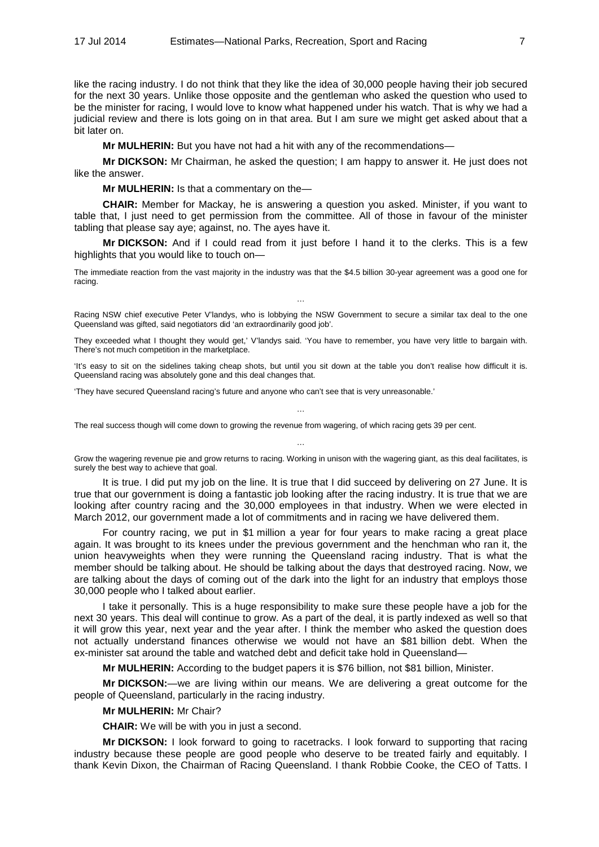like the racing industry. I do not think that they like the idea of 30,000 people having their job secured for the next 30 years. Unlike those opposite and the gentleman who asked the question who used to be the minister for racing, I would love to know what happened under his watch. That is why we had a judicial review and there is lots going on in that area. But I am sure we might get asked about that a bit later on.

**Mr MULHERIN:** But you have not had a hit with any of the recommendations—

**Mr DICKSON:** Mr Chairman, he asked the question; I am happy to answer it. He just does not like the answer.

**Mr MULHERIN:** Is that a commentary on the—

**CHAIR:** Member for Mackay, he is answering a question you asked. Minister, if you want to table that, I just need to get permission from the committee. All of those in favour of the minister tabling that please say aye; against, no. The ayes have it.

**Mr DICKSON:** And if I could read from it just before I hand it to the clerks. This is a few highlights that you would like to touch on—

The immediate reaction from the vast majority in the industry was that the \$4.5 billion 30-year agreement was a good one for racing.

Racing NSW chief executive Peter V'landys, who is lobbying the NSW Government to secure a similar tax deal to the one Queensland was gifted, said negotiators did 'an extraordinarily good job'.

…

They exceeded what I thought they would get,' V'landys said. 'You have to remember, you have very little to bargain with. There's not much competition in the marketplace.

'It's easy to sit on the sidelines taking cheap shots, but until you sit down at the table you don't realise how difficult it is. Queensland racing was absolutely gone and this deal changes that.

…

'They have secured Queensland racing's future and anyone who can't see that is very unreasonable.'

The real success though will come down to growing the revenue from wagering, of which racing gets 39 per cent.

Grow the wagering revenue pie and grow returns to racing. Working in unison with the wagering giant, as this deal facilitates, is surely the best way to achieve that goal.

…

It is true. I did put my job on the line. It is true that I did succeed by delivering on 27 June. It is true that our government is doing a fantastic job looking after the racing industry. It is true that we are looking after country racing and the 30,000 employees in that industry. When we were elected in March 2012, our government made a lot of commitments and in racing we have delivered them.

For country racing, we put in \$1 million a year for four years to make racing a great place again. It was brought to its knees under the previous government and the henchman who ran it, the union heavyweights when they were running the Queensland racing industry. That is what the member should be talking about. He should be talking about the days that destroyed racing. Now, we are talking about the days of coming out of the dark into the light for an industry that employs those 30,000 people who I talked about earlier.

I take it personally. This is a huge responsibility to make sure these people have a job for the next 30 years. This deal will continue to grow. As a part of the deal, it is partly indexed as well so that it will grow this year, next year and the year after. I think the member who asked the question does not actually understand finances otherwise we would not have an \$81 billion debt. When the ex-minister sat around the table and watched debt and deficit take hold in Queensland—

**Mr MULHERIN:** According to the budget papers it is \$76 billion, not \$81 billion, Minister.

**Mr DICKSON:**—we are living within our means. We are delivering a great outcome for the people of Queensland, particularly in the racing industry.

#### **Mr MULHERIN:** Mr Chair?

**CHAIR:** We will be with you in just a second.

**Mr DICKSON:** I look forward to going to racetracks. I look forward to supporting that racing industry because these people are good people who deserve to be treated fairly and equitably. I thank Kevin Dixon, the Chairman of Racing Queensland. I thank Robbie Cooke, the CEO of Tatts. I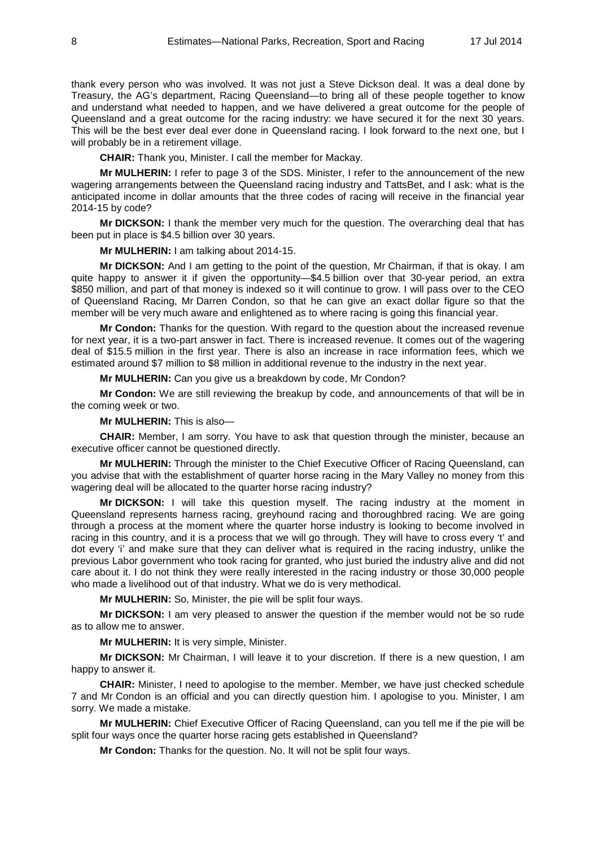thank every person who was involved. It was not just a Steve Dickson deal. It was a deal done by Treasury, the AG's department, Racing Queensland—to bring all of these people together to know and understand what needed to happen, and we have delivered a great outcome for the people of Queensland and a great outcome for the racing industry: we have secured it for the next 30 years. This will be the best ever deal ever done in Queensland racing. I look forward to the next one, but I will probably be in a retirement village.

**CHAIR:** Thank you, Minister. I call the member for Mackay.

**Mr MULHERIN:** I refer to page 3 of the SDS. Minister, I refer to the announcement of the new wagering arrangements between the Queensland racing industry and TattsBet, and I ask: what is the anticipated income in dollar amounts that the three codes of racing will receive in the financial year 2014-15 by code?

**Mr DICKSON:** I thank the member very much for the question. The overarching deal that has been put in place is \$4.5 billion over 30 years.

**Mr MULHERIN:** I am talking about 2014-15.

**Mr DICKSON:** And I am getting to the point of the question, Mr Chairman, if that is okay. I am quite happy to answer it if given the opportunity—\$4.5 billion over that 30-year period, an extra \$850 million, and part of that money is indexed so it will continue to grow. I will pass over to the CEO of Queensland Racing, Mr Darren Condon, so that he can give an exact dollar figure so that the member will be very much aware and enlightened as to where racing is going this financial year.

**Mr Condon:** Thanks for the question. With regard to the question about the increased revenue for next year, it is a two-part answer in fact. There is increased revenue. It comes out of the wagering deal of \$15.5 million in the first year. There is also an increase in race information fees, which we estimated around \$7 million to \$8 million in additional revenue to the industry in the next year.

**Mr MULHERIN:** Can you give us a breakdown by code, Mr Condon?

**Mr Condon:** We are still reviewing the breakup by code, and announcements of that will be in the coming week or two.

#### **Mr MULHERIN:** This is also—

**CHAIR:** Member, I am sorry. You have to ask that question through the minister, because an executive officer cannot be questioned directly.

**Mr MULHERIN:** Through the minister to the Chief Executive Officer of Racing Queensland, can you advise that with the establishment of quarter horse racing in the Mary Valley no money from this wagering deal will be allocated to the quarter horse racing industry?

**Mr DICKSON:** I will take this question myself. The racing industry at the moment in Queensland represents harness racing, greyhound racing and thoroughbred racing. We are going through a process at the moment where the quarter horse industry is looking to become involved in racing in this country, and it is a process that we will go through. They will have to cross every 't' and dot every 'i' and make sure that they can deliver what is required in the racing industry, unlike the previous Labor government who took racing for granted, who just buried the industry alive and did not care about it. I do not think they were really interested in the racing industry or those 30,000 people who made a livelihood out of that industry. What we do is very methodical.

**Mr MULHERIN:** So, Minister, the pie will be split four ways.

**Mr DICKSON:** I am very pleased to answer the question if the member would not be so rude as to allow me to answer.

**Mr MULHERIN:** It is very simple, Minister.

**Mr DICKSON:** Mr Chairman, I will leave it to your discretion. If there is a new question, I am happy to answer it.

**CHAIR:** Minister, I need to apologise to the member. Member, we have just checked schedule 7 and Mr Condon is an official and you can directly question him. I apologise to you. Minister, I am sorry. We made a mistake.

**Mr MULHERIN:** Chief Executive Officer of Racing Queensland, can you tell me if the pie will be split four ways once the quarter horse racing gets established in Queensland?

**Mr Condon:** Thanks for the question. No. It will not be split four ways.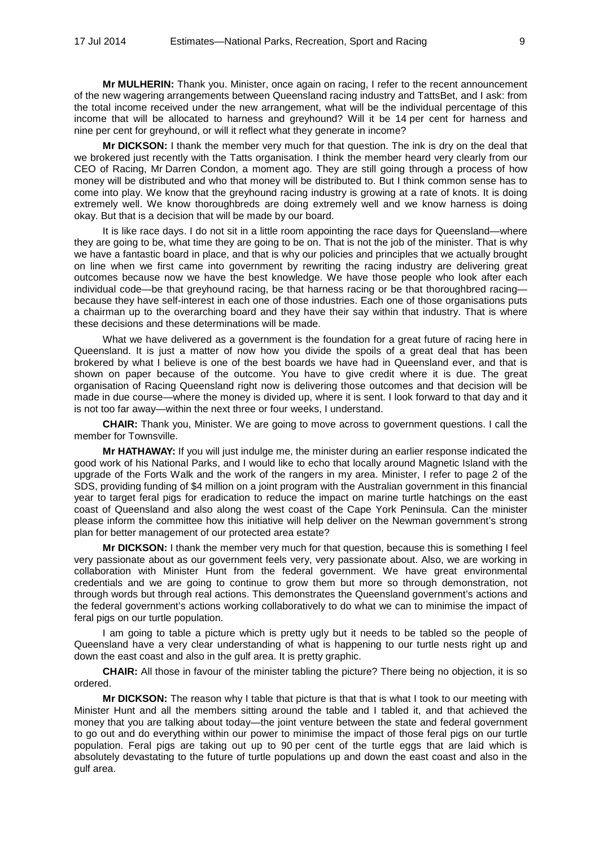**Mr MULHERIN:** Thank you. Minister, once again on racing, I refer to the recent announcement of the new wagering arrangements between Queensland racing industry and TattsBet, and I ask: from the total income received under the new arrangement, what will be the individual percentage of this income that will be allocated to harness and greyhound? Will it be 14 per cent for harness and nine per cent for greyhound, or will it reflect what they generate in income?

**Mr DICKSON:** I thank the member very much for that question. The ink is dry on the deal that we brokered just recently with the Tatts organisation. I think the member heard very clearly from our CEO of Racing, Mr Darren Condon, a moment ago. They are still going through a process of how money will be distributed and who that money will be distributed to. But I think common sense has to come into play. We know that the greyhound racing industry is growing at a rate of knots. It is doing extremely well. We know thoroughbreds are doing extremely well and we know harness is doing okay. But that is a decision that will be made by our board.

It is like race days. I do not sit in a little room appointing the race days for Queensland—where they are going to be, what time they are going to be on. That is not the job of the minister. That is why we have a fantastic board in place, and that is why our policies and principles that we actually brought on line when we first came into government by rewriting the racing industry are delivering great outcomes because now we have the best knowledge. We have those people who look after each individual code—be that greyhound racing, be that harness racing or be that thoroughbred racing because they have self-interest in each one of those industries. Each one of those organisations puts a chairman up to the overarching board and they have their say within that industry. That is where these decisions and these determinations will be made.

What we have delivered as a government is the foundation for a great future of racing here in Queensland. It is just a matter of now how you divide the spoils of a great deal that has been brokered by what I believe is one of the best boards we have had in Queensland ever, and that is shown on paper because of the outcome. You have to give credit where it is due. The great organisation of Racing Queensland right now is delivering those outcomes and that decision will be made in due course—where the money is divided up, where it is sent. I look forward to that day and it is not too far away—within the next three or four weeks, I understand.

**CHAIR:** Thank you, Minister. We are going to move across to government questions. I call the member for Townsville.

**Mr HATHAWAY:** If you will just indulge me, the minister during an earlier response indicated the good work of his National Parks, and I would like to echo that locally around Magnetic Island with the upgrade of the Forts Walk and the work of the rangers in my area. Minister, I refer to page 2 of the SDS, providing funding of \$4 million on a joint program with the Australian government in this financial year to target feral pigs for eradication to reduce the impact on marine turtle hatchings on the east coast of Queensland and also along the west coast of the Cape York Peninsula. Can the minister please inform the committee how this initiative will help deliver on the Newman government's strong plan for better management of our protected area estate?

**Mr DICKSON:** I thank the member very much for that question, because this is something I feel very passionate about as our government feels very, very passionate about. Also, we are working in collaboration with Minister Hunt from the federal government. We have great environmental credentials and we are going to continue to grow them but more so through demonstration, not through words but through real actions. This demonstrates the Queensland government's actions and the federal government's actions working collaboratively to do what we can to minimise the impact of feral pigs on our turtle population.

I am going to table a picture which is pretty ugly but it needs to be tabled so the people of Queensland have a very clear understanding of what is happening to our turtle nests right up and down the east coast and also in the gulf area. It is pretty graphic.

**CHAIR:** All those in favour of the minister tabling the picture? There being no objection, it is so ordered.

**Mr DICKSON:** The reason why I table that picture is that that is what I took to our meeting with Minister Hunt and all the members sitting around the table and I tabled it, and that achieved the money that you are talking about today—the joint venture between the state and federal government to go out and do everything within our power to minimise the impact of those feral pigs on our turtle population. Feral pigs are taking out up to 90 per cent of the turtle eggs that are laid which is absolutely devastating to the future of turtle populations up and down the east coast and also in the gulf area.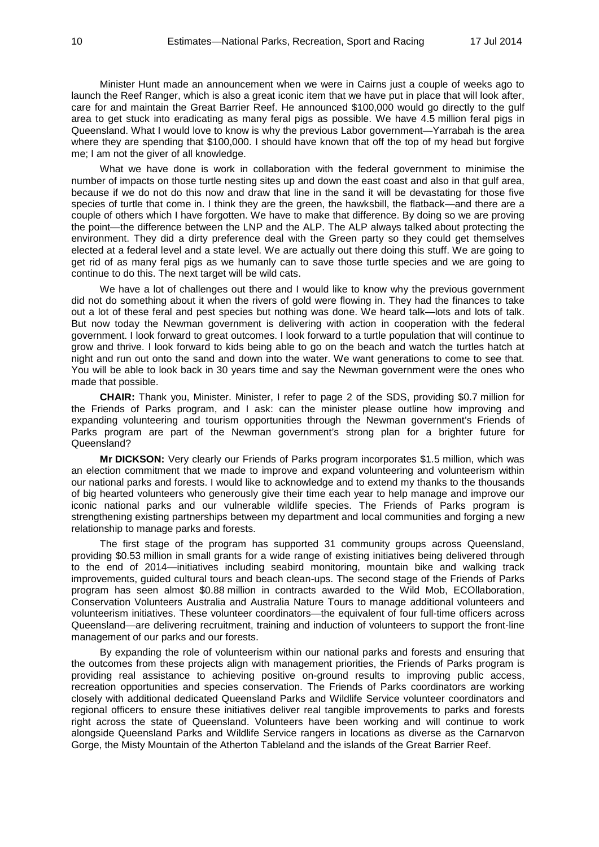Minister Hunt made an announcement when we were in Cairns just a couple of weeks ago to launch the Reef Ranger, which is also a great iconic item that we have put in place that will look after, care for and maintain the Great Barrier Reef. He announced \$100,000 would go directly to the gulf area to get stuck into eradicating as many feral pigs as possible. We have 4.5 million feral pigs in Queensland. What I would love to know is why the previous Labor government—Yarrabah is the area where they are spending that \$100,000. I should have known that off the top of my head but forgive me; I am not the giver of all knowledge.

What we have done is work in collaboration with the federal government to minimise the number of impacts on those turtle nesting sites up and down the east coast and also in that gulf area, because if we do not do this now and draw that line in the sand it will be devastating for those five species of turtle that come in. I think they are the green, the hawksbill, the flatback—and there are a couple of others which I have forgotten. We have to make that difference. By doing so we are proving the point—the difference between the LNP and the ALP. The ALP always talked about protecting the environment. They did a dirty preference deal with the Green party so they could get themselves elected at a federal level and a state level. We are actually out there doing this stuff. We are going to get rid of as many feral pigs as we humanly can to save those turtle species and we are going to continue to do this. The next target will be wild cats.

We have a lot of challenges out there and I would like to know why the previous government did not do something about it when the rivers of gold were flowing in. They had the finances to take out a lot of these feral and pest species but nothing was done. We heard talk—lots and lots of talk. But now today the Newman government is delivering with action in cooperation with the federal government. I look forward to great outcomes. I look forward to a turtle population that will continue to grow and thrive. I look forward to kids being able to go on the beach and watch the turtles hatch at night and run out onto the sand and down into the water. We want generations to come to see that. You will be able to look back in 30 years time and say the Newman government were the ones who made that possible.

**CHAIR:** Thank you, Minister. Minister, I refer to page 2 of the SDS, providing \$0.7 million for the Friends of Parks program, and I ask: can the minister please outline how improving and expanding volunteering and tourism opportunities through the Newman government's Friends of Parks program are part of the Newman government's strong plan for a brighter future for Queensland?

**Mr DICKSON:** Very clearly our Friends of Parks program incorporates \$1.5 million, which was an election commitment that we made to improve and expand volunteering and volunteerism within our national parks and forests. I would like to acknowledge and to extend my thanks to the thousands of big hearted volunteers who generously give their time each year to help manage and improve our iconic national parks and our vulnerable wildlife species. The Friends of Parks program is strengthening existing partnerships between my department and local communities and forging a new relationship to manage parks and forests.

The first stage of the program has supported 31 community groups across Queensland, providing \$0.53 million in small grants for a wide range of existing initiatives being delivered through to the end of 2014—initiatives including seabird monitoring, mountain bike and walking track improvements, guided cultural tours and beach clean-ups. The second stage of the Friends of Parks program has seen almost \$0.88 million in contracts awarded to the Wild Mob, ECOllaboration, Conservation Volunteers Australia and Australia Nature Tours to manage additional volunteers and volunteerism initiatives. These volunteer coordinators—the equivalent of four full-time officers across Queensland—are delivering recruitment, training and induction of volunteers to support the front-line management of our parks and our forests.

By expanding the role of volunteerism within our national parks and forests and ensuring that the outcomes from these projects align with management priorities, the Friends of Parks program is providing real assistance to achieving positive on-ground results to improving public access, recreation opportunities and species conservation. The Friends of Parks coordinators are working closely with additional dedicated Queensland Parks and Wildlife Service volunteer coordinators and regional officers to ensure these initiatives deliver real tangible improvements to parks and forests right across the state of Queensland. Volunteers have been working and will continue to work alongside Queensland Parks and Wildlife Service rangers in locations as diverse as the Carnarvon Gorge, the Misty Mountain of the Atherton Tableland and the islands of the Great Barrier Reef.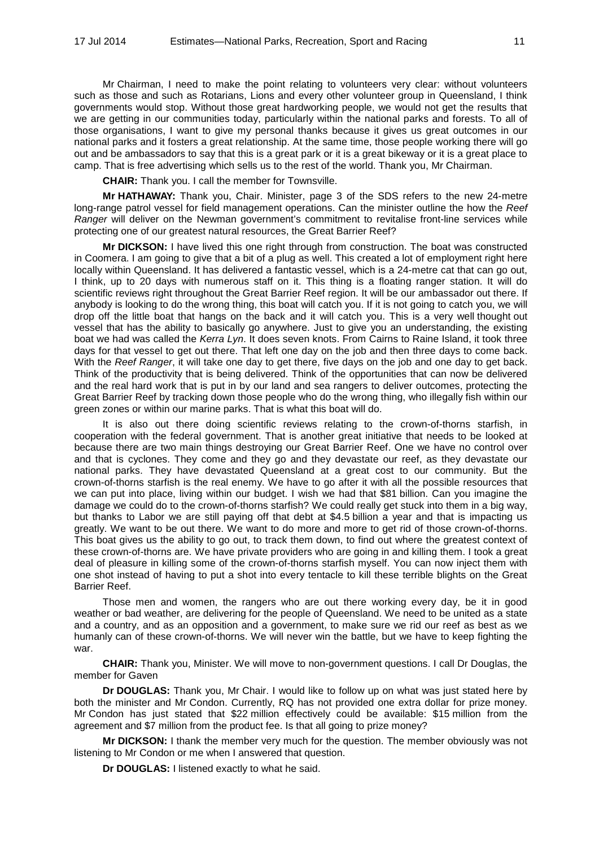Mr Chairman, I need to make the point relating to volunteers very clear: without volunteers such as those and such as Rotarians, Lions and every other volunteer group in Queensland, I think governments would stop. Without those great hardworking people, we would not get the results that we are getting in our communities today, particularly within the national parks and forests. To all of those organisations, I want to give my personal thanks because it gives us great outcomes in our national parks and it fosters a great relationship. At the same time, those people working there will go out and be ambassadors to say that this is a great park or it is a great bikeway or it is a great place to camp. That is free advertising which sells us to the rest of the world. Thank you, Mr Chairman.

**CHAIR:** Thank you. I call the member for Townsville.

**Mr HATHAWAY:** Thank you, Chair. Minister, page 3 of the SDS refers to the new 24-metre long-range patrol vessel for field management operations. Can the minister outline the how the *Reef Ranger* will deliver on the Newman government's commitment to revitalise front-line services while protecting one of our greatest natural resources, the Great Barrier Reef?

**Mr DICKSON:** I have lived this one right through from construction. The boat was constructed in Coomera. I am going to give that a bit of a plug as well. This created a lot of employment right here locally within Queensland. It has delivered a fantastic vessel, which is a 24-metre cat that can go out, I think, up to 20 days with numerous staff on it. This thing is a floating ranger station. It will do scientific reviews right throughout the Great Barrier Reef region. It will be our ambassador out there. If anybody is looking to do the wrong thing, this boat will catch you. If it is not going to catch you, we will drop off the little boat that hangs on the back and it will catch you. This is a very well thought out vessel that has the ability to basically go anywhere. Just to give you an understanding, the existing boat we had was called the *Kerra Lyn*. It does seven knots. From Cairns to Raine Island, it took three days for that vessel to get out there. That left one day on the job and then three days to come back. With the *Reef Ranger*, it will take one day to get there, five days on the job and one day to get back. Think of the productivity that is being delivered. Think of the opportunities that can now be delivered and the real hard work that is put in by our land and sea rangers to deliver outcomes, protecting the Great Barrier Reef by tracking down those people who do the wrong thing, who illegally fish within our green zones or within our marine parks. That is what this boat will do.

It is also out there doing scientific reviews relating to the crown-of-thorns starfish, in cooperation with the federal government. That is another great initiative that needs to be looked at because there are two main things destroying our Great Barrier Reef. One we have no control over and that is cyclones. They come and they go and they devastate our reef, as they devastate our national parks. They have devastated Queensland at a great cost to our community. But the crown-of-thorns starfish is the real enemy. We have to go after it with all the possible resources that we can put into place, living within our budget. I wish we had that \$81 billion. Can you imagine the damage we could do to the crown-of-thorns starfish? We could really get stuck into them in a big way, but thanks to Labor we are still paying off that debt at \$4.5 billion a year and that is impacting us greatly. We want to be out there. We want to do more and more to get rid of those crown-of-thorns. This boat gives us the ability to go out, to track them down, to find out where the greatest context of these crown-of-thorns are. We have private providers who are going in and killing them. I took a great deal of pleasure in killing some of the crown-of-thorns starfish myself. You can now inject them with one shot instead of having to put a shot into every tentacle to kill these terrible blights on the Great Barrier Reef.

Those men and women, the rangers who are out there working every day, be it in good weather or bad weather, are delivering for the people of Queensland. We need to be united as a state and a country, and as an opposition and a government, to make sure we rid our reef as best as we humanly can of these crown-of-thorns. We will never win the battle, but we have to keep fighting the war.

**CHAIR:** Thank you, Minister. We will move to non-government questions. I call Dr Douglas, the member for Gaven

**Dr DOUGLAS:** Thank you, Mr Chair. I would like to follow up on what was just stated here by both the minister and Mr Condon. Currently, RQ has not provided one extra dollar for prize money. Mr Condon has just stated that \$22 million effectively could be available: \$15 million from the agreement and \$7 million from the product fee. Is that all going to prize money?

**Mr DICKSON:** I thank the member very much for the question. The member obviously was not listening to Mr Condon or me when I answered that question.

**Dr DOUGLAS:** I listened exactly to what he said.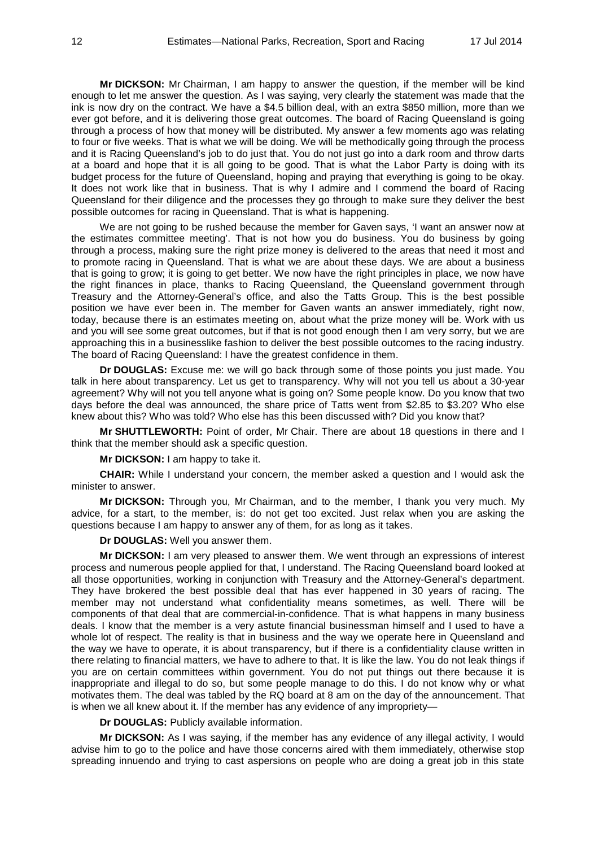**Mr DICKSON:** Mr Chairman, I am happy to answer the question, if the member will be kind enough to let me answer the question. As I was saying, very clearly the statement was made that the ink is now dry on the contract. We have a \$4.5 billion deal, with an extra \$850 million, more than we ever got before, and it is delivering those great outcomes. The board of Racing Queensland is going through a process of how that money will be distributed. My answer a few moments ago was relating to four or five weeks. That is what we will be doing. We will be methodically going through the process and it is Racing Queensland's job to do just that. You do not just go into a dark room and throw darts at a board and hope that it is all going to be good. That is what the Labor Party is doing with its budget process for the future of Queensland, hoping and praying that everything is going to be okay. It does not work like that in business. That is why I admire and I commend the board of Racing Queensland for their diligence and the processes they go through to make sure they deliver the best possible outcomes for racing in Queensland. That is what is happening.

We are not going to be rushed because the member for Gaven says, 'I want an answer now at the estimates committee meeting'. That is not how you do business. You do business by going through a process, making sure the right prize money is delivered to the areas that need it most and to promote racing in Queensland. That is what we are about these days. We are about a business that is going to grow; it is going to get better. We now have the right principles in place, we now have the right finances in place, thanks to Racing Queensland, the Queensland government through Treasury and the Attorney-General's office, and also the Tatts Group. This is the best possible position we have ever been in. The member for Gaven wants an answer immediately, right now, today, because there is an estimates meeting on, about what the prize money will be. Work with us and you will see some great outcomes, but if that is not good enough then I am very sorry, but we are approaching this in a businesslike fashion to deliver the best possible outcomes to the racing industry. The board of Racing Queensland: I have the greatest confidence in them.

**Dr DOUGLAS:** Excuse me: we will go back through some of those points you just made. You talk in here about transparency. Let us get to transparency. Why will not you tell us about a 30-year agreement? Why will not you tell anyone what is going on? Some people know. Do you know that two days before the deal was announced, the share price of Tatts went from \$2.85 to \$3.20? Who else knew about this? Who was told? Who else has this been discussed with? Did you know that?

**Mr SHUTTLEWORTH:** Point of order, Mr Chair. There are about 18 questions in there and I think that the member should ask a specific question.

**Mr DICKSON:** I am happy to take it.

**CHAIR:** While I understand your concern, the member asked a question and I would ask the minister to answer.

**Mr DICKSON:** Through you, Mr Chairman, and to the member, I thank you very much. My advice, for a start, to the member, is: do not get too excited. Just relax when you are asking the questions because I am happy to answer any of them, for as long as it takes.

**Dr DOUGLAS:** Well you answer them.

**Mr DICKSON:** I am very pleased to answer them. We went through an expressions of interest process and numerous people applied for that, I understand. The Racing Queensland board looked at all those opportunities, working in conjunction with Treasury and the Attorney-General's department. They have brokered the best possible deal that has ever happened in 30 years of racing. The member may not understand what confidentiality means sometimes, as well. There will be components of that deal that are commercial-in-confidence. That is what happens in many business deals. I know that the member is a very astute financial businessman himself and I used to have a whole lot of respect. The reality is that in business and the way we operate here in Queensland and the way we have to operate, it is about transparency, but if there is a confidentiality clause written in there relating to financial matters, we have to adhere to that. It is like the law. You do not leak things if you are on certain committees within government. You do not put things out there because it is inappropriate and illegal to do so, but some people manage to do this. I do not know why or what motivates them. The deal was tabled by the RQ board at 8 am on the day of the announcement. That is when we all knew about it. If the member has any evidence of any impropriety—

**Dr DOUGLAS:** Publicly available information.

**Mr DICKSON:** As I was saying, if the member has any evidence of any illegal activity, I would advise him to go to the police and have those concerns aired with them immediately, otherwise stop spreading innuendo and trying to cast aspersions on people who are doing a great job in this state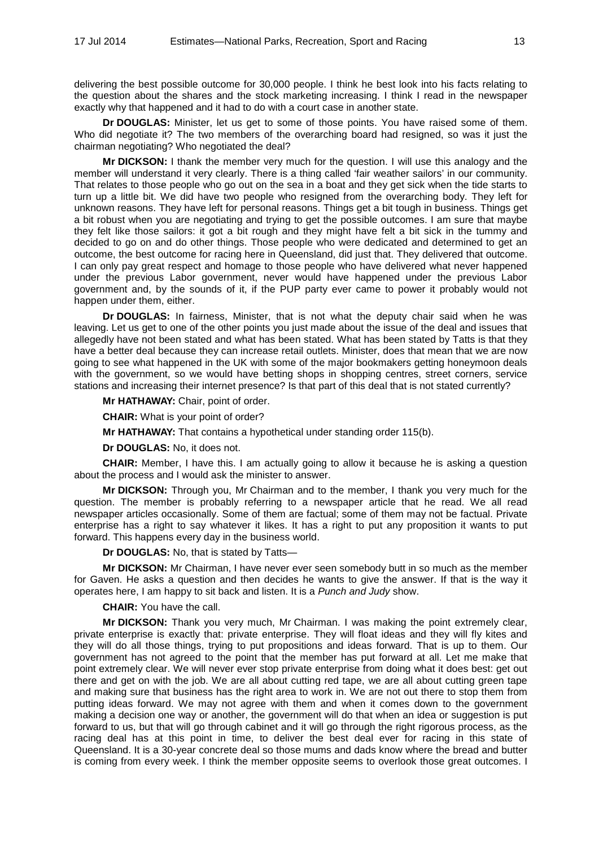delivering the best possible outcome for 30,000 people. I think he best look into his facts relating to the question about the shares and the stock marketing increasing. I think I read in the newspaper exactly why that happened and it had to do with a court case in another state.

**Dr DOUGLAS:** Minister, let us get to some of those points. You have raised some of them. Who did negotiate it? The two members of the overarching board had resigned, so was it just the chairman negotiating? Who negotiated the deal?

**Mr DICKSON:** I thank the member very much for the question. I will use this analogy and the member will understand it very clearly. There is a thing called 'fair weather sailors' in our community. That relates to those people who go out on the sea in a boat and they get sick when the tide starts to turn up a little bit. We did have two people who resigned from the overarching body. They left for unknown reasons. They have left for personal reasons. Things get a bit tough in business. Things get a bit robust when you are negotiating and trying to get the possible outcomes. I am sure that maybe they felt like those sailors: it got a bit rough and they might have felt a bit sick in the tummy and decided to go on and do other things. Those people who were dedicated and determined to get an outcome, the best outcome for racing here in Queensland, did just that. They delivered that outcome. I can only pay great respect and homage to those people who have delivered what never happened under the previous Labor government, never would have happened under the previous Labor government and, by the sounds of it, if the PUP party ever came to power it probably would not happen under them, either.

**Dr DOUGLAS:** In fairness, Minister, that is not what the deputy chair said when he was leaving. Let us get to one of the other points you just made about the issue of the deal and issues that allegedly have not been stated and what has been stated. What has been stated by Tatts is that they have a better deal because they can increase retail outlets. Minister, does that mean that we are now going to see what happened in the UK with some of the major bookmakers getting honeymoon deals with the government, so we would have betting shops in shopping centres, street corners, service stations and increasing their internet presence? Is that part of this deal that is not stated currently?

**Mr HATHAWAY:** Chair, point of order.

**CHAIR:** What is your point of order?

**Mr HATHAWAY:** That contains a hypothetical under standing order 115(b).

**Dr DOUGLAS:** No, it does not.

**CHAIR:** Member, I have this. I am actually going to allow it because he is asking a question about the process and I would ask the minister to answer.

**Mr DICKSON:** Through you, Mr Chairman and to the member, I thank you very much for the question. The member is probably referring to a newspaper article that he read. We all read newspaper articles occasionally. Some of them are factual; some of them may not be factual. Private enterprise has a right to say whatever it likes. It has a right to put any proposition it wants to put forward. This happens every day in the business world.

**Dr DOUGLAS:** No, that is stated by Tatts—

**Mr DICKSON:** Mr Chairman, I have never ever seen somebody butt in so much as the member for Gaven. He asks a question and then decides he wants to give the answer. If that is the way it operates here, I am happy to sit back and listen. It is a *Punch and Judy* show.

**CHAIR:** You have the call.

**Mr DICKSON:** Thank you very much, Mr Chairman. I was making the point extremely clear, private enterprise is exactly that: private enterprise. They will float ideas and they will fly kites and they will do all those things, trying to put propositions and ideas forward. That is up to them. Our government has not agreed to the point that the member has put forward at all. Let me make that point extremely clear. We will never ever stop private enterprise from doing what it does best: get out there and get on with the job. We are all about cutting red tape, we are all about cutting green tape and making sure that business has the right area to work in. We are not out there to stop them from putting ideas forward. We may not agree with them and when it comes down to the government making a decision one way or another, the government will do that when an idea or suggestion is put forward to us, but that will go through cabinet and it will go through the right rigorous process, as the racing deal has at this point in time, to deliver the best deal ever for racing in this state of Queensland. It is a 30-year concrete deal so those mums and dads know where the bread and butter is coming from every week. I think the member opposite seems to overlook those great outcomes. I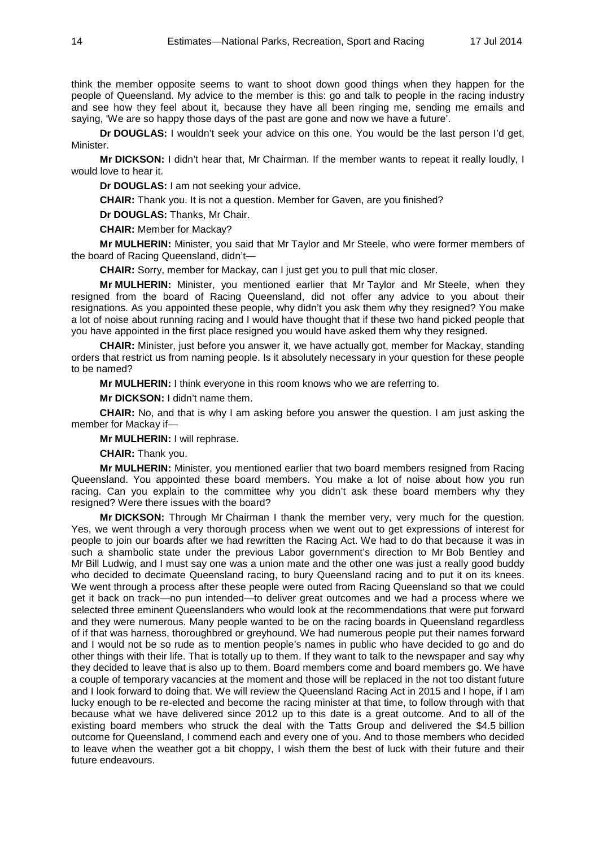think the member opposite seems to want to shoot down good things when they happen for the people of Queensland. My advice to the member is this: go and talk to people in the racing industry and see how they feel about it, because they have all been ringing me, sending me emails and saying, 'We are so happy those days of the past are gone and now we have a future'.

**Dr DOUGLAS:** I wouldn't seek your advice on this one. You would be the last person I'd get, Minister.

**Mr DICKSON:** I didn't hear that, Mr Chairman. If the member wants to repeat it really loudly, I would love to hear it.

**Dr DOUGLAS:** I am not seeking your advice.

**CHAIR:** Thank you. It is not a question. Member for Gaven, are you finished?

**Dr DOUGLAS:** Thanks, Mr Chair.

**CHAIR:** Member for Mackay?

**Mr MULHERIN:** Minister, you said that Mr Taylor and Mr Steele, who were former members of the board of Racing Queensland, didn't—

**CHAIR:** Sorry, member for Mackay, can I just get you to pull that mic closer.

**Mr MULHERIN:** Minister, you mentioned earlier that Mr Taylor and Mr Steele, when they resigned from the board of Racing Queensland, did not offer any advice to you about their resignations. As you appointed these people, why didn't you ask them why they resigned? You make a lot of noise about running racing and I would have thought that if these two hand picked people that you have appointed in the first place resigned you would have asked them why they resigned.

**CHAIR:** Minister, just before you answer it, we have actually got, member for Mackay, standing orders that restrict us from naming people. Is it absolutely necessary in your question for these people to be named?

**Mr MULHERIN:** I think everyone in this room knows who we are referring to.

**Mr DICKSON:** I didn't name them.

**CHAIR:** No, and that is why I am asking before you answer the question. I am just asking the member for Mackay if—

**Mr MULHERIN:** I will rephrase.

**CHAIR:** Thank you.

**Mr MULHERIN:** Minister, you mentioned earlier that two board members resigned from Racing Queensland. You appointed these board members. You make a lot of noise about how you run racing. Can you explain to the committee why you didn't ask these board members why they resigned? Were there issues with the board?

**Mr DICKSON:** Through Mr Chairman I thank the member very, very much for the question. Yes, we went through a very thorough process when we went out to get expressions of interest for people to join our boards after we had rewritten the Racing Act. We had to do that because it was in such a shambolic state under the previous Labor government's direction to Mr Bob Bentley and Mr Bill Ludwig, and I must say one was a union mate and the other one was just a really good buddy who decided to decimate Queensland racing, to bury Queensland racing and to put it on its knees. We went through a process after these people were outed from Racing Queensland so that we could get it back on track—no pun intended—to deliver great outcomes and we had a process where we selected three eminent Queenslanders who would look at the recommendations that were put forward and they were numerous. Many people wanted to be on the racing boards in Queensland regardless of if that was harness, thoroughbred or greyhound. We had numerous people put their names forward and I would not be so rude as to mention people's names in public who have decided to go and do other things with their life. That is totally up to them. If they want to talk to the newspaper and say why they decided to leave that is also up to them. Board members come and board members go. We have a couple of temporary vacancies at the moment and those will be replaced in the not too distant future and I look forward to doing that. We will review the Queensland Racing Act in 2015 and I hope, if I am lucky enough to be re-elected and become the racing minister at that time, to follow through with that because what we have delivered since 2012 up to this date is a great outcome. And to all of the existing board members who struck the deal with the Tatts Group and delivered the \$4.5 billion outcome for Queensland, I commend each and every one of you. And to those members who decided to leave when the weather got a bit choppy, I wish them the best of luck with their future and their future endeavours.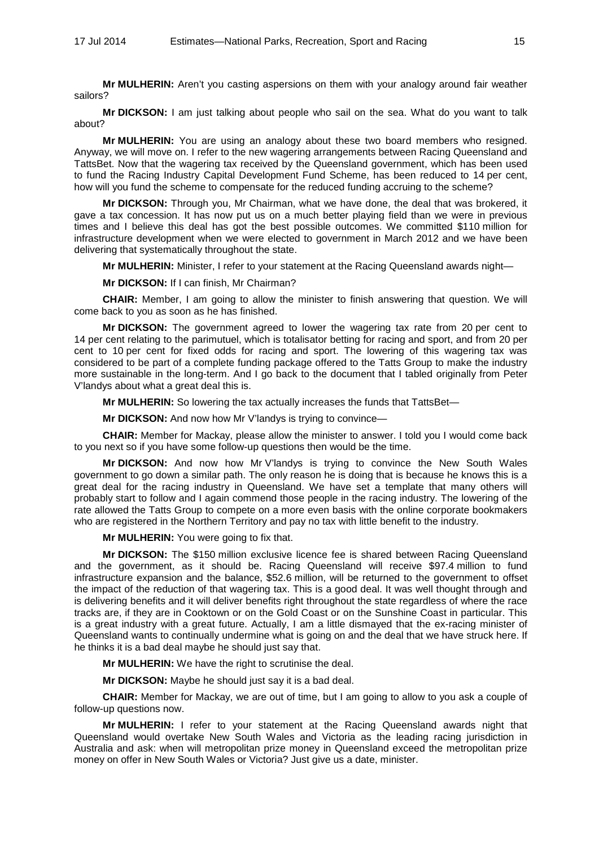**Mr MULHERIN:** Aren't you casting aspersions on them with your analogy around fair weather sailors?

**Mr DICKSON:** I am just talking about people who sail on the sea. What do you want to talk about?

**Mr MULHERIN:** You are using an analogy about these two board members who resigned. Anyway, we will move on. I refer to the new wagering arrangements between Racing Queensland and TattsBet. Now that the wagering tax received by the Queensland government, which has been used to fund the Racing Industry Capital Development Fund Scheme, has been reduced to 14 per cent, how will you fund the scheme to compensate for the reduced funding accruing to the scheme?

**Mr DICKSON:** Through you, Mr Chairman, what we have done, the deal that was brokered, it gave a tax concession. It has now put us on a much better playing field than we were in previous times and I believe this deal has got the best possible outcomes. We committed \$110 million for infrastructure development when we were elected to government in March 2012 and we have been delivering that systematically throughout the state.

**Mr MULHERIN:** Minister, I refer to your statement at the Racing Queensland awards night—

**Mr DICKSON:** If I can finish, Mr Chairman?

**CHAIR:** Member, I am going to allow the minister to finish answering that question. We will come back to you as soon as he has finished.

**Mr DICKSON:** The government agreed to lower the wagering tax rate from 20 per cent to 14 per cent relating to the parimutuel, which is totalisator betting for racing and sport, and from 20 per cent to 10 per cent for fixed odds for racing and sport. The lowering of this wagering tax was considered to be part of a complete funding package offered to the Tatts Group to make the industry more sustainable in the long-term. And I go back to the document that I tabled originally from Peter V'landys about what a great deal this is.

**Mr MULHERIN:** So lowering the tax actually increases the funds that TattsBet—

**Mr DICKSON:** And now how Mr V'landys is trying to convince—

**CHAIR:** Member for Mackay, please allow the minister to answer. I told you I would come back to you next so if you have some follow-up questions then would be the time.

**Mr DICKSON:** And now how Mr V'landys is trying to convince the New South Wales government to go down a similar path. The only reason he is doing that is because he knows this is a great deal for the racing industry in Queensland. We have set a template that many others will probably start to follow and I again commend those people in the racing industry. The lowering of the rate allowed the Tatts Group to compete on a more even basis with the online corporate bookmakers who are registered in the Northern Territory and pay no tax with little benefit to the industry.

**Mr MULHERIN:** You were going to fix that.

**Mr DICKSON:** The \$150 million exclusive licence fee is shared between Racing Queensland and the government, as it should be. Racing Queensland will receive \$97.4 million to fund infrastructure expansion and the balance, \$52.6 million, will be returned to the government to offset the impact of the reduction of that wagering tax. This is a good deal. It was well thought through and is delivering benefits and it will deliver benefits right throughout the state regardless of where the race tracks are, if they are in Cooktown or on the Gold Coast or on the Sunshine Coast in particular. This is a great industry with a great future. Actually, I am a little dismayed that the ex-racing minister of Queensland wants to continually undermine what is going on and the deal that we have struck here. If he thinks it is a bad deal maybe he should just say that.

**Mr MULHERIN:** We have the right to scrutinise the deal.

**Mr DICKSON:** Maybe he should just say it is a bad deal.

**CHAIR:** Member for Mackay, we are out of time, but I am going to allow to you ask a couple of follow-up questions now.

**Mr MULHERIN:** I refer to your statement at the Racing Queensland awards night that Queensland would overtake New South Wales and Victoria as the leading racing jurisdiction in Australia and ask: when will metropolitan prize money in Queensland exceed the metropolitan prize money on offer in New South Wales or Victoria? Just give us a date, minister.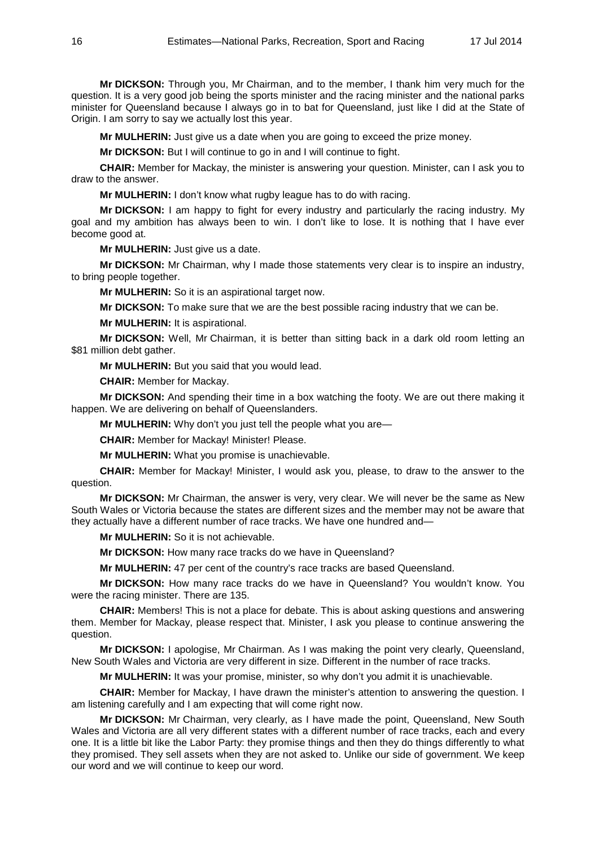**Mr DICKSON:** Through you, Mr Chairman, and to the member, I thank him very much for the question. It is a very good job being the sports minister and the racing minister and the national parks minister for Queensland because I always go in to bat for Queensland, just like I did at the State of Origin. I am sorry to say we actually lost this year.

**Mr MULHERIN:** Just give us a date when you are going to exceed the prize money.

**Mr DICKSON:** But I will continue to go in and I will continue to fight.

**CHAIR:** Member for Mackay, the minister is answering your question. Minister, can I ask you to draw to the answer.

**Mr MULHERIN:** I don't know what rugby league has to do with racing.

**Mr DICKSON:** I am happy to fight for every industry and particularly the racing industry. My goal and my ambition has always been to win. I don't like to lose. It is nothing that I have ever become good at.

**Mr MULHERIN:** Just give us a date.

**Mr DICKSON:** Mr Chairman, why I made those statements very clear is to inspire an industry, to bring people together.

**Mr MULHERIN:** So it is an aspirational target now.

**Mr DICKSON:** To make sure that we are the best possible racing industry that we can be.

**Mr MULHERIN:** It is aspirational.

**Mr DICKSON:** Well, Mr Chairman, it is better than sitting back in a dark old room letting an \$81 million debt gather.

**Mr MULHERIN:** But you said that you would lead.

**CHAIR:** Member for Mackay.

**Mr DICKSON:** And spending their time in a box watching the footy. We are out there making it happen. We are delivering on behalf of Queenslanders.

**Mr MULHERIN:** Why don't you just tell the people what you are—

**CHAIR:** Member for Mackay! Minister! Please.

**Mr MULHERIN:** What you promise is unachievable.

**CHAIR:** Member for Mackay! Minister, I would ask you, please, to draw to the answer to the question.

**Mr DICKSON:** Mr Chairman, the answer is very, very clear. We will never be the same as New South Wales or Victoria because the states are different sizes and the member may not be aware that they actually have a different number of race tracks. We have one hundred and—

**Mr MULHERIN:** So it is not achievable.

**Mr DICKSON:** How many race tracks do we have in Queensland?

**Mr MULHERIN:** 47 per cent of the country's race tracks are based Queensland.

**Mr DICKSON:** How many race tracks do we have in Queensland? You wouldn't know. You were the racing minister. There are 135.

**CHAIR:** Members! This is not a place for debate. This is about asking questions and answering them. Member for Mackay, please respect that. Minister, I ask you please to continue answering the question.

**Mr DICKSON:** I apologise, Mr Chairman. As I was making the point very clearly, Queensland, New South Wales and Victoria are very different in size. Different in the number of race tracks.

**Mr MULHERIN:** It was your promise, minister, so why don't you admit it is unachievable.

**CHAIR:** Member for Mackay, I have drawn the minister's attention to answering the question. I am listening carefully and I am expecting that will come right now.

**Mr DICKSON:** Mr Chairman, very clearly, as I have made the point, Queensland, New South Wales and Victoria are all very different states with a different number of race tracks, each and every one. It is a little bit like the Labor Party: they promise things and then they do things differently to what they promised. They sell assets when they are not asked to. Unlike our side of government. We keep our word and we will continue to keep our word.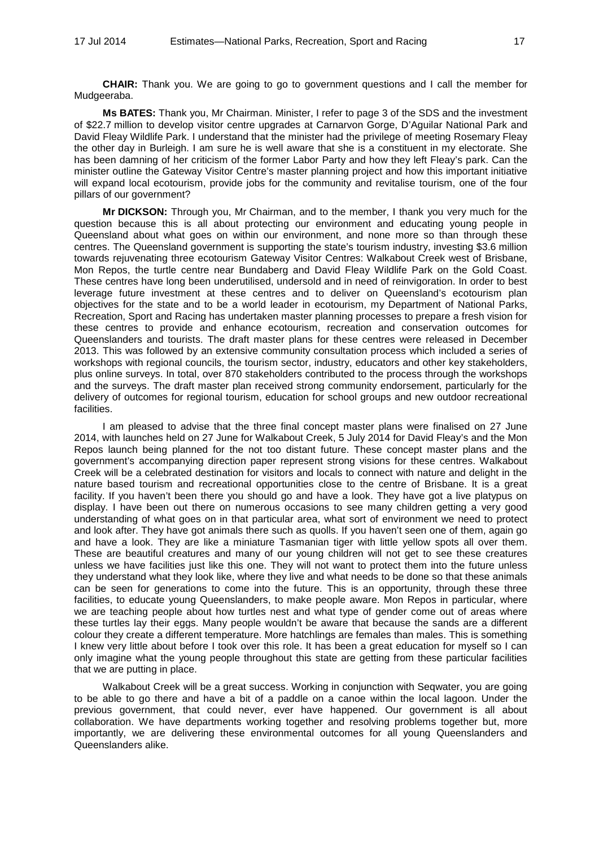**CHAIR:** Thank you. We are going to go to government questions and I call the member for Mudgeeraba.

**Ms BATES:** Thank you, Mr Chairman. Minister, I refer to page 3 of the SDS and the investment of \$22.7 million to develop visitor centre upgrades at Carnarvon Gorge, D'Aguilar National Park and David Fleay Wildlife Park. I understand that the minister had the privilege of meeting Rosemary Fleay the other day in Burleigh. I am sure he is well aware that she is a constituent in my electorate. She has been damning of her criticism of the former Labor Party and how they left Fleay's park. Can the minister outline the Gateway Visitor Centre's master planning project and how this important initiative will expand local ecotourism, provide jobs for the community and revitalise tourism, one of the four pillars of our government?

**Mr DICKSON:** Through you, Mr Chairman, and to the member, I thank you very much for the question because this is all about protecting our environment and educating young people in Queensland about what goes on within our environment, and none more so than through these centres. The Queensland government is supporting the state's tourism industry, investing \$3.6 million towards rejuvenating three ecotourism Gateway Visitor Centres: Walkabout Creek west of Brisbane, Mon Repos, the turtle centre near Bundaberg and David Fleay Wildlife Park on the Gold Coast. These centres have long been underutilised, undersold and in need of reinvigoration. In order to best leverage future investment at these centres and to deliver on Queensland's ecotourism plan objectives for the state and to be a world leader in ecotourism, my Department of National Parks, Recreation, Sport and Racing has undertaken master planning processes to prepare a fresh vision for these centres to provide and enhance ecotourism, recreation and conservation outcomes for Queenslanders and tourists. The draft master plans for these centres were released in December 2013. This was followed by an extensive community consultation process which included a series of workshops with regional councils, the tourism sector, industry, educators and other key stakeholders, plus online surveys. In total, over 870 stakeholders contributed to the process through the workshops and the surveys. The draft master plan received strong community endorsement, particularly for the delivery of outcomes for regional tourism, education for school groups and new outdoor recreational facilities.

I am pleased to advise that the three final concept master plans were finalised on 27 June 2014, with launches held on 27 June for Walkabout Creek, 5 July 2014 for David Fleay's and the Mon Repos launch being planned for the not too distant future. These concept master plans and the government's accompanying direction paper represent strong visions for these centres. Walkabout Creek will be a celebrated destination for visitors and locals to connect with nature and delight in the nature based tourism and recreational opportunities close to the centre of Brisbane. It is a great facility. If you haven't been there you should go and have a look. They have got a live platypus on display. I have been out there on numerous occasions to see many children getting a very good understanding of what goes on in that particular area, what sort of environment we need to protect and look after. They have got animals there such as quolls. If you haven't seen one of them, again go and have a look. They are like a miniature Tasmanian tiger with little yellow spots all over them. These are beautiful creatures and many of our young children will not get to see these creatures unless we have facilities just like this one. They will not want to protect them into the future unless they understand what they look like, where they live and what needs to be done so that these animals can be seen for generations to come into the future. This is an opportunity, through these three facilities, to educate young Queenslanders, to make people aware. Mon Repos in particular, where we are teaching people about how turtles nest and what type of gender come out of areas where these turtles lay their eggs. Many people wouldn't be aware that because the sands are a different colour they create a different temperature. More hatchlings are females than males. This is something I knew very little about before I took over this role. It has been a great education for myself so I can only imagine what the young people throughout this state are getting from these particular facilities that we are putting in place.

Walkabout Creek will be a great success. Working in conjunction with Seqwater, you are going to be able to go there and have a bit of a paddle on a canoe within the local lagoon. Under the previous government, that could never, ever have happened. Our government is all about collaboration. We have departments working together and resolving problems together but, more importantly, we are delivering these environmental outcomes for all young Queenslanders and Queenslanders alike.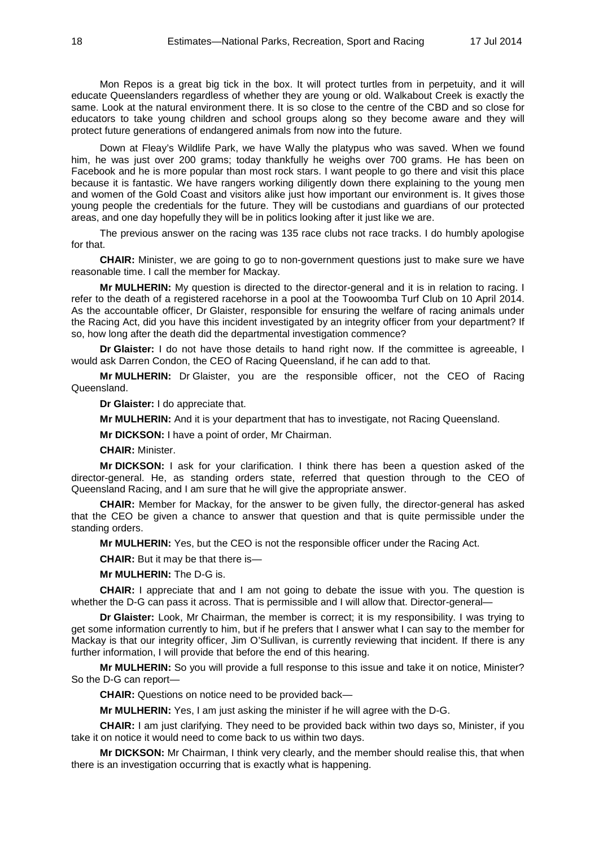Mon Repos is a great big tick in the box. It will protect turtles from in perpetuity, and it will educate Queenslanders regardless of whether they are young or old. Walkabout Creek is exactly the same. Look at the natural environment there. It is so close to the centre of the CBD and so close for educators to take young children and school groups along so they become aware and they will protect future generations of endangered animals from now into the future.

Down at Fleay's Wildlife Park, we have Wally the platypus who was saved. When we found him, he was just over 200 grams; today thankfully he weighs over 700 grams. He has been on Facebook and he is more popular than most rock stars. I want people to go there and visit this place because it is fantastic. We have rangers working diligently down there explaining to the young men and women of the Gold Coast and visitors alike just how important our environment is. It gives those young people the credentials for the future. They will be custodians and guardians of our protected areas, and one day hopefully they will be in politics looking after it just like we are.

The previous answer on the racing was 135 race clubs not race tracks. I do humbly apologise for that.

**CHAIR:** Minister, we are going to go to non-government questions just to make sure we have reasonable time. I call the member for Mackay.

**Mr MULHERIN:** My question is directed to the director-general and it is in relation to racing. I refer to the death of a registered racehorse in a pool at the Toowoomba Turf Club on 10 April 2014. As the accountable officer, Dr Glaister, responsible for ensuring the welfare of racing animals under the Racing Act, did you have this incident investigated by an integrity officer from your department? If so, how long after the death did the departmental investigation commence?

**Dr Glaister:** I do not have those details to hand right now. If the committee is agreeable, I would ask Darren Condon, the CEO of Racing Queensland, if he can add to that.

**Mr MULHERIN:** Dr Glaister, you are the responsible officer, not the CEO of Racing Queensland.

**Dr Glaister:** I do appreciate that.

**Mr MULHERIN:** And it is your department that has to investigate, not Racing Queensland.

**Mr DICKSON:** I have a point of order, Mr Chairman.

**CHAIR:** Minister.

**Mr DICKSON:** I ask for your clarification. I think there has been a question asked of the director-general. He, as standing orders state, referred that question through to the CEO of Queensland Racing, and I am sure that he will give the appropriate answer.

**CHAIR:** Member for Mackay, for the answer to be given fully, the director-general has asked that the CEO be given a chance to answer that question and that is quite permissible under the standing orders.

**Mr MULHERIN:** Yes, but the CEO is not the responsible officer under the Racing Act.

**CHAIR:** But it may be that there is—

**Mr MULHERIN:** The D-G is.

**CHAIR:** I appreciate that and I am not going to debate the issue with you. The question is whether the D-G can pass it across. That is permissible and I will allow that. Director-general—

**Dr Glaister:** Look, Mr Chairman, the member is correct; it is my responsibility. I was trying to get some information currently to him, but if he prefers that I answer what I can say to the member for Mackay is that our integrity officer, Jim O'Sullivan, is currently reviewing that incident. If there is any further information, I will provide that before the end of this hearing.

**Mr MULHERIN:** So you will provide a full response to this issue and take it on notice, Minister? So the D-G can report—

**CHAIR:** Questions on notice need to be provided back—

**Mr MULHERIN:** Yes, I am just asking the minister if he will agree with the D-G.

**CHAIR:** I am just clarifying. They need to be provided back within two days so, Minister, if you take it on notice it would need to come back to us within two days.

**Mr DICKSON:** Mr Chairman, I think very clearly, and the member should realise this, that when there is an investigation occurring that is exactly what is happening.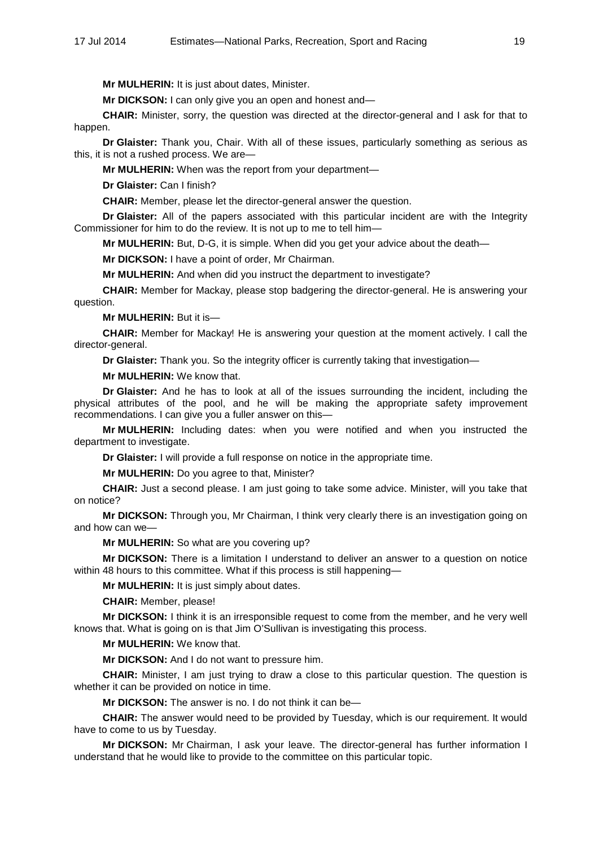**Mr MULHERIN:** It is just about dates, Minister.

**Mr DICKSON:** I can only give you an open and honest and—

**CHAIR:** Minister, sorry, the question was directed at the director-general and I ask for that to happen.

**Dr Glaister:** Thank you, Chair. With all of these issues, particularly something as serious as this, it is not a rushed process. We are—

**Mr MULHERIN:** When was the report from your department—

**Dr Glaister:** Can I finish?

**CHAIR:** Member, please let the director-general answer the question.

**Dr Glaister:** All of the papers associated with this particular incident are with the Integrity Commissioner for him to do the review. It is not up to me to tell him—

**Mr MULHERIN:** But, D-G, it is simple. When did you get your advice about the death—

**Mr DICKSON:** I have a point of order, Mr Chairman.

**Mr MULHERIN:** And when did you instruct the department to investigate?

**CHAIR:** Member for Mackay, please stop badgering the director-general. He is answering your question.

**Mr MULHERIN:** But it is—

**CHAIR:** Member for Mackay! He is answering your question at the moment actively. I call the director-general.

**Dr Glaister:** Thank you. So the integrity officer is currently taking that investigation—

**Mr MULHERIN:** We know that.

**Dr Glaister:** And he has to look at all of the issues surrounding the incident, including the physical attributes of the pool, and he will be making the appropriate safety improvement recommendations. I can give you a fuller answer on this—

**Mr MULHERIN:** Including dates: when you were notified and when you instructed the department to investigate.

**Dr Glaister:** I will provide a full response on notice in the appropriate time.

**Mr MULHERIN:** Do you agree to that, Minister?

**CHAIR:** Just a second please. I am just going to take some advice. Minister, will you take that on notice?

**Mr DICKSON:** Through you, Mr Chairman, I think very clearly there is an investigation going on and how can we—

**Mr MULHERIN:** So what are you covering up?

**Mr DICKSON:** There is a limitation I understand to deliver an answer to a question on notice within 48 hours to this committee. What if this process is still happening-

**Mr MULHERIN:** It is just simply about dates.

**CHAIR:** Member, please!

**Mr DICKSON:** I think it is an irresponsible request to come from the member, and he very well knows that. What is going on is that Jim O'Sullivan is investigating this process.

**Mr MULHERIN:** We know that.

**Mr DICKSON:** And I do not want to pressure him.

**CHAIR:** Minister, I am just trying to draw a close to this particular question. The question is whether it can be provided on notice in time.

**Mr DICKSON:** The answer is no. I do not think it can be—

**CHAIR:** The answer would need to be provided by Tuesday, which is our requirement. It would have to come to us by Tuesday.

**Mr DICKSON:** Mr Chairman, I ask your leave. The director-general has further information I understand that he would like to provide to the committee on this particular topic.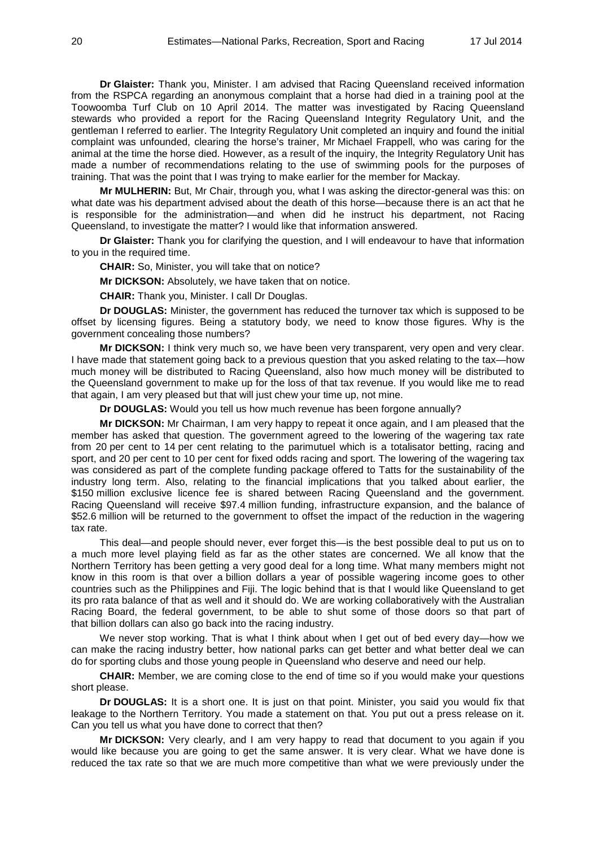**Dr Glaister:** Thank you, Minister. I am advised that Racing Queensland received information from the RSPCA regarding an anonymous complaint that a horse had died in a training pool at the Toowoomba Turf Club on 10 April 2014. The matter was investigated by Racing Queensland stewards who provided a report for the Racing Queensland Integrity Regulatory Unit, and the gentleman I referred to earlier. The Integrity Regulatory Unit completed an inquiry and found the initial complaint was unfounded, clearing the horse's trainer, Mr Michael Frappell, who was caring for the animal at the time the horse died. However, as a result of the inquiry, the Integrity Regulatory Unit has made a number of recommendations relating to the use of swimming pools for the purposes of training. That was the point that I was trying to make earlier for the member for Mackay.

**Mr MULHERIN:** But, Mr Chair, through you, what I was asking the director-general was this: on what date was his department advised about the death of this horse—because there is an act that he is responsible for the administration—and when did he instruct his department, not Racing Queensland, to investigate the matter? I would like that information answered.

**Dr Glaister:** Thank you for clarifying the question, and I will endeavour to have that information to you in the required time.

**CHAIR:** So, Minister, you will take that on notice?

**Mr DICKSON:** Absolutely, we have taken that on notice.

**CHAIR:** Thank you, Minister. I call Dr Douglas.

**Dr DOUGLAS:** Minister, the government has reduced the turnover tax which is supposed to be offset by licensing figures. Being a statutory body, we need to know those figures. Why is the government concealing those numbers?

**Mr DICKSON:** I think very much so, we have been very transparent, very open and very clear. I have made that statement going back to a previous question that you asked relating to the tax—how much money will be distributed to Racing Queensland, also how much money will be distributed to the Queensland government to make up for the loss of that tax revenue. If you would like me to read that again, I am very pleased but that will just chew your time up, not mine.

**Dr DOUGLAS:** Would you tell us how much revenue has been forgone annually?

**Mr DICKSON:** Mr Chairman, I am very happy to repeat it once again, and I am pleased that the member has asked that question. The government agreed to the lowering of the wagering tax rate from 20 per cent to 14 per cent relating to the parimutuel which is a totalisator betting, racing and sport, and 20 per cent to 10 per cent for fixed odds racing and sport. The lowering of the wagering tax was considered as part of the complete funding package offered to Tatts for the sustainability of the industry long term. Also, relating to the financial implications that you talked about earlier, the \$150 million exclusive licence fee is shared between Racing Queensland and the government. Racing Queensland will receive \$97.4 million funding, infrastructure expansion, and the balance of \$52.6 million will be returned to the government to offset the impact of the reduction in the wagering tax rate.

This deal—and people should never, ever forget this—is the best possible deal to put us on to a much more level playing field as far as the other states are concerned. We all know that the Northern Territory has been getting a very good deal for a long time. What many members might not know in this room is that over a billion dollars a year of possible wagering income goes to other countries such as the Philippines and Fiji. The logic behind that is that I would like Queensland to get its pro rata balance of that as well and it should do. We are working collaboratively with the Australian Racing Board, the federal government, to be able to shut some of those doors so that part of that billion dollars can also go back into the racing industry.

We never stop working. That is what I think about when I get out of bed every day-how we can make the racing industry better, how national parks can get better and what better deal we can do for sporting clubs and those young people in Queensland who deserve and need our help.

**CHAIR:** Member, we are coming close to the end of time so if you would make your questions short please.

**Dr DOUGLAS:** It is a short one. It is just on that point. Minister, you said you would fix that leakage to the Northern Territory. You made a statement on that. You put out a press release on it. Can you tell us what you have done to correct that then?

**Mr DICKSON:** Very clearly, and I am very happy to read that document to you again if you would like because you are going to get the same answer. It is very clear. What we have done is reduced the tax rate so that we are much more competitive than what we were previously under the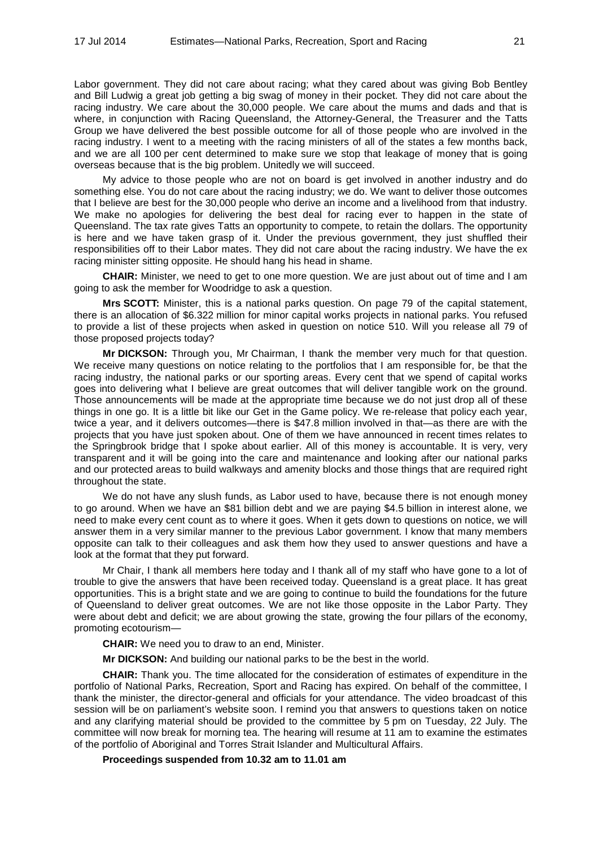Labor government. They did not care about racing; what they cared about was giving Bob Bentley and Bill Ludwig a great job getting a big swag of money in their pocket. They did not care about the racing industry. We care about the 30,000 people. We care about the mums and dads and that is where, in conjunction with Racing Queensland, the Attorney-General, the Treasurer and the Tatts Group we have delivered the best possible outcome for all of those people who are involved in the racing industry. I went to a meeting with the racing ministers of all of the states a few months back, and we are all 100 per cent determined to make sure we stop that leakage of money that is going overseas because that is the big problem. Unitedly we will succeed.

My advice to those people who are not on board is get involved in another industry and do something else. You do not care about the racing industry; we do. We want to deliver those outcomes that I believe are best for the 30,000 people who derive an income and a livelihood from that industry. We make no apologies for delivering the best deal for racing ever to happen in the state of Queensland. The tax rate gives Tatts an opportunity to compete, to retain the dollars. The opportunity is here and we have taken grasp of it. Under the previous government, they just shuffled their responsibilities off to their Labor mates. They did not care about the racing industry. We have the ex racing minister sitting opposite. He should hang his head in shame.

**CHAIR:** Minister, we need to get to one more question. We are just about out of time and I am going to ask the member for Woodridge to ask a question.

**Mrs SCOTT:** Minister, this is a national parks question. On page 79 of the capital statement, there is an allocation of \$6.322 million for minor capital works projects in national parks. You refused to provide a list of these projects when asked in question on notice 510. Will you release all 79 of those proposed projects today?

**Mr DICKSON:** Through you, Mr Chairman, I thank the member very much for that question. We receive many questions on notice relating to the portfolios that I am responsible for, be that the racing industry, the national parks or our sporting areas. Every cent that we spend of capital works goes into delivering what I believe are great outcomes that will deliver tangible work on the ground. Those announcements will be made at the appropriate time because we do not just drop all of these things in one go. It is a little bit like our Get in the Game policy. We re-release that policy each year, twice a year, and it delivers outcomes—there is \$47.8 million involved in that—as there are with the projects that you have just spoken about. One of them we have announced in recent times relates to the Springbrook bridge that I spoke about earlier. All of this money is accountable. It is very, very transparent and it will be going into the care and maintenance and looking after our national parks and our protected areas to build walkways and amenity blocks and those things that are required right throughout the state.

We do not have any slush funds, as Labor used to have, because there is not enough money to go around. When we have an \$81 billion debt and we are paying \$4.5 billion in interest alone, we need to make every cent count as to where it goes. When it gets down to questions on notice, we will answer them in a very similar manner to the previous Labor government. I know that many members opposite can talk to their colleagues and ask them how they used to answer questions and have a look at the format that they put forward.

Mr Chair, I thank all members here today and I thank all of my staff who have gone to a lot of trouble to give the answers that have been received today. Queensland is a great place. It has great opportunities. This is a bright state and we are going to continue to build the foundations for the future of Queensland to deliver great outcomes. We are not like those opposite in the Labor Party. They were about debt and deficit; we are about growing the state, growing the four pillars of the economy, promoting ecotourism—

**CHAIR:** We need you to draw to an end, Minister.

**Mr DICKSON:** And building our national parks to be the best in the world.

**CHAIR:** Thank you. The time allocated for the consideration of estimates of expenditure in the portfolio of National Parks, Recreation, Sport and Racing has expired. On behalf of the committee, I thank the minister, the director-general and officials for your attendance. The video broadcast of this session will be on parliament's website soon. I remind you that answers to questions taken on notice and any clarifying material should be provided to the committee by 5 pm on Tuesday, 22 July. The committee will now break for morning tea. The hearing will resume at 11 am to examine the estimates of the portfolio of Aboriginal and Torres Strait Islander and Multicultural Affairs.

**Proceedings suspended from 10.32 am to 11.01 am**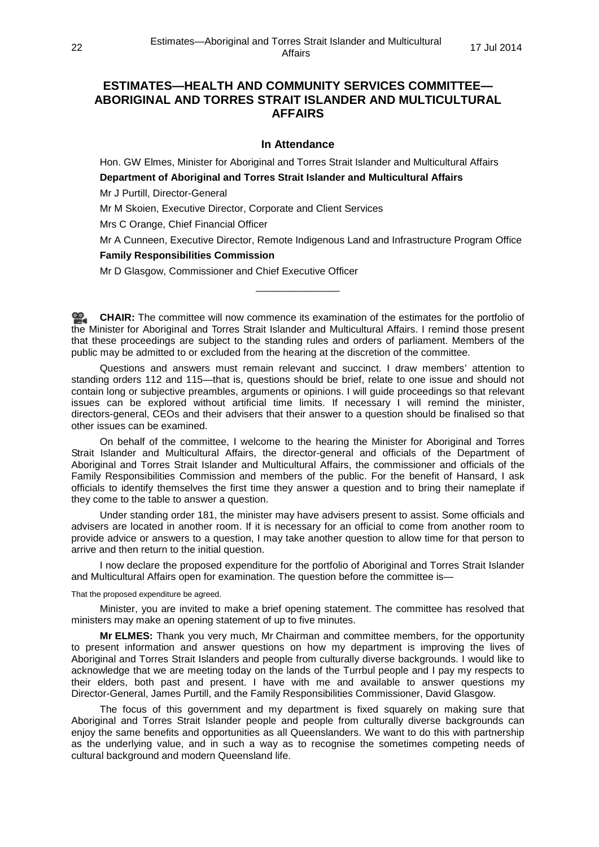# **ESTIMATES—HEALTH AND COMMUNITY SERVICES COMMITTEE— ABORIGINAL AND TORRES STRAIT ISLANDER AND MULTICULTURAL AFFAIRS**

## **In Attendance**

Hon. GW Elmes, Minister for Aboriginal and Torres Strait Islander and Multicultural Affairs **Department of Aboriginal and Torres Strait Islander and Multicultural Affairs**

Mr J Purtill, Director-General

Mr M Skoien, Executive Director, Corporate and Client Services

Mrs C Orange, Chief Financial Officer

Mr A Cunneen, Executive Director, Remote Indigenous Land and Infrastructure Program Office

#### **Family Responsibilities Commission**

Mr D Glasgow, Commissioner and Chief Executive Officer

**[CHAIR:](http://www.parliament.qld.gov.au/docs/find.aspx?id=0MbaHCSC20140717_110113)** The committee will now commence its examination of the estimates for the portfolio of the Minister for Aboriginal and Torres Strait Islander and Multicultural Affairs. I remind those present that these proceedings are subject to the standing rules and orders of parliament. Members of the public may be admitted to or excluded from the hearing at the discretion of the committee.

\_\_\_\_\_\_\_\_\_\_\_\_\_\_\_

Questions and answers must remain relevant and succinct. I draw members' attention to standing orders 112 and 115—that is, questions should be brief, relate to one issue and should not contain long or subjective preambles, arguments or opinions. I will guide proceedings so that relevant issues can be explored without artificial time limits. If necessary I will remind the minister, directors-general, CEOs and their advisers that their answer to a question should be finalised so that other issues can be examined.

On behalf of the committee, I welcome to the hearing the Minister for Aboriginal and Torres Strait Islander and Multicultural Affairs, the director-general and officials of the Department of Aboriginal and Torres Strait Islander and Multicultural Affairs, the commissioner and officials of the Family Responsibilities Commission and members of the public. For the benefit of Hansard, I ask officials to identify themselves the first time they answer a question and to bring their nameplate if they come to the table to answer a question.

Under standing order 181, the minister may have advisers present to assist. Some officials and advisers are located in another room. If it is necessary for an official to come from another room to provide advice or answers to a question, I may take another question to allow time for that person to arrive and then return to the initial question.

I now declare the proposed expenditure for the portfolio of Aboriginal and Torres Strait Islander and Multicultural Affairs open for examination. The question before the committee is—

That the proposed expenditure be agreed.

Minister, you are invited to make a brief opening statement. The committee has resolved that ministers may make an opening statement of up to five minutes.

**Mr ELMES:** Thank you very much, Mr Chairman and committee members, for the opportunity to present information and answer questions on how my department is improving the lives of Aboriginal and Torres Strait Islanders and people from culturally diverse backgrounds. I would like to acknowledge that we are meeting today on the lands of the Turrbul people and I pay my respects to their elders, both past and present. I have with me and available to answer questions my Director-General, James Purtill, and the Family Responsibilities Commissioner, David Glasgow.

The focus of this government and my department is fixed squarely on making sure that Aboriginal and Torres Strait Islander people and people from culturally diverse backgrounds can enjoy the same benefits and opportunities as all Queenslanders. We want to do this with partnership as the underlying value, and in such a way as to recognise the sometimes competing needs of cultural background and modern Queensland life.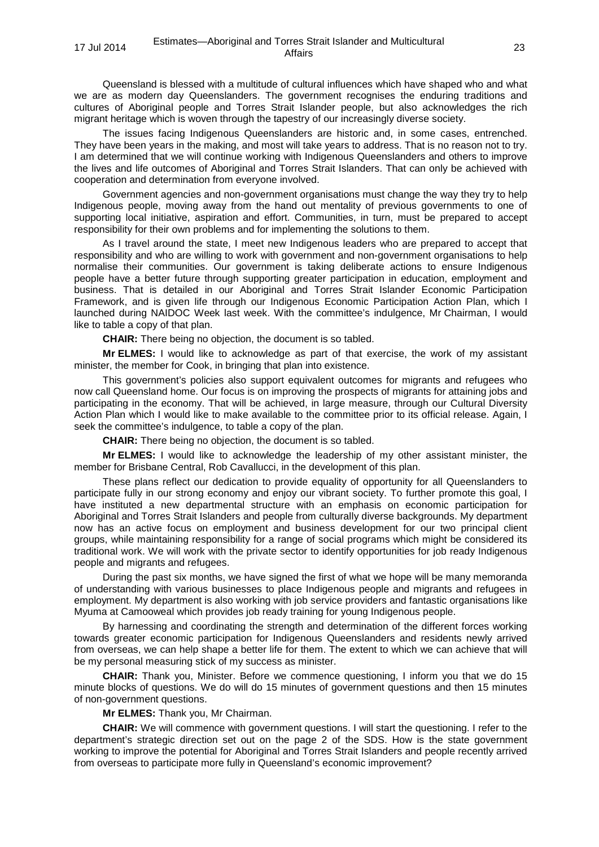Queensland is blessed with a multitude of cultural influences which have shaped who and what we are as modern day Queenslanders. The government recognises the enduring traditions and cultures of Aboriginal people and Torres Strait Islander people, but also acknowledges the rich migrant heritage which is woven through the tapestry of our increasingly diverse society.

The issues facing Indigenous Queenslanders are historic and, in some cases, entrenched. They have been years in the making, and most will take years to address. That is no reason not to try. I am determined that we will continue working with Indigenous Queenslanders and others to improve the lives and life outcomes of Aboriginal and Torres Strait Islanders. That can only be achieved with cooperation and determination from everyone involved.

Government agencies and non-government organisations must change the way they try to help Indigenous people, moving away from the hand out mentality of previous governments to one of supporting local initiative, aspiration and effort. Communities, in turn, must be prepared to accept responsibility for their own problems and for implementing the solutions to them.

As I travel around the state, I meet new Indigenous leaders who are prepared to accept that responsibility and who are willing to work with government and non-government organisations to help normalise their communities. Our government is taking deliberate actions to ensure Indigenous people have a better future through supporting greater participation in education, employment and business. That is detailed in our Aboriginal and Torres Strait Islander Economic Participation Framework, and is given life through our Indigenous Economic Participation Action Plan, which I launched during NAIDOC Week last week. With the committee's indulgence, Mr Chairman, I would like to table a copy of that plan.

**CHAIR:** There being no objection, the document is so tabled.

**Mr ELMES:** I would like to acknowledge as part of that exercise, the work of my assistant minister, the member for Cook, in bringing that plan into existence.

This government's policies also support equivalent outcomes for migrants and refugees who now call Queensland home. Our focus is on improving the prospects of migrants for attaining jobs and participating in the economy. That will be achieved, in large measure, through our Cultural Diversity Action Plan which I would like to make available to the committee prior to its official release. Again, I seek the committee's indulgence, to table a copy of the plan.

**CHAIR:** There being no objection, the document is so tabled.

**Mr ELMES:** I would like to acknowledge the leadership of my other assistant minister, the member for Brisbane Central, Rob Cavallucci, in the development of this plan.

These plans reflect our dedication to provide equality of opportunity for all Queenslanders to participate fully in our strong economy and enjoy our vibrant society. To further promote this goal, I have instituted a new departmental structure with an emphasis on economic participation for Aboriginal and Torres Strait Islanders and people from culturally diverse backgrounds. My department now has an active focus on employment and business development for our two principal client groups, while maintaining responsibility for a range of social programs which might be considered its traditional work. We will work with the private sector to identify opportunities for job ready Indigenous people and migrants and refugees.

During the past six months, we have signed the first of what we hope will be many memoranda of understanding with various businesses to place Indigenous people and migrants and refugees in employment. My department is also working with job service providers and fantastic organisations like Myuma at Camooweal which provides job ready training for young Indigenous people.

By harnessing and coordinating the strength and determination of the different forces working towards greater economic participation for Indigenous Queenslanders and residents newly arrived from overseas, we can help shape a better life for them. The extent to which we can achieve that will be my personal measuring stick of my success as minister.

**CHAIR:** Thank you, Minister. Before we commence questioning, I inform you that we do 15 minute blocks of questions. We do will do 15 minutes of government questions and then 15 minutes of non-government questions.

**Mr ELMES:** Thank you, Mr Chairman.

**CHAIR:** We will commence with government questions. I will start the questioning. I refer to the department's strategic direction set out on the page 2 of the SDS. How is the state government working to improve the potential for Aboriginal and Torres Strait Islanders and people recently arrived from overseas to participate more fully in Queensland's economic improvement?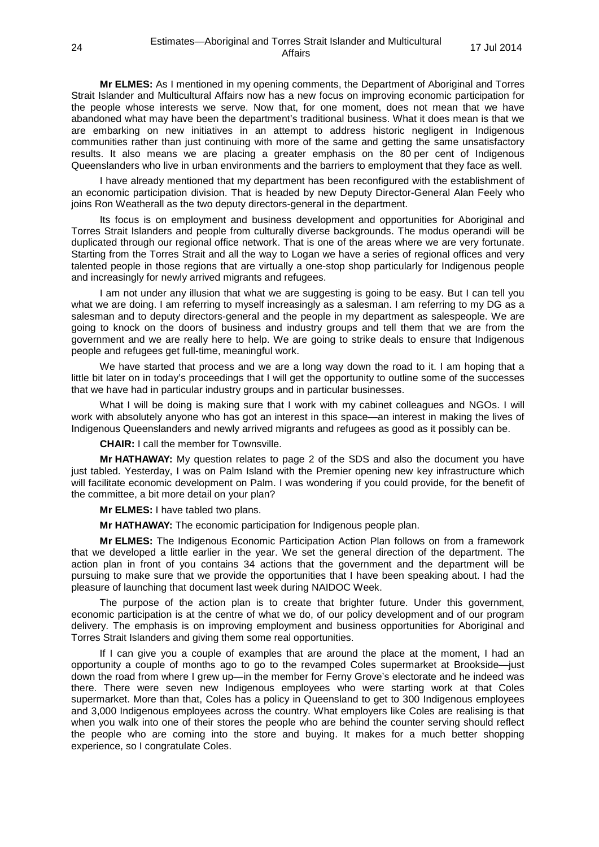**Mr ELMES:** As I mentioned in my opening comments, the Department of Aboriginal and Torres Strait Islander and Multicultural Affairs now has a new focus on improving economic participation for the people whose interests we serve. Now that, for one moment, does not mean that we have abandoned what may have been the department's traditional business. What it does mean is that we are embarking on new initiatives in an attempt to address historic negligent in Indigenous communities rather than just continuing with more of the same and getting the same unsatisfactory results. It also means we are placing a greater emphasis on the 80 per cent of Indigenous Queenslanders who live in urban environments and the barriers to employment that they face as well.

I have already mentioned that my department has been reconfigured with the establishment of an economic participation division. That is headed by new Deputy Director-General Alan Feely who joins Ron Weatherall as the two deputy directors-general in the department.

Its focus is on employment and business development and opportunities for Aboriginal and Torres Strait Islanders and people from culturally diverse backgrounds. The modus operandi will be duplicated through our regional office network. That is one of the areas where we are very fortunate. Starting from the Torres Strait and all the way to Logan we have a series of regional offices and very talented people in those regions that are virtually a one-stop shop particularly for Indigenous people and increasingly for newly arrived migrants and refugees.

I am not under any illusion that what we are suggesting is going to be easy. But I can tell you what we are doing. I am referring to myself increasingly as a salesman. I am referring to my DG as a salesman and to deputy directors-general and the people in my department as salespeople. We are going to knock on the doors of business and industry groups and tell them that we are from the government and we are really here to help. We are going to strike deals to ensure that Indigenous people and refugees get full-time, meaningful work.

We have started that process and we are a long way down the road to it. I am hoping that a little bit later on in today's proceedings that I will get the opportunity to outline some of the successes that we have had in particular industry groups and in particular businesses.

What I will be doing is making sure that I work with my cabinet colleagues and NGOs. I will work with absolutely anyone who has got an interest in this space—an interest in making the lives of Indigenous Queenslanders and newly arrived migrants and refugees as good as it possibly can be.

**CHAIR:** I call the member for Townsville.

**Mr HATHAWAY:** My question relates to page 2 of the SDS and also the document you have just tabled. Yesterday, I was on Palm Island with the Premier opening new key infrastructure which will facilitate economic development on Palm. I was wondering if you could provide, for the benefit of the committee, a bit more detail on your plan?

**Mr ELMES:** I have tabled two plans.

**Mr HATHAWAY:** The economic participation for Indigenous people plan.

**Mr ELMES:** The Indigenous Economic Participation Action Plan follows on from a framework that we developed a little earlier in the year. We set the general direction of the department. The action plan in front of you contains 34 actions that the government and the department will be pursuing to make sure that we provide the opportunities that I have been speaking about. I had the pleasure of launching that document last week during NAIDOC Week.

The purpose of the action plan is to create that brighter future. Under this government, economic participation is at the centre of what we do, of our policy development and of our program delivery. The emphasis is on improving employment and business opportunities for Aboriginal and Torres Strait Islanders and giving them some real opportunities.

If I can give you a couple of examples that are around the place at the moment, I had an opportunity a couple of months ago to go to the revamped Coles supermarket at Brookside—just down the road from where I grew up—in the member for Ferny Grove's electorate and he indeed was there. There were seven new Indigenous employees who were starting work at that Coles supermarket. More than that, Coles has a policy in Queensland to get to 300 Indigenous employees and 3,000 Indigenous employees across the country. What employers like Coles are realising is that when you walk into one of their stores the people who are behind the counter serving should reflect the people who are coming into the store and buying. It makes for a much better shopping experience, so I congratulate Coles.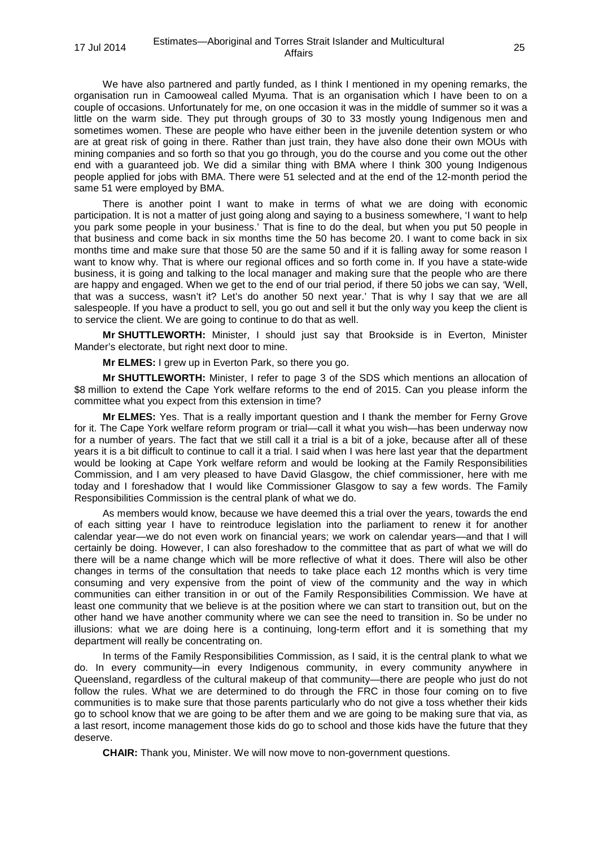We have also partnered and partly funded, as I think I mentioned in my opening remarks, the organisation run in Camooweal called Myuma. That is an organisation which I have been to on a couple of occasions. Unfortunately for me, on one occasion it was in the middle of summer so it was a little on the warm side. They put through groups of 30 to 33 mostly young Indigenous men and sometimes women. These are people who have either been in the juvenile detention system or who are at great risk of going in there. Rather than just train, they have also done their own MOUs with mining companies and so forth so that you go through, you do the course and you come out the other end with a guaranteed job. We did a similar thing with BMA where I think 300 young Indigenous people applied for jobs with BMA. There were 51 selected and at the end of the 12-month period the same 51 were employed by BMA.

There is another point I want to make in terms of what we are doing with economic participation. It is not a matter of just going along and saying to a business somewhere, 'I want to help you park some people in your business.' That is fine to do the deal, but when you put 50 people in that business and come back in six months time the 50 has become 20. I want to come back in six months time and make sure that those 50 are the same 50 and if it is falling away for some reason I want to know why. That is where our regional offices and so forth come in. If you have a state-wide business, it is going and talking to the local manager and making sure that the people who are there are happy and engaged. When we get to the end of our trial period, if there 50 jobs we can say, 'Well, that was a success, wasn't it? Let's do another 50 next year.' That is why I say that we are all salespeople. If you have a product to sell, you go out and sell it but the only way you keep the client is to service the client. We are going to continue to do that as well.

**Mr SHUTTLEWORTH:** Minister, I should just say that Brookside is in Everton, Minister Mander's electorate, but right next door to mine.

**Mr ELMES:** I grew up in Everton Park, so there you go.

**Mr SHUTTLEWORTH:** Minister, I refer to page 3 of the SDS which mentions an allocation of \$8 million to extend the Cape York welfare reforms to the end of 2015. Can you please inform the committee what you expect from this extension in time?

**Mr ELMES:** Yes. That is a really important question and I thank the member for Ferny Grove for it. The Cape York welfare reform program or trial—call it what you wish—has been underway now for a number of years. The fact that we still call it a trial is a bit of a joke, because after all of these years it is a bit difficult to continue to call it a trial. I said when I was here last year that the department would be looking at Cape York welfare reform and would be looking at the Family Responsibilities Commission, and I am very pleased to have David Glasgow, the chief commissioner, here with me today and I foreshadow that I would like Commissioner Glasgow to say a few words. The Family Responsibilities Commission is the central plank of what we do.

As members would know, because we have deemed this a trial over the years, towards the end of each sitting year I have to reintroduce legislation into the parliament to renew it for another calendar year—we do not even work on financial years; we work on calendar years—and that I will certainly be doing. However, I can also foreshadow to the committee that as part of what we will do there will be a name change which will be more reflective of what it does. There will also be other changes in terms of the consultation that needs to take place each 12 months which is very time consuming and very expensive from the point of view of the community and the way in which communities can either transition in or out of the Family Responsibilities Commission. We have at least one community that we believe is at the position where we can start to transition out, but on the other hand we have another community where we can see the need to transition in. So be under no illusions: what we are doing here is a continuing, long-term effort and it is something that my department will really be concentrating on.

In terms of the Family Responsibilities Commission, as I said, it is the central plank to what we do. In every community—in every Indigenous community, in every community anywhere in Queensland, regardless of the cultural makeup of that community—there are people who just do not follow the rules. What we are determined to do through the FRC in those four coming on to five communities is to make sure that those parents particularly who do not give a toss whether their kids go to school know that we are going to be after them and we are going to be making sure that via, as a last resort, income management those kids do go to school and those kids have the future that they deserve.

**CHAIR:** Thank you, Minister. We will now move to non-government questions.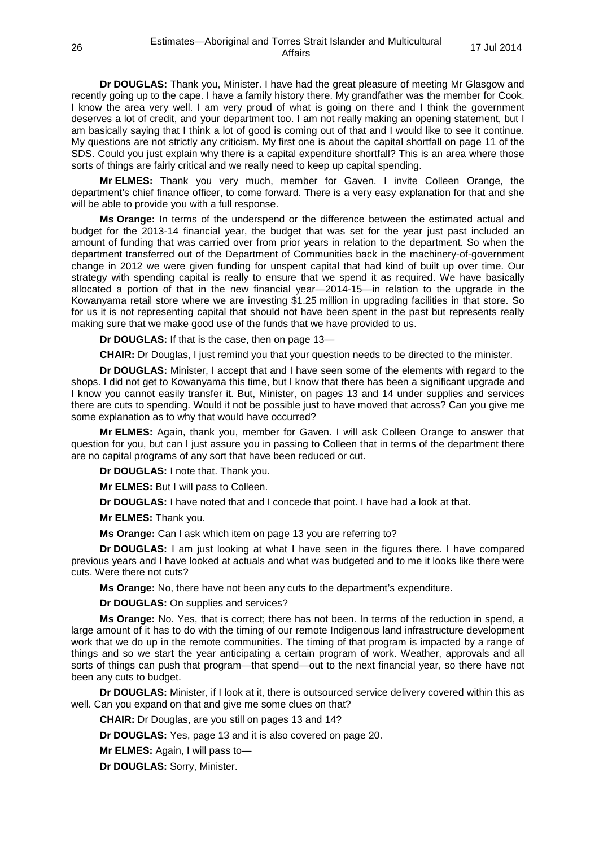**Dr DOUGLAS:** Thank you, Minister. I have had the great pleasure of meeting Mr Glasgow and recently going up to the cape. I have a family history there. My grandfather was the member for Cook. I know the area very well. I am very proud of what is going on there and I think the government deserves a lot of credit, and your department too. I am not really making an opening statement, but I am basically saying that I think a lot of good is coming out of that and I would like to see it continue. My questions are not strictly any criticism. My first one is about the capital shortfall on page 11 of the SDS. Could you just explain why there is a capital expenditure shortfall? This is an area where those sorts of things are fairly critical and we really need to keep up capital spending.

**Mr ELMES:** Thank you very much, member for Gaven. I invite Colleen Orange, the department's chief finance officer, to come forward. There is a very easy explanation for that and she will be able to provide you with a full response.

**Ms Orange:** In terms of the underspend or the difference between the estimated actual and budget for the 2013-14 financial year, the budget that was set for the year just past included an amount of funding that was carried over from prior years in relation to the department. So when the department transferred out of the Department of Communities back in the machinery-of-government change in 2012 we were given funding for unspent capital that had kind of built up over time. Our strategy with spending capital is really to ensure that we spend it as required. We have basically allocated a portion of that in the new financial year—2014-15—in relation to the upgrade in the Kowanyama retail store where we are investing \$1.25 million in upgrading facilities in that store. So for us it is not representing capital that should not have been spent in the past but represents really making sure that we make good use of the funds that we have provided to us.

**Dr DOUGLAS:** If that is the case, then on page 13—

**CHAIR:** Dr Douglas, I just remind you that your question needs to be directed to the minister.

**Dr DOUGLAS:** Minister, I accept that and I have seen some of the elements with regard to the shops. I did not get to Kowanyama this time, but I know that there has been a significant upgrade and I know you cannot easily transfer it. But, Minister, on pages 13 and 14 under supplies and services there are cuts to spending. Would it not be possible just to have moved that across? Can you give me some explanation as to why that would have occurred?

**Mr ELMES:** Again, thank you, member for Gaven. I will ask Colleen Orange to answer that question for you, but can I just assure you in passing to Colleen that in terms of the department there are no capital programs of any sort that have been reduced or cut.

**Dr DOUGLAS:** I note that. Thank you.

**Mr ELMES:** But I will pass to Colleen.

**Dr DOUGLAS:** I have noted that and I concede that point. I have had a look at that.

**Mr ELMES:** Thank you.

**Ms Orange:** Can I ask which item on page 13 you are referring to?

**Dr DOUGLAS:** I am just looking at what I have seen in the figures there. I have compared previous years and I have looked at actuals and what was budgeted and to me it looks like there were cuts. Were there not cuts?

**Ms Orange:** No, there have not been any cuts to the department's expenditure.

**Dr DOUGLAS:** On supplies and services?

**Ms Orange:** No. Yes, that is correct; there has not been. In terms of the reduction in spend, a large amount of it has to do with the timing of our remote Indigenous land infrastructure development work that we do up in the remote communities. The timing of that program is impacted by a range of things and so we start the year anticipating a certain program of work. Weather, approvals and all sorts of things can push that program—that spend—out to the next financial year, so there have not been any cuts to budget.

**Dr DOUGLAS:** Minister, if I look at it, there is outsourced service delivery covered within this as well. Can you expand on that and give me some clues on that?

**CHAIR:** Dr Douglas, are you still on pages 13 and 14?

**Dr DOUGLAS:** Yes, page 13 and it is also covered on page 20.

**Mr ELMES:** Again, I will pass to—

**Dr DOUGLAS:** Sorry, Minister.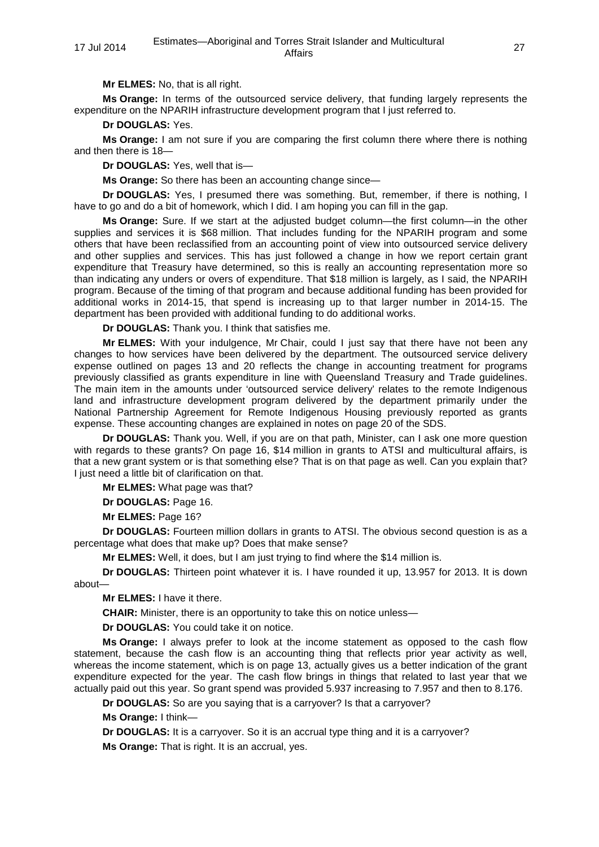**Mr ELMES:** No, that is all right.

**Ms Orange:** In terms of the outsourced service delivery, that funding largely represents the expenditure on the NPARIH infrastructure development program that I just referred to.

**Dr DOUGLAS:** Yes.

**Ms Orange:** I am not sure if you are comparing the first column there where there is nothing and then there is 18—

**Dr DOUGLAS:** Yes, well that is—

**Ms Orange:** So there has been an accounting change since—

**Dr DOUGLAS:** Yes, I presumed there was something. But, remember, if there is nothing, I have to go and do a bit of homework, which I did. I am hoping you can fill in the gap.

**Ms Orange:** Sure. If we start at the adjusted budget column—the first column—in the other supplies and services it is \$68 million. That includes funding for the NPARIH program and some others that have been reclassified from an accounting point of view into outsourced service delivery and other supplies and services. This has just followed a change in how we report certain grant expenditure that Treasury have determined, so this is really an accounting representation more so than indicating any unders or overs of expenditure. That \$18 million is largely, as I said, the NPARIH program. Because of the timing of that program and because additional funding has been provided for additional works in 2014-15, that spend is increasing up to that larger number in 2014-15. The department has been provided with additional funding to do additional works.

**Dr DOUGLAS:** Thank you. I think that satisfies me.

**Mr ELMES:** With your indulgence, Mr Chair, could I just say that there have not been any changes to how services have been delivered by the department. The outsourced service delivery expense outlined on pages 13 and 20 reflects the change in accounting treatment for programs previously classified as grants expenditure in line with Queensland Treasury and Trade guidelines. The main item in the amounts under 'outsourced service delivery' relates to the remote Indigenous land and infrastructure development program delivered by the department primarily under the National Partnership Agreement for Remote Indigenous Housing previously reported as grants expense. These accounting changes are explained in notes on page 20 of the SDS.

**Dr DOUGLAS:** Thank you. Well, if you are on that path, Minister, can I ask one more question with regards to these grants? On page 16, \$14 million in grants to ATSI and multicultural affairs, is that a new grant system or is that something else? That is on that page as well. Can you explain that? I just need a little bit of clarification on that.

**Mr ELMES:** What page was that?

**Dr DOUGLAS:** Page 16.

**Mr ELMES:** Page 16?

**Dr DOUGLAS:** Fourteen million dollars in grants to ATSI. The obvious second question is as a percentage what does that make up? Does that make sense?

**Mr ELMES:** Well, it does, but I am just trying to find where the \$14 million is.

**Dr DOUGLAS:** Thirteen point whatever it is. I have rounded it up, 13.957 for 2013. It is down about—

**Mr ELMES:** I have it there.

**CHAIR:** Minister, there is an opportunity to take this on notice unless—

**Dr DOUGLAS:** You could take it on notice.

**Ms Orange:** I always prefer to look at the income statement as opposed to the cash flow statement, because the cash flow is an accounting thing that reflects prior year activity as well, whereas the income statement, which is on page 13, actually gives us a better indication of the grant expenditure expected for the year. The cash flow brings in things that related to last year that we actually paid out this year. So grant spend was provided 5.937 increasing to 7.957 and then to 8.176.

**Dr DOUGLAS:** So are you saying that is a carryover? Is that a carryover?

**Ms Orange:** I think—

**Dr DOUGLAS:** It is a carryover. So it is an accrual type thing and it is a carryover?

**Ms Orange:** That is right. It is an accrual, yes.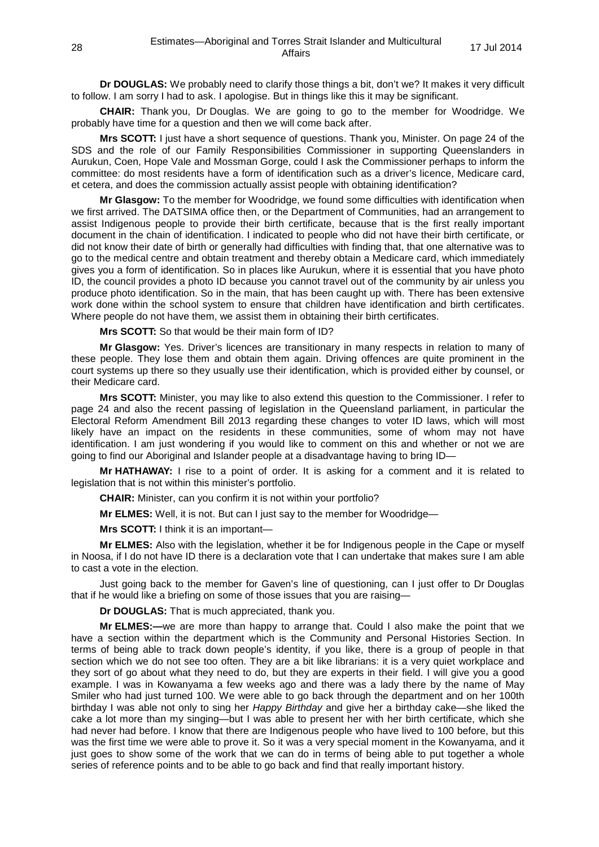**Dr DOUGLAS:** We probably need to clarify those things a bit, don't we? It makes it very difficult to follow. I am sorry I had to ask. I apologise. But in things like this it may be significant.

**CHAIR:** Thank you, Dr Douglas. We are going to go to the member for Woodridge. We probably have time for a question and then we will come back after.

**Mrs SCOTT:** I just have a short sequence of questions. Thank you, Minister. On page 24 of the SDS and the role of our Family Responsibilities Commissioner in supporting Queenslanders in Aurukun, Coen, Hope Vale and Mossman Gorge, could I ask the Commissioner perhaps to inform the committee: do most residents have a form of identification such as a driver's licence, Medicare card, et cetera, and does the commission actually assist people with obtaining identification?

**Mr Glasgow:** To the member for Woodridge, we found some difficulties with identification when we first arrived. The DATSIMA office then, or the Department of Communities, had an arrangement to assist Indigenous people to provide their birth certificate, because that is the first really important document in the chain of identification. I indicated to people who did not have their birth certificate, or did not know their date of birth or generally had difficulties with finding that, that one alternative was to go to the medical centre and obtain treatment and thereby obtain a Medicare card, which immediately gives you a form of identification. So in places like Aurukun, where it is essential that you have photo ID, the council provides a photo ID because you cannot travel out of the community by air unless you produce photo identification. So in the main, that has been caught up with. There has been extensive work done within the school system to ensure that children have identification and birth certificates. Where people do not have them, we assist them in obtaining their birth certificates.

**Mrs SCOTT:** So that would be their main form of ID?

**Mr Glasgow:** Yes. Driver's licences are transitionary in many respects in relation to many of these people. They lose them and obtain them again. Driving offences are quite prominent in the court systems up there so they usually use their identification, which is provided either by counsel, or their Medicare card.

**Mrs SCOTT:** Minister, you may like to also extend this question to the Commissioner. I refer to page 24 and also the recent passing of legislation in the Queensland parliament, in particular the Electoral Reform Amendment Bill 2013 regarding these changes to voter ID laws, which will most likely have an impact on the residents in these communities, some of whom may not have identification. I am just wondering if you would like to comment on this and whether or not we are going to find our Aboriginal and Islander people at a disadvantage having to bring ID—

**Mr HATHAWAY:** I rise to a point of order. It is asking for a comment and it is related to legislation that is not within this minister's portfolio.

**CHAIR:** Minister, can you confirm it is not within your portfolio?

**Mr ELMES:** Well, it is not. But can I just say to the member for Woodridge—

**Mrs SCOTT:** I think it is an important—

**Mr ELMES:** Also with the legislation, whether it be for Indigenous people in the Cape or myself in Noosa, if I do not have ID there is a declaration vote that I can undertake that makes sure I am able to cast a vote in the election.

Just going back to the member for Gaven's line of questioning, can I just offer to Dr Douglas that if he would like a briefing on some of those issues that you are raising—

**Dr DOUGLAS:** That is much appreciated, thank you.

**Mr ELMES:—**we are more than happy to arrange that. Could I also make the point that we have a section within the department which is the Community and Personal Histories Section. In terms of being able to track down people's identity, if you like, there is a group of people in that section which we do not see too often. They are a bit like librarians: it is a very quiet workplace and they sort of go about what they need to do, but they are experts in their field. I will give you a good example. I was in Kowanyama a few weeks ago and there was a lady there by the name of May Smiler who had just turned 100. We were able to go back through the department and on her 100th birthday I was able not only to sing her *Happy Birthday* and give her a birthday cake—she liked the cake a lot more than my singing—but I was able to present her with her birth certificate, which she had never had before. I know that there are Indigenous people who have lived to 100 before, but this was the first time we were able to prove it. So it was a very special moment in the Kowanyama, and it just goes to show some of the work that we can do in terms of being able to put together a whole series of reference points and to be able to go back and find that really important history.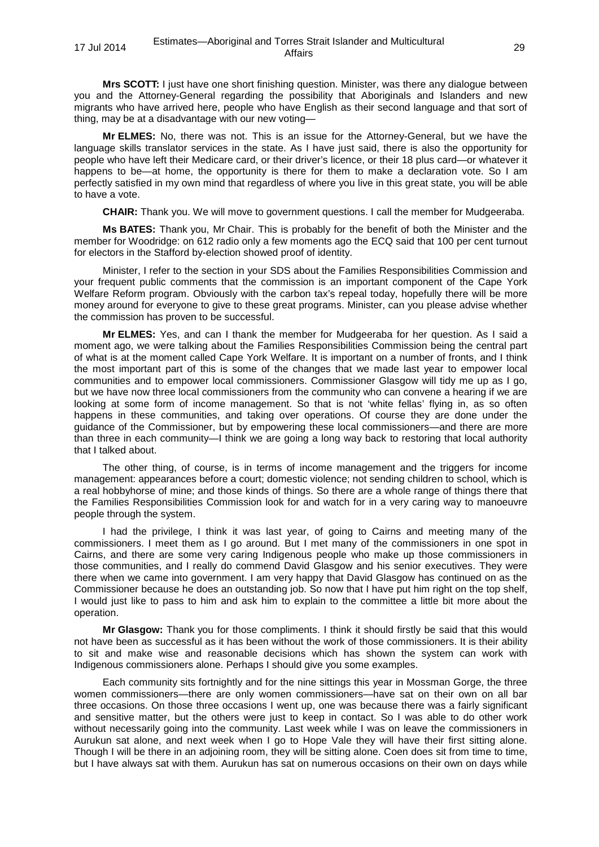**Mrs SCOTT:** I just have one short finishing question. Minister, was there any dialogue between you and the Attorney-General regarding the possibility that Aboriginals and Islanders and new migrants who have arrived here, people who have English as their second language and that sort of thing, may be at a disadvantage with our new voting—

**Mr ELMES:** No, there was not. This is an issue for the Attorney-General, but we have the language skills translator services in the state. As I have just said, there is also the opportunity for people who have left their Medicare card, or their driver's licence, or their 18 plus card—or whatever it happens to be—at home, the opportunity is there for them to make a declaration vote. So I am perfectly satisfied in my own mind that regardless of where you live in this great state, you will be able to have a vote.

**CHAIR:** Thank you. We will move to government questions. I call the member for Mudgeeraba.

**Ms BATES:** Thank you, Mr Chair. This is probably for the benefit of both the Minister and the member for Woodridge: on 612 radio only a few moments ago the ECQ said that 100 per cent turnout for electors in the Stafford by-election showed proof of identity.

Minister, I refer to the section in your SDS about the Families Responsibilities Commission and your frequent public comments that the commission is an important component of the Cape York Welfare Reform program. Obviously with the carbon tax's repeal today, hopefully there will be more money around for everyone to give to these great programs. Minister, can you please advise whether the commission has proven to be successful.

**Mr ELMES:** Yes, and can I thank the member for Mudgeeraba for her question. As I said a moment ago, we were talking about the Families Responsibilities Commission being the central part of what is at the moment called Cape York Welfare. It is important on a number of fronts, and I think the most important part of this is some of the changes that we made last year to empower local communities and to empower local commissioners. Commissioner Glasgow will tidy me up as I go, but we have now three local commissioners from the community who can convene a hearing if we are looking at some form of income management. So that is not 'white fellas' flying in, as so often happens in these communities, and taking over operations. Of course they are done under the guidance of the Commissioner, but by empowering these local commissioners—and there are more than three in each community—I think we are going a long way back to restoring that local authority that I talked about.

The other thing, of course, is in terms of income management and the triggers for income management: appearances before a court; domestic violence; not sending children to school, which is a real hobbyhorse of mine; and those kinds of things. So there are a whole range of things there that the Families Responsibilities Commission look for and watch for in a very caring way to manoeuvre people through the system.

I had the privilege, I think it was last year, of going to Cairns and meeting many of the commissioners. I meet them as I go around. But I met many of the commissioners in one spot in Cairns, and there are some very caring Indigenous people who make up those commissioners in those communities, and I really do commend David Glasgow and his senior executives. They were there when we came into government. I am very happy that David Glasgow has continued on as the Commissioner because he does an outstanding job. So now that I have put him right on the top shelf, I would just like to pass to him and ask him to explain to the committee a little bit more about the operation.

**Mr Glasgow:** Thank you for those compliments. I think it should firstly be said that this would not have been as successful as it has been without the work of those commissioners. It is their ability to sit and make wise and reasonable decisions which has shown the system can work with Indigenous commissioners alone. Perhaps I should give you some examples.

Each community sits fortnightly and for the nine sittings this year in Mossman Gorge, the three women commissioners—there are only women commissioners—have sat on their own on all bar three occasions. On those three occasions I went up, one was because there was a fairly significant and sensitive matter, but the others were just to keep in contact. So I was able to do other work without necessarily going into the community. Last week while I was on leave the commissioners in Aurukun sat alone, and next week when I go to Hope Vale they will have their first sitting alone. Though I will be there in an adjoining room, they will be sitting alone. Coen does sit from time to time, but I have always sat with them. Aurukun has sat on numerous occasions on their own on days while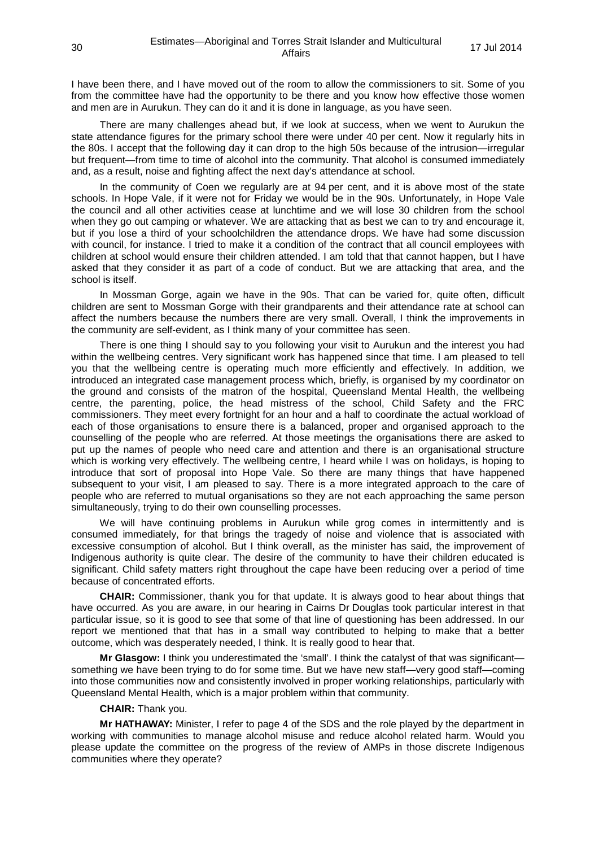I have been there, and I have moved out of the room to allow the commissioners to sit. Some of you from the committee have had the opportunity to be there and you know how effective those women and men are in Aurukun. They can do it and it is done in language, as you have seen.

There are many challenges ahead but, if we look at success, when we went to Aurukun the state attendance figures for the primary school there were under 40 per cent. Now it regularly hits in the 80s. I accept that the following day it can drop to the high 50s because of the intrusion—irregular but frequent—from time to time of alcohol into the community. That alcohol is consumed immediately and, as a result, noise and fighting affect the next day's attendance at school.

In the community of Coen we regularly are at 94 per cent, and it is above most of the state schools. In Hope Vale, if it were not for Friday we would be in the 90s. Unfortunately, in Hope Vale the council and all other activities cease at lunchtime and we will lose 30 children from the school when they go out camping or whatever. We are attacking that as best we can to try and encourage it, but if you lose a third of your schoolchildren the attendance drops. We have had some discussion with council, for instance. I tried to make it a condition of the contract that all council employees with children at school would ensure their children attended. I am told that that cannot happen, but I have asked that they consider it as part of a code of conduct. But we are attacking that area, and the school is itself.

In Mossman Gorge, again we have in the 90s. That can be varied for, quite often, difficult children are sent to Mossman Gorge with their grandparents and their attendance rate at school can affect the numbers because the numbers there are very small. Overall, I think the improvements in the community are self-evident, as I think many of your committee has seen.

There is one thing I should say to you following your visit to Aurukun and the interest you had within the wellbeing centres. Very significant work has happened since that time. I am pleased to tell you that the wellbeing centre is operating much more efficiently and effectively. In addition, we introduced an integrated case management process which, briefly, is organised by my coordinator on the ground and consists of the matron of the hospital, Queensland Mental Health, the wellbeing centre, the parenting, police, the head mistress of the school, Child Safety and the FRC commissioners. They meet every fortnight for an hour and a half to coordinate the actual workload of each of those organisations to ensure there is a balanced, proper and organised approach to the counselling of the people who are referred. At those meetings the organisations there are asked to put up the names of people who need care and attention and there is an organisational structure which is working very effectively. The wellbeing centre, I heard while I was on holidays, is hoping to introduce that sort of proposal into Hope Vale. So there are many things that have happened subsequent to your visit, I am pleased to say. There is a more integrated approach to the care of people who are referred to mutual organisations so they are not each approaching the same person simultaneously, trying to do their own counselling processes.

We will have continuing problems in Aurukun while grog comes in intermittently and is consumed immediately, for that brings the tragedy of noise and violence that is associated with excessive consumption of alcohol. But I think overall, as the minister has said, the improvement of Indigenous authority is quite clear. The desire of the community to have their children educated is significant. Child safety matters right throughout the cape have been reducing over a period of time because of concentrated efforts.

**CHAIR:** Commissioner, thank you for that update. It is always good to hear about things that have occurred. As you are aware, in our hearing in Cairns Dr Douglas took particular interest in that particular issue, so it is good to see that some of that line of questioning has been addressed. In our report we mentioned that that has in a small way contributed to helping to make that a better outcome, which was desperately needed, I think. It is really good to hear that.

**Mr Glasgow:** I think you underestimated the 'small'. I think the catalyst of that was significant something we have been trying to do for some time. But we have new staff—very good staff—coming into those communities now and consistently involved in proper working relationships, particularly with Queensland Mental Health, which is a major problem within that community.

## **CHAIR:** Thank you.

**Mr HATHAWAY:** Minister, I refer to page 4 of the SDS and the role played by the department in working with communities to manage alcohol misuse and reduce alcohol related harm. Would you please update the committee on the progress of the review of AMPs in those discrete Indigenous communities where they operate?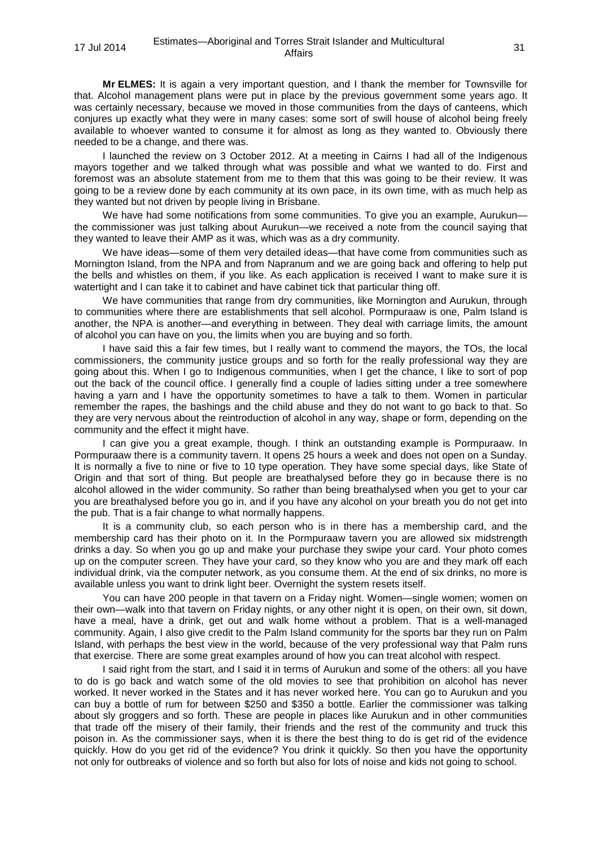**Mr ELMES:** It is again a very important question, and I thank the member for Townsville for that. Alcohol management plans were put in place by the previous government some years ago. It was certainly necessary, because we moved in those communities from the days of canteens, which conjures up exactly what they were in many cases: some sort of swill house of alcohol being freely available to whoever wanted to consume it for almost as long as they wanted to. Obviously there needed to be a change, and there was.

I launched the review on 3 October 2012. At a meeting in Cairns I had all of the Indigenous mayors together and we talked through what was possible and what we wanted to do. First and foremost was an absolute statement from me to them that this was going to be their review. It was going to be a review done by each community at its own pace, in its own time, with as much help as they wanted but not driven by people living in Brisbane.

We have had some notifications from some communities. To give you an example, Aurukun– the commissioner was just talking about Aurukun—we received a note from the council saying that they wanted to leave their AMP as it was, which was as a dry community.

We have ideas—some of them very detailed ideas—that have come from communities such as Mornington Island, from the NPA and from Napranum and we are going back and offering to help put the bells and whistles on them, if you like. As each application is received I want to make sure it is watertight and I can take it to cabinet and have cabinet tick that particular thing off.

We have communities that range from dry communities, like Mornington and Aurukun, through to communities where there are establishments that sell alcohol. Pormpuraaw is one, Palm Island is another, the NPA is another—and everything in between. They deal with carriage limits, the amount of alcohol you can have on you, the limits when you are buying and so forth.

I have said this a fair few times, but I really want to commend the mayors, the TOs, the local commissioners, the community justice groups and so forth for the really professional way they are going about this. When I go to Indigenous communities, when I get the chance, I like to sort of pop out the back of the council office. I generally find a couple of ladies sitting under a tree somewhere having a yarn and I have the opportunity sometimes to have a talk to them. Women in particular remember the rapes, the bashings and the child abuse and they do not want to go back to that. So they are very nervous about the reintroduction of alcohol in any way, shape or form, depending on the community and the effect it might have.

I can give you a great example, though. I think an outstanding example is Pormpuraaw. In Pormpuraaw there is a community tavern. It opens 25 hours a week and does not open on a Sunday. It is normally a five to nine or five to 10 type operation. They have some special days, like State of Origin and that sort of thing. But people are breathalysed before they go in because there is no alcohol allowed in the wider community. So rather than being breathalysed when you get to your car you are breathalysed before you go in, and if you have any alcohol on your breath you do not get into the pub. That is a fair change to what normally happens.

It is a community club, so each person who is in there has a membership card, and the membership card has their photo on it. In the Pormpuraaw tavern you are allowed six midstrength drinks a day. So when you go up and make your purchase they swipe your card. Your photo comes up on the computer screen. They have your card, so they know who you are and they mark off each individual drink, via the computer network, as you consume them. At the end of six drinks, no more is available unless you want to drink light beer. Overnight the system resets itself.

You can have 200 people in that tavern on a Friday night. Women—single women; women on their own—walk into that tavern on Friday nights, or any other night it is open, on their own, sit down, have a meal, have a drink, get out and walk home without a problem. That is a well-managed community. Again, I also give credit to the Palm Island community for the sports bar they run on Palm Island, with perhaps the best view in the world, because of the very professional way that Palm runs that exercise. There are some great examples around of how you can treat alcohol with respect.

I said right from the start, and I said it in terms of Aurukun and some of the others: all you have to do is go back and watch some of the old movies to see that prohibition on alcohol has never worked. It never worked in the States and it has never worked here. You can go to Aurukun and you can buy a bottle of rum for between \$250 and \$350 a bottle. Earlier the commissioner was talking about sly groggers and so forth. These are people in places like Aurukun and in other communities that trade off the misery of their family, their friends and the rest of the community and truck this poison in. As the commissioner says, when it is there the best thing to do is get rid of the evidence quickly. How do you get rid of the evidence? You drink it quickly. So then you have the opportunity not only for outbreaks of violence and so forth but also for lots of noise and kids not going to school.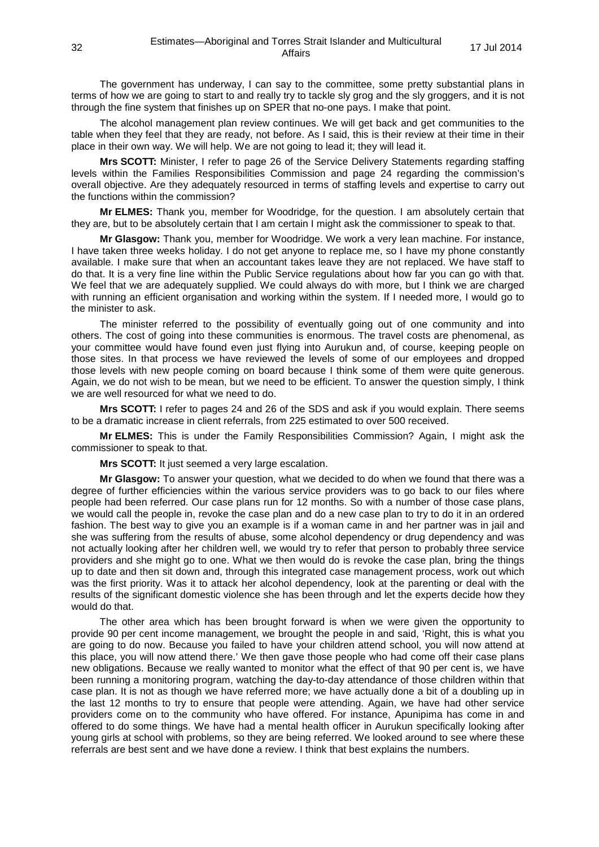The government has underway, I can say to the committee, some pretty substantial plans in terms of how we are going to start to and really try to tackle sly grog and the sly groggers, and it is not through the fine system that finishes up on SPER that no-one pays. I make that point.

The alcohol management plan review continues. We will get back and get communities to the table when they feel that they are ready, not before. As I said, this is their review at their time in their place in their own way. We will help. We are not going to lead it; they will lead it.

**Mrs SCOTT:** Minister, I refer to page 26 of the Service Delivery Statements regarding staffing levels within the Families Responsibilities Commission and page 24 regarding the commission's overall objective. Are they adequately resourced in terms of staffing levels and expertise to carry out the functions within the commission?

**Mr ELMES:** Thank you, member for Woodridge, for the question. I am absolutely certain that they are, but to be absolutely certain that I am certain I might ask the commissioner to speak to that.

**Mr Glasgow:** Thank you, member for Woodridge. We work a very lean machine. For instance, I have taken three weeks holiday. I do not get anyone to replace me, so I have my phone constantly available. I make sure that when an accountant takes leave they are not replaced. We have staff to do that. It is a very fine line within the Public Service regulations about how far you can go with that. We feel that we are adequately supplied. We could always do with more, but I think we are charged with running an efficient organisation and working within the system. If I needed more, I would go to the minister to ask.

The minister referred to the possibility of eventually going out of one community and into others. The cost of going into these communities is enormous. The travel costs are phenomenal, as your committee would have found even just flying into Aurukun and, of course, keeping people on those sites. In that process we have reviewed the levels of some of our employees and dropped those levels with new people coming on board because I think some of them were quite generous. Again, we do not wish to be mean, but we need to be efficient. To answer the question simply, I think we are well resourced for what we need to do.

**Mrs SCOTT:** I refer to pages 24 and 26 of the SDS and ask if you would explain. There seems to be a dramatic increase in client referrals, from 225 estimated to over 500 received.

**Mr ELMES:** This is under the Family Responsibilities Commission? Again, I might ask the commissioner to speak to that.

**Mrs SCOTT:** It just seemed a very large escalation.

**Mr Glasgow:** To answer your question, what we decided to do when we found that there was a degree of further efficiencies within the various service providers was to go back to our files where people had been referred. Our case plans run for 12 months. So with a number of those case plans, we would call the people in, revoke the case plan and do a new case plan to try to do it in an ordered fashion. The best way to give you an example is if a woman came in and her partner was in jail and she was suffering from the results of abuse, some alcohol dependency or drug dependency and was not actually looking after her children well, we would try to refer that person to probably three service providers and she might go to one. What we then would do is revoke the case plan, bring the things up to date and then sit down and, through this integrated case management process, work out which was the first priority. Was it to attack her alcohol dependency, look at the parenting or deal with the results of the significant domestic violence she has been through and let the experts decide how they would do that.

The other area which has been brought forward is when we were given the opportunity to provide 90 per cent income management, we brought the people in and said, 'Right, this is what you are going to do now. Because you failed to have your children attend school, you will now attend at this place, you will now attend there.' We then gave those people who had come off their case plans new obligations. Because we really wanted to monitor what the effect of that 90 per cent is, we have been running a monitoring program, watching the day-to-day attendance of those children within that case plan. It is not as though we have referred more; we have actually done a bit of a doubling up in the last 12 months to try to ensure that people were attending. Again, we have had other service providers come on to the community who have offered. For instance, Apunipima has come in and offered to do some things. We have had a mental health officer in Aurukun specifically looking after young girls at school with problems, so they are being referred. We looked around to see where these referrals are best sent and we have done a review. I think that best explains the numbers.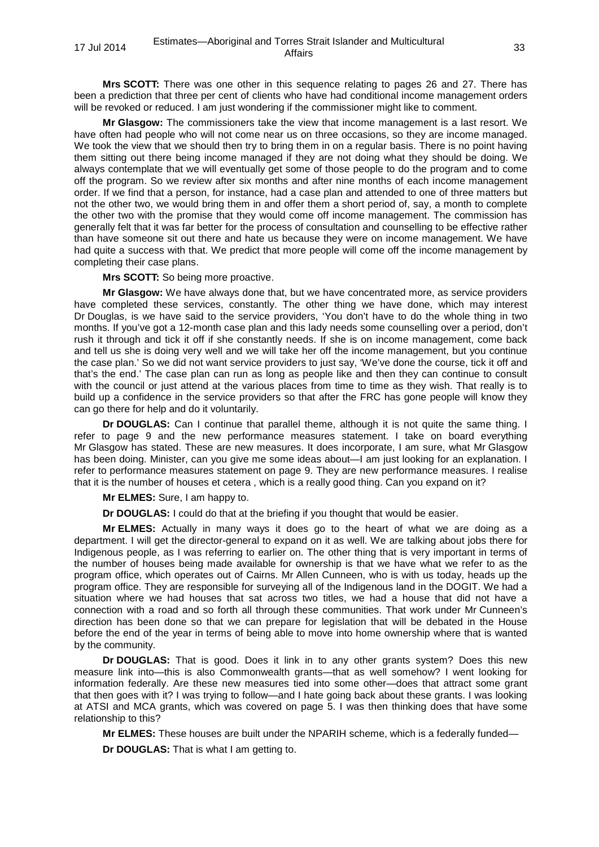**Mrs SCOTT:** There was one other in this sequence relating to pages 26 and 27. There has been a prediction that three per cent of clients who have had conditional income management orders will be revoked or reduced. I am just wondering if the commissioner might like to comment.

**Mr Glasgow:** The commissioners take the view that income management is a last resort. We have often had people who will not come near us on three occasions, so they are income managed. We took the view that we should then try to bring them in on a regular basis. There is no point having them sitting out there being income managed if they are not doing what they should be doing. We always contemplate that we will eventually get some of those people to do the program and to come off the program. So we review after six months and after nine months of each income management order. If we find that a person, for instance, had a case plan and attended to one of three matters but not the other two, we would bring them in and offer them a short period of, say, a month to complete the other two with the promise that they would come off income management. The commission has generally felt that it was far better for the process of consultation and counselling to be effective rather than have someone sit out there and hate us because they were on income management. We have had quite a success with that. We predict that more people will come off the income management by completing their case plans.

**Mrs SCOTT:** So being more proactive.

**Mr Glasgow:** We have always done that, but we have concentrated more, as service providers have completed these services, constantly. The other thing we have done, which may interest Dr Douglas, is we have said to the service providers, 'You don't have to do the whole thing in two months. If you've got a 12-month case plan and this lady needs some counselling over a period, don't rush it through and tick it off if she constantly needs. If she is on income management, come back and tell us she is doing very well and we will take her off the income management, but you continue the case plan.' So we did not want service providers to just say, 'We've done the course, tick it off and that's the end.' The case plan can run as long as people like and then they can continue to consult with the council or just attend at the various places from time to time as they wish. That really is to build up a confidence in the service providers so that after the FRC has gone people will know they can go there for help and do it voluntarily.

**Dr DOUGLAS:** Can I continue that parallel theme, although it is not quite the same thing. I refer to page 9 and the new performance measures statement. I take on board everything Mr Glasgow has stated. These are new measures. It does incorporate, I am sure, what Mr Glasgow has been doing. Minister, can you give me some ideas about—I am just looking for an explanation. I refer to performance measures statement on page 9. They are new performance measures. I realise that it is the number of houses et cetera , which is a really good thing. Can you expand on it?

**Mr ELMES:** Sure, I am happy to.

**Dr DOUGLAS:** I could do that at the briefing if you thought that would be easier.

**Mr ELMES:** Actually in many ways it does go to the heart of what we are doing as a department. I will get the director-general to expand on it as well. We are talking about jobs there for Indigenous people, as I was referring to earlier on. The other thing that is very important in terms of the number of houses being made available for ownership is that we have what we refer to as the program office, which operates out of Cairns. Mr Allen Cunneen, who is with us today, heads up the program office. They are responsible for surveying all of the Indigenous land in the DOGIT. We had a situation where we had houses that sat across two titles, we had a house that did not have a connection with a road and so forth all through these communities. That work under Mr Cunneen's direction has been done so that we can prepare for legislation that will be debated in the House before the end of the year in terms of being able to move into home ownership where that is wanted by the community.

**Dr DOUGLAS:** That is good. Does it link in to any other grants system? Does this new measure link into—this is also Commonwealth grants—that as well somehow? I went looking for information federally. Are these new measures tied into some other—does that attract some grant that then goes with it? I was trying to follow—and I hate going back about these grants. I was looking at ATSI and MCA grants, which was covered on page 5. I was then thinking does that have some relationship to this?

**Mr ELMES:** These houses are built under the NPARIH scheme, which is a federally funded— **Dr DOUGLAS:** That is what I am getting to.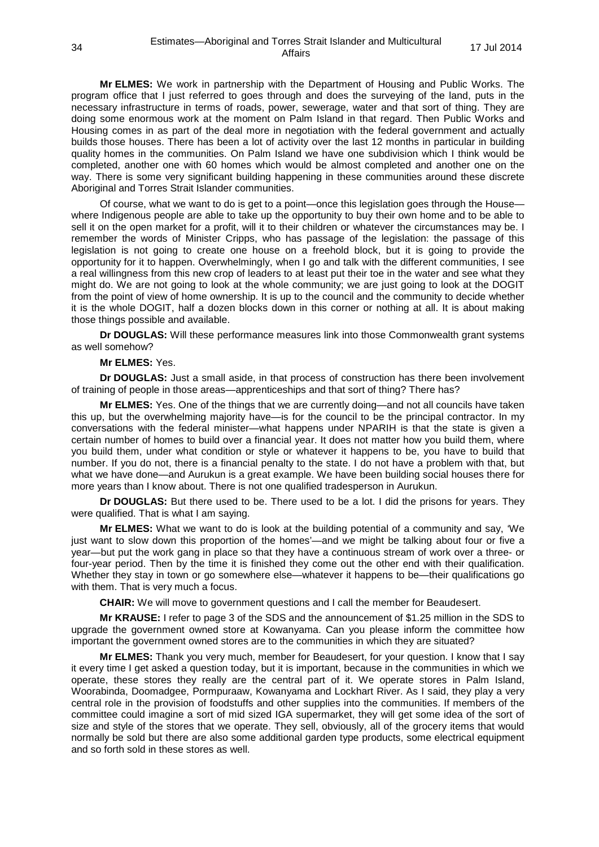**Mr ELMES:** We work in partnership with the Department of Housing and Public Works. The program office that I just referred to goes through and does the surveying of the land, puts in the necessary infrastructure in terms of roads, power, sewerage, water and that sort of thing. They are doing some enormous work at the moment on Palm Island in that regard. Then Public Works and Housing comes in as part of the deal more in negotiation with the federal government and actually builds those houses. There has been a lot of activity over the last 12 months in particular in building quality homes in the communities. On Palm Island we have one subdivision which I think would be completed, another one with 60 homes which would be almost completed and another one on the way. There is some very significant building happening in these communities around these discrete Aboriginal and Torres Strait Islander communities.

Of course, what we want to do is get to a point—once this legislation goes through the House where Indigenous people are able to take up the opportunity to buy their own home and to be able to sell it on the open market for a profit, will it to their children or whatever the circumstances may be. I remember the words of Minister Cripps, who has passage of the legislation: the passage of this legislation is not going to create one house on a freehold block, but it is going to provide the opportunity for it to happen. Overwhelmingly, when I go and talk with the different communities, I see a real willingness from this new crop of leaders to at least put their toe in the water and see what they might do. We are not going to look at the whole community; we are just going to look at the DOGIT from the point of view of home ownership. It is up to the council and the community to decide whether it is the whole DOGIT, half a dozen blocks down in this corner or nothing at all. It is about making those things possible and available.

**Dr DOUGLAS:** Will these performance measures link into those Commonwealth grant systems as well somehow?

#### **Mr ELMES:** Yes.

**Dr DOUGLAS:** Just a small aside, in that process of construction has there been involvement of training of people in those areas—apprenticeships and that sort of thing? There has?

**Mr ELMES:** Yes. One of the things that we are currently doing—and not all councils have taken this up, but the overwhelming majority have—is for the council to be the principal contractor. In my conversations with the federal minister—what happens under NPARIH is that the state is given a certain number of homes to build over a financial year. It does not matter how you build them, where you build them, under what condition or style or whatever it happens to be, you have to build that number. If you do not, there is a financial penalty to the state. I do not have a problem with that, but what we have done—and Aurukun is a great example. We have been building social houses there for more years than I know about. There is not one qualified tradesperson in Aurukun.

**Dr DOUGLAS:** But there used to be. There used to be a lot. I did the prisons for years. They were qualified. That is what I am saying.

**Mr ELMES:** What we want to do is look at the building potential of a community and say, 'We just want to slow down this proportion of the homes'—and we might be talking about four or five a year—but put the work gang in place so that they have a continuous stream of work over a three- or four-year period. Then by the time it is finished they come out the other end with their qualification. Whether they stay in town or go somewhere else—whatever it happens to be—their qualifications go with them. That is very much a focus.

**CHAIR:** We will move to government questions and I call the member for Beaudesert.

**Mr KRAUSE:** I refer to page 3 of the SDS and the announcement of \$1.25 million in the SDS to upgrade the government owned store at Kowanyama. Can you please inform the committee how important the government owned stores are to the communities in which they are situated?

**Mr ELMES:** Thank you very much, member for Beaudesert, for your question. I know that I say it every time I get asked a question today, but it is important, because in the communities in which we operate, these stores they really are the central part of it. We operate stores in Palm Island, Woorabinda, Doomadgee, Pormpuraaw, Kowanyama and Lockhart River. As I said, they play a very central role in the provision of foodstuffs and other supplies into the communities. If members of the committee could imagine a sort of mid sized IGA supermarket, they will get some idea of the sort of size and style of the stores that we operate. They sell, obviously, all of the grocery items that would normally be sold but there are also some additional garden type products, some electrical equipment and so forth sold in these stores as well.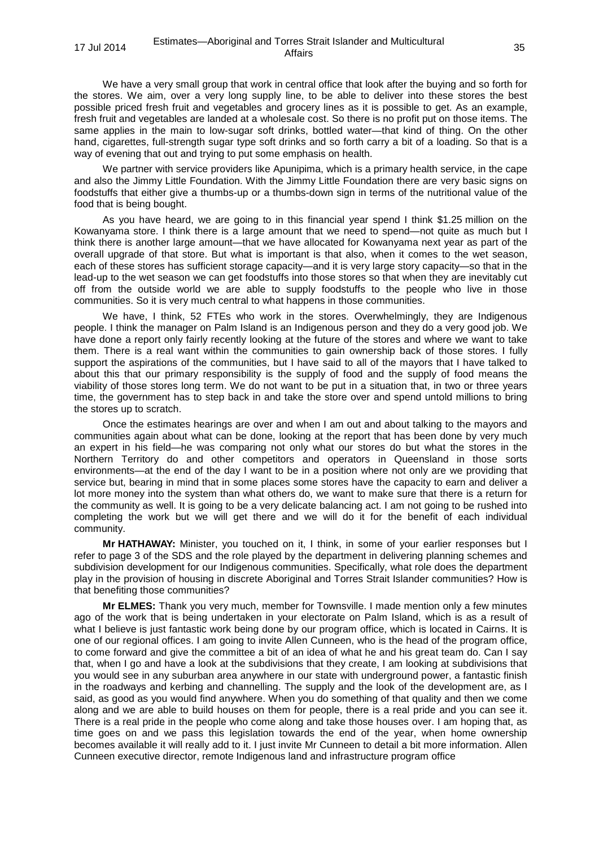We have a very small group that work in central office that look after the buying and so forth for the stores. We aim, over a very long supply line, to be able to deliver into these stores the best possible priced fresh fruit and vegetables and grocery lines as it is possible to get. As an example, fresh fruit and vegetables are landed at a wholesale cost. So there is no profit put on those items. The same applies in the main to low-sugar soft drinks, bottled water—that kind of thing. On the other hand, cigarettes, full-strength sugar type soft drinks and so forth carry a bit of a loading. So that is a way of evening that out and trying to put some emphasis on health.

We partner with service providers like Apunipima, which is a primary health service, in the cape and also the Jimmy Little Foundation. With the Jimmy Little Foundation there are very basic signs on foodstuffs that either give a thumbs-up or a thumbs-down sign in terms of the nutritional value of the food that is being bought.

As you have heard, we are going to in this financial year spend I think \$1.25 million on the Kowanyama store. I think there is a large amount that we need to spend—not quite as much but I think there is another large amount—that we have allocated for Kowanyama next year as part of the overall upgrade of that store. But what is important is that also, when it comes to the wet season, each of these stores has sufficient storage capacity—and it is very large story capacity—so that in the lead-up to the wet season we can get foodstuffs into those stores so that when they are inevitably cut off from the outside world we are able to supply foodstuffs to the people who live in those communities. So it is very much central to what happens in those communities.

We have. I think, 52 FTEs who work in the stores. Overwhelmingly, they are Indigenous people. I think the manager on Palm Island is an Indigenous person and they do a very good job. We have done a report only fairly recently looking at the future of the stores and where we want to take them. There is a real want within the communities to gain ownership back of those stores. I fully support the aspirations of the communities, but I have said to all of the mayors that I have talked to about this that our primary responsibility is the supply of food and the supply of food means the viability of those stores long term. We do not want to be put in a situation that, in two or three years time, the government has to step back in and take the store over and spend untold millions to bring the stores up to scratch.

Once the estimates hearings are over and when I am out and about talking to the mayors and communities again about what can be done, looking at the report that has been done by very much an expert in his field—he was comparing not only what our stores do but what the stores in the Northern Territory do and other competitors and operators in Queensland in those sorts environments—at the end of the day I want to be in a position where not only are we providing that service but, bearing in mind that in some places some stores have the capacity to earn and deliver a lot more money into the system than what others do, we want to make sure that there is a return for the community as well. It is going to be a very delicate balancing act. I am not going to be rushed into completing the work but we will get there and we will do it for the benefit of each individual community.

**Mr HATHAWAY:** Minister, you touched on it, I think, in some of your earlier responses but I refer to page 3 of the SDS and the role played by the department in delivering planning schemes and subdivision development for our Indigenous communities. Specifically, what role does the department play in the provision of housing in discrete Aboriginal and Torres Strait Islander communities? How is that benefiting those communities?

**Mr ELMES:** Thank you very much, member for Townsville. I made mention only a few minutes ago of the work that is being undertaken in your electorate on Palm Island, which is as a result of what I believe is just fantastic work being done by our program office, which is located in Cairns. It is one of our regional offices. I am going to invite Allen Cunneen, who is the head of the program office, to come forward and give the committee a bit of an idea of what he and his great team do. Can I say that, when I go and have a look at the subdivisions that they create, I am looking at subdivisions that you would see in any suburban area anywhere in our state with underground power, a fantastic finish in the roadways and kerbing and channelling. The supply and the look of the development are, as I said, as good as you would find anywhere. When you do something of that quality and then we come along and we are able to build houses on them for people, there is a real pride and you can see it. There is a real pride in the people who come along and take those houses over. I am hoping that, as time goes on and we pass this legislation towards the end of the year, when home ownership becomes available it will really add to it. I just invite Mr Cunneen to detail a bit more information. Allen Cunneen executive director, remote Indigenous land and infrastructure program office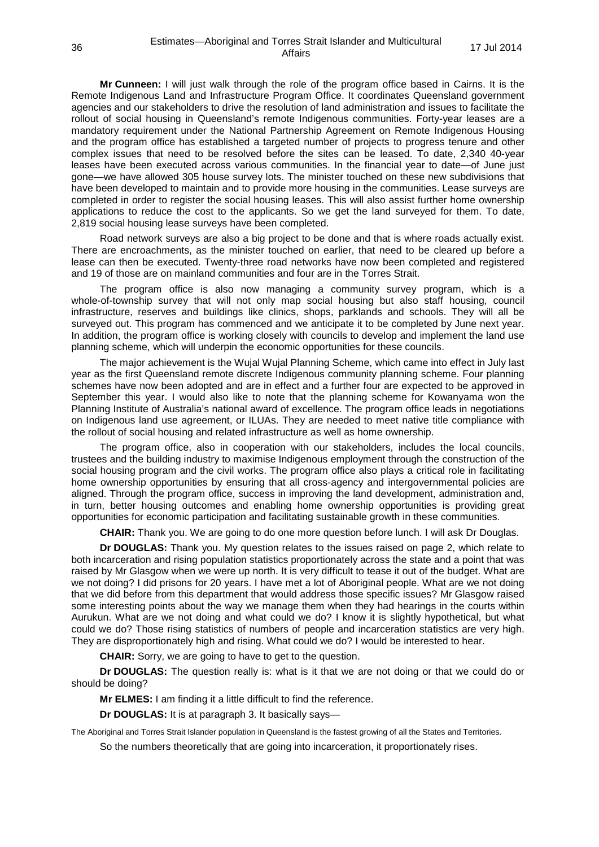**Mr Cunneen:** I will just walk through the role of the program office based in Cairns. It is the Remote Indigenous Land and Infrastructure Program Office. It coordinates Queensland government agencies and our stakeholders to drive the resolution of land administration and issues to facilitate the rollout of social housing in Queensland's remote Indigenous communities. Forty-year leases are a mandatory requirement under the National Partnership Agreement on Remote Indigenous Housing and the program office has established a targeted number of projects to progress tenure and other complex issues that need to be resolved before the sites can be leased. To date, 2,340 40-year leases have been executed across various communities. In the financial year to date—of June just gone—we have allowed 305 house survey lots. The minister touched on these new subdivisions that have been developed to maintain and to provide more housing in the communities. Lease surveys are completed in order to register the social housing leases. This will also assist further home ownership applications to reduce the cost to the applicants. So we get the land surveyed for them. To date, 2,819 social housing lease surveys have been completed.

Road network surveys are also a big project to be done and that is where roads actually exist. There are encroachments, as the minister touched on earlier, that need to be cleared up before a lease can then be executed. Twenty-three road networks have now been completed and registered and 19 of those are on mainland communities and four are in the Torres Strait.

The program office is also now managing a community survey program, which is a whole-of-township survey that will not only map social housing but also staff housing, council infrastructure, reserves and buildings like clinics, shops, parklands and schools. They will all be surveyed out. This program has commenced and we anticipate it to be completed by June next year. In addition, the program office is working closely with councils to develop and implement the land use planning scheme, which will underpin the economic opportunities for these councils.

The major achievement is the Wujal Wujal Planning Scheme, which came into effect in July last year as the first Queensland remote discrete Indigenous community planning scheme. Four planning schemes have now been adopted and are in effect and a further four are expected to be approved in September this year. I would also like to note that the planning scheme for Kowanyama won the Planning Institute of Australia's national award of excellence. The program office leads in negotiations on Indigenous land use agreement, or ILUAs. They are needed to meet native title compliance with the rollout of social housing and related infrastructure as well as home ownership.

The program office, also in cooperation with our stakeholders, includes the local councils, trustees and the building industry to maximise Indigenous employment through the construction of the social housing program and the civil works. The program office also plays a critical role in facilitating home ownership opportunities by ensuring that all cross-agency and intergovernmental policies are aligned. Through the program office, success in improving the land development, administration and, in turn, better housing outcomes and enabling home ownership opportunities is providing great opportunities for economic participation and facilitating sustainable growth in these communities.

**CHAIR:** Thank you. We are going to do one more question before lunch. I will ask Dr Douglas.

**Dr DOUGLAS:** Thank you. My question relates to the issues raised on page 2, which relate to both incarceration and rising population statistics proportionately across the state and a point that was raised by Mr Glasgow when we were up north. It is very difficult to tease it out of the budget. What are we not doing? I did prisons for 20 years. I have met a lot of Aboriginal people. What are we not doing that we did before from this department that would address those specific issues? Mr Glasgow raised some interesting points about the way we manage them when they had hearings in the courts within Aurukun. What are we not doing and what could we do? I know it is slightly hypothetical, but what could we do? Those rising statistics of numbers of people and incarceration statistics are very high. They are disproportionately high and rising. What could we do? I would be interested to hear.

**CHAIR:** Sorry, we are going to have to get to the question.

**Dr DOUGLAS:** The question really is: what is it that we are not doing or that we could do or should be doing?

**Mr ELMES:** I am finding it a little difficult to find the reference.

**Dr DOUGLAS:** It is at paragraph 3. It basically says—

The Aboriginal and Torres Strait Islander population in Queensland is the fastest growing of all the States and Territories.

So the numbers theoretically that are going into incarceration, it proportionately rises.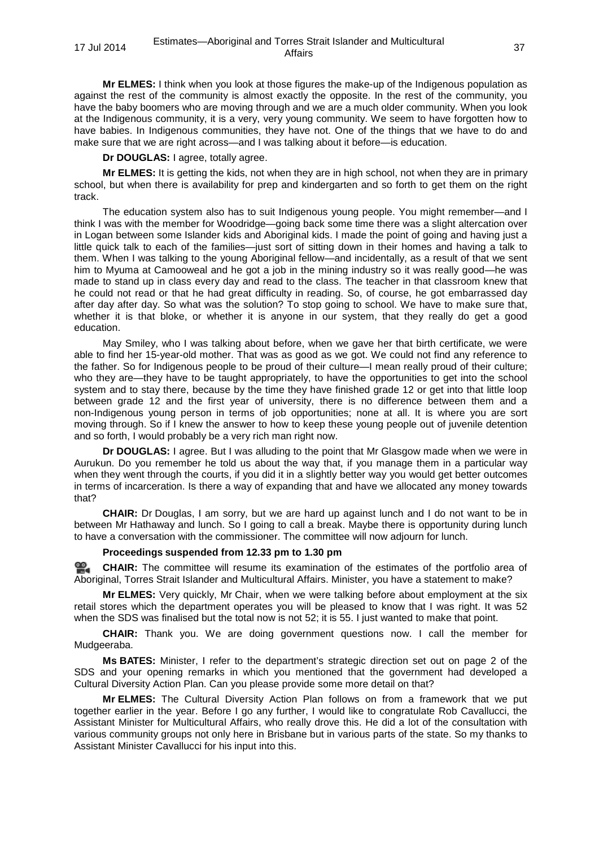**Mr ELMES:** I think when you look at those figures the make-up of the Indigenous population as against the rest of the community is almost exactly the opposite. In the rest of the community, you have the baby boomers who are moving through and we are a much older community. When you look at the Indigenous community, it is a very, very young community. We seem to have forgotten how to have babies. In Indigenous communities, they have not. One of the things that we have to do and make sure that we are right across—and I was talking about it before—is education.

**Dr DOUGLAS:** I agree, totally agree.

**Mr ELMES:** It is getting the kids, not when they are in high school, not when they are in primary school, but when there is availability for prep and kindergarten and so forth to get them on the right track.

The education system also has to suit Indigenous young people. You might remember—and I think I was with the member for Woodridge—going back some time there was a slight altercation over in Logan between some Islander kids and Aboriginal kids. I made the point of going and having just a little quick talk to each of the families—just sort of sitting down in their homes and having a talk to them. When I was talking to the young Aboriginal fellow—and incidentally, as a result of that we sent him to Myuma at Camooweal and he got a job in the mining industry so it was really good—he was made to stand up in class every day and read to the class. The teacher in that classroom knew that he could not read or that he had great difficulty in reading. So, of course, he got embarrassed day after day after day. So what was the solution? To stop going to school. We have to make sure that, whether it is that bloke, or whether it is anyone in our system, that they really do get a good education.

May Smiley, who I was talking about before, when we gave her that birth certificate, we were able to find her 15-year-old mother. That was as good as we got. We could not find any reference to the father. So for Indigenous people to be proud of their culture—I mean really proud of their culture; who they are—they have to be taught appropriately, to have the opportunities to get into the school system and to stay there, because by the time they have finished grade 12 or get into that little loop between grade 12 and the first year of university, there is no difference between them and a non-Indigenous young person in terms of job opportunities; none at all. It is where you are sort moving through. So if I knew the answer to how to keep these young people out of juvenile detention and so forth, I would probably be a very rich man right now.

**Dr DOUGLAS:** I agree. But I was alluding to the point that Mr Glasgow made when we were in Aurukun. Do you remember he told us about the way that, if you manage them in a particular way when they went through the courts, if you did it in a slightly better way you would get better outcomes in terms of incarceration. Is there a way of expanding that and have we allocated any money towards that?

**CHAIR:** Dr Douglas, I am sorry, but we are hard up against lunch and I do not want to be in between Mr Hathaway and lunch. So I going to call a break. Maybe there is opportunity during lunch to have a conversation with the commissioner. The committee will now adjourn for lunch.

#### **Proceedings suspended from 12.33 pm to 1.30 pm**

≌. **[CHAIR:](http://www.parliament.qld.gov.au/docs/find.aspx?id=0MbaHCSC20140717_133113)** The committee will resume its examination of the estimates of the portfolio area of Aboriginal, Torres Strait Islander and Multicultural Affairs. Minister, you have a statement to make?

**Mr ELMES:** Very quickly, Mr Chair, when we were talking before about employment at the six retail stores which the department operates you will be pleased to know that I was right. It was 52 when the SDS was finalised but the total now is not 52; it is 55. I just wanted to make that point.

**CHAIR:** Thank you. We are doing government questions now. I call the member for Mudgeeraba.

**Ms BATES:** Minister, I refer to the department's strategic direction set out on page 2 of the SDS and your opening remarks in which you mentioned that the government had developed a Cultural Diversity Action Plan. Can you please provide some more detail on that?

**Mr ELMES:** The Cultural Diversity Action Plan follows on from a framework that we put together earlier in the year. Before I go any further, I would like to congratulate Rob Cavallucci, the Assistant Minister for Multicultural Affairs, who really drove this. He did a lot of the consultation with various community groups not only here in Brisbane but in various parts of the state. So my thanks to Assistant Minister Cavallucci for his input into this.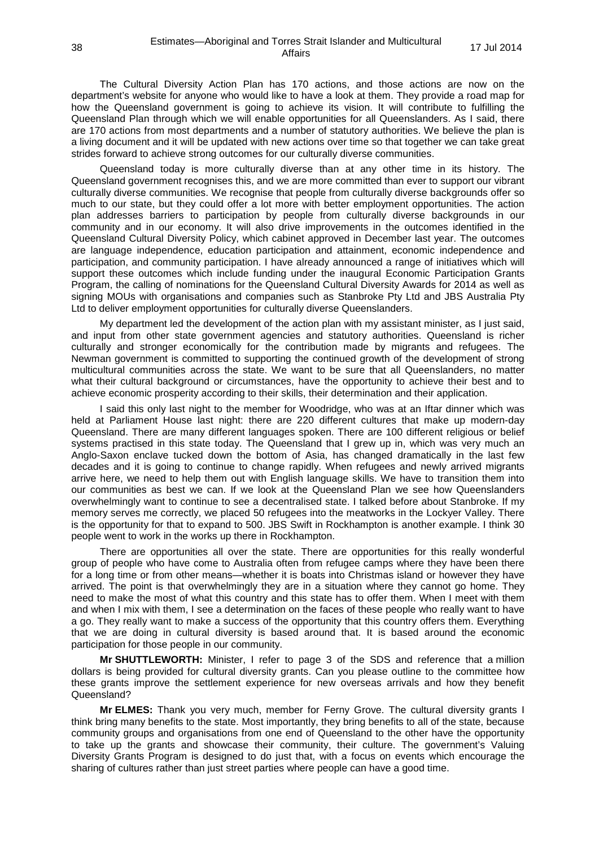The Cultural Diversity Action Plan has 170 actions, and those actions are now on the department's website for anyone who would like to have a look at them. They provide a road map for how the Queensland government is going to achieve its vision. It will contribute to fulfilling the Queensland Plan through which we will enable opportunities for all Queenslanders. As I said, there are 170 actions from most departments and a number of statutory authorities. We believe the plan is a living document and it will be updated with new actions over time so that together we can take great strides forward to achieve strong outcomes for our culturally diverse communities.

Queensland today is more culturally diverse than at any other time in its history. The Queensland government recognises this, and we are more committed than ever to support our vibrant culturally diverse communities. We recognise that people from culturally diverse backgrounds offer so much to our state, but they could offer a lot more with better employment opportunities. The action plan addresses barriers to participation by people from culturally diverse backgrounds in our community and in our economy. It will also drive improvements in the outcomes identified in the Queensland Cultural Diversity Policy, which cabinet approved in December last year. The outcomes are language independence, education participation and attainment, economic independence and participation, and community participation. I have already announced a range of initiatives which will support these outcomes which include funding under the inaugural Economic Participation Grants Program, the calling of nominations for the Queensland Cultural Diversity Awards for 2014 as well as signing MOUs with organisations and companies such as Stanbroke Pty Ltd and JBS Australia Pty Ltd to deliver employment opportunities for culturally diverse Queenslanders.

My department led the development of the action plan with my assistant minister, as I just said, and input from other state government agencies and statutory authorities. Queensland is richer culturally and stronger economically for the contribution made by migrants and refugees. The Newman government is committed to supporting the continued growth of the development of strong multicultural communities across the state. We want to be sure that all Queenslanders, no matter what their cultural background or circumstances, have the opportunity to achieve their best and to achieve economic prosperity according to their skills, their determination and their application.

I said this only last night to the member for Woodridge, who was at an Iftar dinner which was held at Parliament House last night: there are 220 different cultures that make up modern-day Queensland. There are many different languages spoken. There are 100 different religious or belief systems practised in this state today. The Queensland that I grew up in, which was very much an Anglo-Saxon enclave tucked down the bottom of Asia, has changed dramatically in the last few decades and it is going to continue to change rapidly. When refugees and newly arrived migrants arrive here, we need to help them out with English language skills. We have to transition them into our communities as best we can. If we look at the Queensland Plan we see how Queenslanders overwhelmingly want to continue to see a decentralised state. I talked before about Stanbroke. If my memory serves me correctly, we placed 50 refugees into the meatworks in the Lockyer Valley. There is the opportunity for that to expand to 500. JBS Swift in Rockhampton is another example. I think 30 people went to work in the works up there in Rockhampton.

There are opportunities all over the state. There are opportunities for this really wonderful group of people who have come to Australia often from refugee camps where they have been there for a long time or from other means—whether it is boats into Christmas island or however they have arrived. The point is that overwhelmingly they are in a situation where they cannot go home. They need to make the most of what this country and this state has to offer them. When I meet with them and when I mix with them, I see a determination on the faces of these people who really want to have a go. They really want to make a success of the opportunity that this country offers them. Everything that we are doing in cultural diversity is based around that. It is based around the economic participation for those people in our community.

**Mr SHUTTLEWORTH:** Minister, I refer to page 3 of the SDS and reference that a million dollars is being provided for cultural diversity grants. Can you please outline to the committee how these grants improve the settlement experience for new overseas arrivals and how they benefit Queensland?

**Mr ELMES:** Thank you very much, member for Ferny Grove. The cultural diversity grants I think bring many benefits to the state. Most importantly, they bring benefits to all of the state, because community groups and organisations from one end of Queensland to the other have the opportunity to take up the grants and showcase their community, their culture. The government's Valuing Diversity Grants Program is designed to do just that, with a focus on events which encourage the sharing of cultures rather than just street parties where people can have a good time.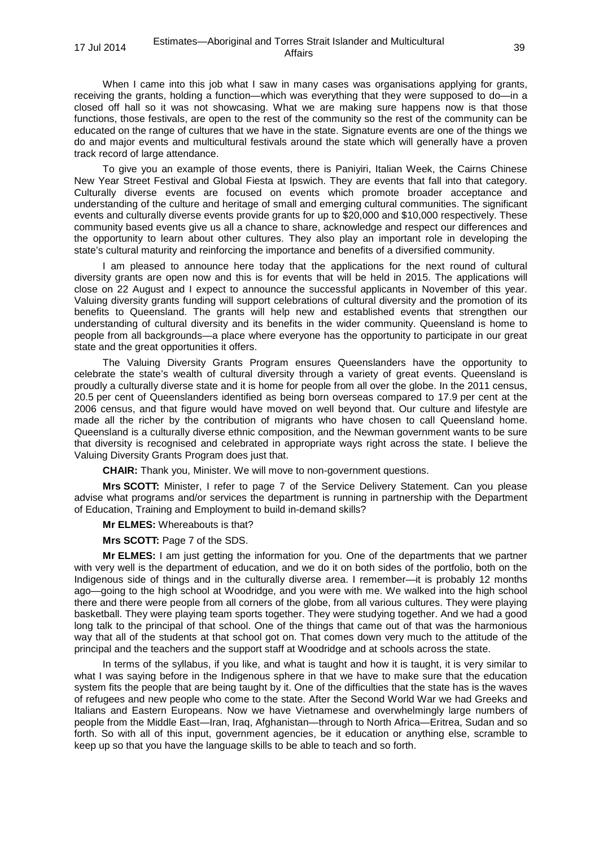When I came into this job what I saw in many cases was organisations applying for grants, receiving the grants, holding a function—which was everything that they were supposed to do—in a closed off hall so it was not showcasing. What we are making sure happens now is that those functions, those festivals, are open to the rest of the community so the rest of the community can be educated on the range of cultures that we have in the state. Signature events are one of the things we do and major events and multicultural festivals around the state which will generally have a proven track record of large attendance.

To give you an example of those events, there is Paniyiri, Italian Week, the Cairns Chinese New Year Street Festival and Global Fiesta at Ipswich. They are events that fall into that category. Culturally diverse events are focused on events which promote broader acceptance and understanding of the culture and heritage of small and emerging cultural communities. The significant events and culturally diverse events provide grants for up to \$20,000 and \$10,000 respectively. These community based events give us all a chance to share, acknowledge and respect our differences and the opportunity to learn about other cultures. They also play an important role in developing the state's cultural maturity and reinforcing the importance and benefits of a diversified community.

I am pleased to announce here today that the applications for the next round of cultural diversity grants are open now and this is for events that will be held in 2015. The applications will close on 22 August and I expect to announce the successful applicants in November of this year. Valuing diversity grants funding will support celebrations of cultural diversity and the promotion of its benefits to Queensland. The grants will help new and established events that strengthen our understanding of cultural diversity and its benefits in the wider community. Queensland is home to people from all backgrounds—a place where everyone has the opportunity to participate in our great state and the great opportunities it offers.

The Valuing Diversity Grants Program ensures Queenslanders have the opportunity to celebrate the state's wealth of cultural diversity through a variety of great events. Queensland is proudly a culturally diverse state and it is home for people from all over the globe. In the 2011 census, 20.5 per cent of Queenslanders identified as being born overseas compared to 17.9 per cent at the 2006 census, and that figure would have moved on well beyond that. Our culture and lifestyle are made all the richer by the contribution of migrants who have chosen to call Queensland home. Queensland is a culturally diverse ethnic composition, and the Newman government wants to be sure that diversity is recognised and celebrated in appropriate ways right across the state. I believe the Valuing Diversity Grants Program does just that.

**CHAIR:** Thank you, Minister. We will move to non-government questions.

**Mrs SCOTT:** Minister, I refer to page 7 of the Service Delivery Statement. Can you please advise what programs and/or services the department is running in partnership with the Department of Education, Training and Employment to build in-demand skills?

**Mr ELMES:** Whereabouts is that?

**Mrs SCOTT:** Page 7 of the SDS.

**Mr ELMES:** I am just getting the information for you. One of the departments that we partner with very well is the department of education, and we do it on both sides of the portfolio, both on the Indigenous side of things and in the culturally diverse area. I remember—it is probably 12 months ago—going to the high school at Woodridge, and you were with me. We walked into the high school there and there were people from all corners of the globe, from all various cultures. They were playing basketball. They were playing team sports together. They were studying together. And we had a good long talk to the principal of that school. One of the things that came out of that was the harmonious way that all of the students at that school got on. That comes down very much to the attitude of the principal and the teachers and the support staff at Woodridge and at schools across the state.

In terms of the syllabus, if you like, and what is taught and how it is taught, it is very similar to what I was saying before in the Indigenous sphere in that we have to make sure that the education system fits the people that are being taught by it. One of the difficulties that the state has is the waves of refugees and new people who come to the state. After the Second World War we had Greeks and Italians and Eastern Europeans. Now we have Vietnamese and overwhelmingly large numbers of people from the Middle East—Iran, Iraq, Afghanistan—through to North Africa—Eritrea, Sudan and so forth. So with all of this input, government agencies, be it education or anything else, scramble to keep up so that you have the language skills to be able to teach and so forth.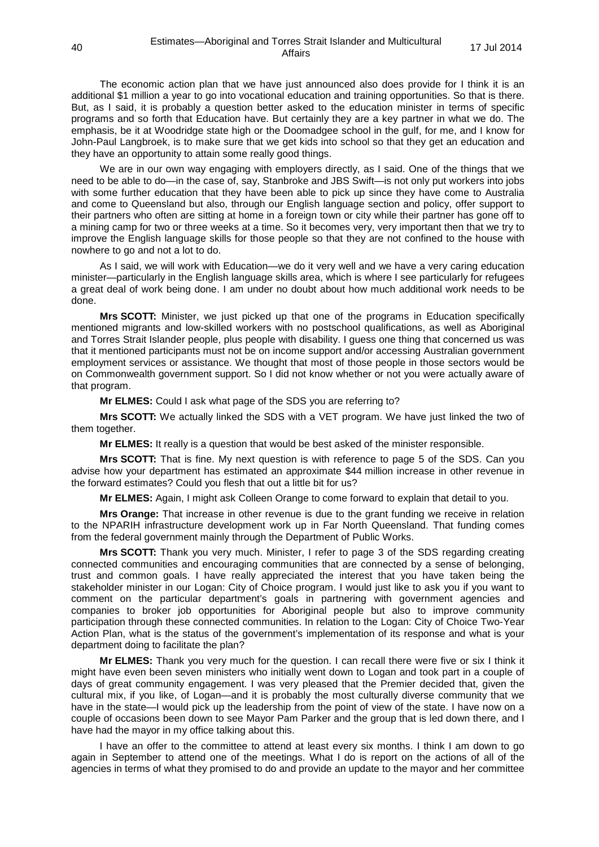The economic action plan that we have just announced also does provide for I think it is an additional \$1 million a year to go into vocational education and training opportunities. So that is there. But, as I said, it is probably a question better asked to the education minister in terms of specific programs and so forth that Education have. But certainly they are a key partner in what we do. The emphasis, be it at Woodridge state high or the Doomadgee school in the gulf, for me, and I know for John-Paul Langbroek, is to make sure that we get kids into school so that they get an education and they have an opportunity to attain some really good things.

We are in our own way engaging with employers directly, as I said. One of the things that we need to be able to do—in the case of, say, Stanbroke and JBS Swift—is not only put workers into jobs with some further education that they have been able to pick up since they have come to Australia and come to Queensland but also, through our English language section and policy, offer support to their partners who often are sitting at home in a foreign town or city while their partner has gone off to a mining camp for two or three weeks at a time. So it becomes very, very important then that we try to improve the English language skills for those people so that they are not confined to the house with nowhere to go and not a lot to do.

As I said, we will work with Education—we do it very well and we have a very caring education minister—particularly in the English language skills area, which is where I see particularly for refugees a great deal of work being done. I am under no doubt about how much additional work needs to be done.

**Mrs SCOTT:** Minister, we just picked up that one of the programs in Education specifically mentioned migrants and low-skilled workers with no postschool qualifications, as well as Aboriginal and Torres Strait Islander people, plus people with disability. I guess one thing that concerned us was that it mentioned participants must not be on income support and/or accessing Australian government employment services or assistance. We thought that most of those people in those sectors would be on Commonwealth government support. So I did not know whether or not you were actually aware of that program.

**Mr ELMES:** Could I ask what page of the SDS you are referring to?

**Mrs SCOTT:** We actually linked the SDS with a VET program. We have just linked the two of them together.

**Mr ELMES:** It really is a question that would be best asked of the minister responsible.

**Mrs SCOTT:** That is fine. My next question is with reference to page 5 of the SDS. Can you advise how your department has estimated an approximate \$44 million increase in other revenue in the forward estimates? Could you flesh that out a little bit for us?

**Mr ELMES:** Again, I might ask Colleen Orange to come forward to explain that detail to you.

**Mrs Orange:** That increase in other revenue is due to the grant funding we receive in relation to the NPARIH infrastructure development work up in Far North Queensland. That funding comes from the federal government mainly through the Department of Public Works.

**Mrs SCOTT:** Thank you very much. Minister, I refer to page 3 of the SDS regarding creating connected communities and encouraging communities that are connected by a sense of belonging, trust and common goals. I have really appreciated the interest that you have taken being the stakeholder minister in our Logan: City of Choice program. I would just like to ask you if you want to comment on the particular department's goals in partnering with government agencies and companies to broker job opportunities for Aboriginal people but also to improve community participation through these connected communities. In relation to the Logan: City of Choice Two-Year Action Plan, what is the status of the government's implementation of its response and what is your department doing to facilitate the plan?

**Mr ELMES:** Thank you very much for the question. I can recall there were five or six I think it might have even been seven ministers who initially went down to Logan and took part in a couple of days of great community engagement. I was very pleased that the Premier decided that, given the cultural mix, if you like, of Logan—and it is probably the most culturally diverse community that we have in the state—I would pick up the leadership from the point of view of the state. I have now on a couple of occasions been down to see Mayor Pam Parker and the group that is led down there, and I have had the mayor in my office talking about this.

I have an offer to the committee to attend at least every six months. I think I am down to go again in September to attend one of the meetings. What I do is report on the actions of all of the agencies in terms of what they promised to do and provide an update to the mayor and her committee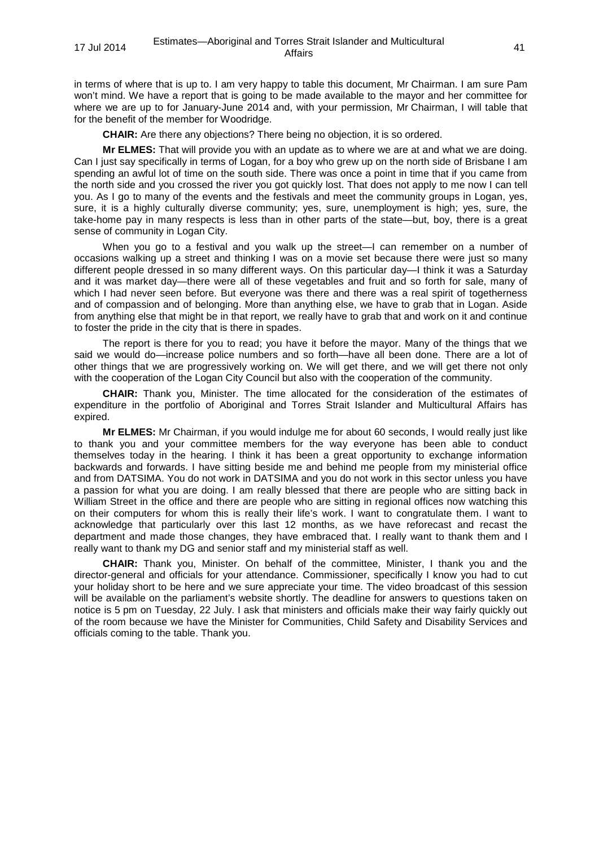in terms of where that is up to. I am very happy to table this document, Mr Chairman. I am sure Pam won't mind. We have a report that is going to be made available to the mayor and her committee for where we are up to for January-June 2014 and, with your permission, Mr Chairman, I will table that for the benefit of the member for Woodridge.

**CHAIR:** Are there any objections? There being no objection, it is so ordered.

**Mr ELMES:** That will provide you with an update as to where we are at and what we are doing. Can I just say specifically in terms of Logan, for a boy who grew up on the north side of Brisbane I am spending an awful lot of time on the south side. There was once a point in time that if you came from the north side and you crossed the river you got quickly lost. That does not apply to me now I can tell you. As I go to many of the events and the festivals and meet the community groups in Logan, yes, sure, it is a highly culturally diverse community; yes, sure, unemployment is high; yes, sure, the take-home pay in many respects is less than in other parts of the state—but, boy, there is a great sense of community in Logan City.

When you go to a festival and you walk up the street—I can remember on a number of occasions walking up a street and thinking I was on a movie set because there were just so many different people dressed in so many different ways. On this particular day—I think it was a Saturday and it was market day—there were all of these vegetables and fruit and so forth for sale, many of which I had never seen before. But everyone was there and there was a real spirit of togetherness and of compassion and of belonging. More than anything else, we have to grab that in Logan. Aside from anything else that might be in that report, we really have to grab that and work on it and continue to foster the pride in the city that is there in spades.

The report is there for you to read; you have it before the mayor. Many of the things that we said we would do—increase police numbers and so forth—have all been done. There are a lot of other things that we are progressively working on. We will get there, and we will get there not only with the cooperation of the Logan City Council but also with the cooperation of the community.

**CHAIR:** Thank you, Minister. The time allocated for the consideration of the estimates of expenditure in the portfolio of Aboriginal and Torres Strait Islander and Multicultural Affairs has expired.

**Mr ELMES:** Mr Chairman, if you would indulge me for about 60 seconds, I would really just like to thank you and your committee members for the way everyone has been able to conduct themselves today in the hearing. I think it has been a great opportunity to exchange information backwards and forwards. I have sitting beside me and behind me people from my ministerial office and from DATSIMA. You do not work in DATSIMA and you do not work in this sector unless you have a passion for what you are doing. I am really blessed that there are people who are sitting back in William Street in the office and there are people who are sitting in regional offices now watching this on their computers for whom this is really their life's work. I want to congratulate them. I want to acknowledge that particularly over this last 12 months, as we have reforecast and recast the department and made those changes, they have embraced that. I really want to thank them and I really want to thank my DG and senior staff and my ministerial staff as well.

**CHAIR:** Thank you, Minister. On behalf of the committee, Minister, I thank you and the director-general and officials for your attendance. Commissioner, specifically I know you had to cut your holiday short to be here and we sure appreciate your time. The video broadcast of this session will be available on the parliament's website shortly. The deadline for answers to questions taken on notice is 5 pm on Tuesday, 22 July. I ask that ministers and officials make their way fairly quickly out of the room because we have the Minister for Communities, Child Safety and Disability Services and officials coming to the table. Thank you.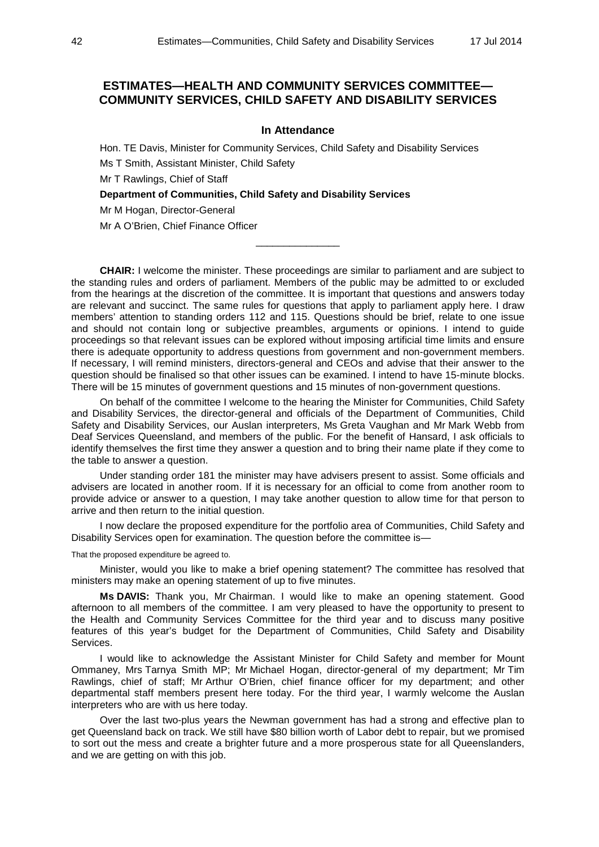# **ESTIMATES—HEALTH AND COMMUNITY SERVICES COMMITTEE— COMMUNITY SERVICES, CHILD SAFETY AND DISABILITY SERVICES**

## **In Attendance**

Hon. TE Davis, Minister for Community Services, Child Safety and Disability Services Ms T Smith, Assistant Minister, Child Safety

Mr T Rawlings, Chief of Staff

**Department of Communities, Child Safety and Disability Services**

Mr M Hogan, Director-General

Mr A O'Brien, Chief Finance Officer

**CHAIR:** I welcome the minister. These proceedings are similar to parliament and are subject to the standing rules and orders of parliament. Members of the public may be admitted to or excluded from the hearings at the discretion of the committee. It is important that questions and answers today are relevant and succinct. The same rules for questions that apply to parliament apply here. I draw members' attention to standing orders 112 and 115. Questions should be brief, relate to one issue and should not contain long or subjective preambles, arguments or opinions. I intend to guide proceedings so that relevant issues can be explored without imposing artificial time limits and ensure there is adequate opportunity to address questions from government and non-government members. If necessary, I will remind ministers, directors-general and CEOs and advise that their answer to the question should be finalised so that other issues can be examined. I intend to have 15-minute blocks. There will be 15 minutes of government questions and 15 minutes of non-government questions.

 $\overline{\phantom{a}}$  , where the contract of  $\overline{\phantom{a}}$ 

On behalf of the committee I welcome to the hearing the Minister for Communities, Child Safety and Disability Services, the director-general and officials of the Department of Communities, Child Safety and Disability Services, our Auslan interpreters, Ms Greta Vaughan and Mr Mark Webb from Deaf Services Queensland, and members of the public. For the benefit of Hansard, I ask officials to identify themselves the first time they answer a question and to bring their name plate if they come to the table to answer a question.

Under standing order 181 the minister may have advisers present to assist. Some officials and advisers are located in another room. If it is necessary for an official to come from another room to provide advice or answer to a question, I may take another question to allow time for that person to arrive and then return to the initial question.

I now declare the proposed expenditure for the portfolio area of Communities, Child Safety and Disability Services open for examination. The question before the committee is—

That the proposed expenditure be agreed to.

Minister, would you like to make a brief opening statement? The committee has resolved that ministers may make an opening statement of up to five minutes.

**Ms DAVIS:** Thank you, Mr Chairman. I would like to make an opening statement. Good afternoon to all members of the committee. I am very pleased to have the opportunity to present to the Health and Community Services Committee for the third year and to discuss many positive features of this year's budget for the Department of Communities, Child Safety and Disability Services.

I would like to acknowledge the Assistant Minister for Child Safety and member for Mount Ommaney, Mrs Tarnya Smith MP; Mr Michael Hogan, director-general of my department; Mr Tim Rawlings, chief of staff; Mr Arthur O'Brien, chief finance officer for my department; and other departmental staff members present here today. For the third year, I warmly welcome the Auslan interpreters who are with us here today.

Over the last two-plus years the Newman government has had a strong and effective plan to get Queensland back on track. We still have \$80 billion worth of Labor debt to repair, but we promised to sort out the mess and create a brighter future and a more prosperous state for all Queenslanders, and we are getting on with this job.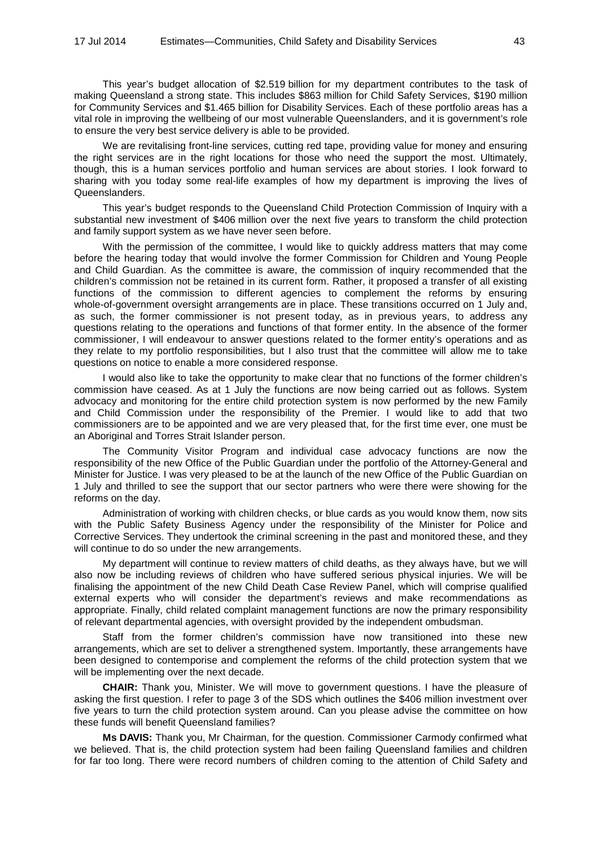This year's budget allocation of \$2.519 billion for my department contributes to the task of making Queensland a strong state. This includes \$863 million for Child Safety Services, \$190 million for Community Services and \$1.465 billion for Disability Services. Each of these portfolio areas has a vital role in improving the wellbeing of our most vulnerable Queenslanders, and it is government's role to ensure the very best service delivery is able to be provided.

We are revitalising front-line services, cutting red tape, providing value for money and ensuring the right services are in the right locations for those who need the support the most. Ultimately, though, this is a human services portfolio and human services are about stories. I look forward to sharing with you today some real-life examples of how my department is improving the lives of Queenslanders.

This year's budget responds to the Queensland Child Protection Commission of Inquiry with a substantial new investment of \$406 million over the next five years to transform the child protection and family support system as we have never seen before.

With the permission of the committee, I would like to quickly address matters that may come before the hearing today that would involve the former Commission for Children and Young People and Child Guardian. As the committee is aware, the commission of inquiry recommended that the children's commission not be retained in its current form. Rather, it proposed a transfer of all existing functions of the commission to different agencies to complement the reforms by ensuring whole-of-government oversight arrangements are in place. These transitions occurred on 1 July and, as such, the former commissioner is not present today, as in previous years, to address any questions relating to the operations and functions of that former entity. In the absence of the former commissioner, I will endeavour to answer questions related to the former entity's operations and as they relate to my portfolio responsibilities, but I also trust that the committee will allow me to take questions on notice to enable a more considered response.

I would also like to take the opportunity to make clear that no functions of the former children's commission have ceased. As at 1 July the functions are now being carried out as follows. System advocacy and monitoring for the entire child protection system is now performed by the new Family and Child Commission under the responsibility of the Premier. I would like to add that two commissioners are to be appointed and we are very pleased that, for the first time ever, one must be an Aboriginal and Torres Strait Islander person.

The Community Visitor Program and individual case advocacy functions are now the responsibility of the new Office of the Public Guardian under the portfolio of the Attorney-General and Minister for Justice. I was very pleased to be at the launch of the new Office of the Public Guardian on 1 July and thrilled to see the support that our sector partners who were there were showing for the reforms on the day.

Administration of working with children checks, or blue cards as you would know them, now sits with the Public Safety Business Agency under the responsibility of the Minister for Police and Corrective Services. They undertook the criminal screening in the past and monitored these, and they will continue to do so under the new arrangements.

My department will continue to review matters of child deaths, as they always have, but we will also now be including reviews of children who have suffered serious physical injuries. We will be finalising the appointment of the new Child Death Case Review Panel, which will comprise qualified external experts who will consider the department's reviews and make recommendations as appropriate. Finally, child related complaint management functions are now the primary responsibility of relevant departmental agencies, with oversight provided by the independent ombudsman.

Staff from the former children's commission have now transitioned into these new arrangements, which are set to deliver a strengthened system. Importantly, these arrangements have been designed to contemporise and complement the reforms of the child protection system that we will be implementing over the next decade.

**CHAIR:** Thank you, Minister. We will move to government questions. I have the pleasure of asking the first question. I refer to page 3 of the SDS which outlines the \$406 million investment over five years to turn the child protection system around. Can you please advise the committee on how these funds will benefit Queensland families?

**Ms DAVIS:** Thank you, Mr Chairman, for the question. Commissioner Carmody confirmed what we believed. That is, the child protection system had been failing Queensland families and children for far too long. There were record numbers of children coming to the attention of Child Safety and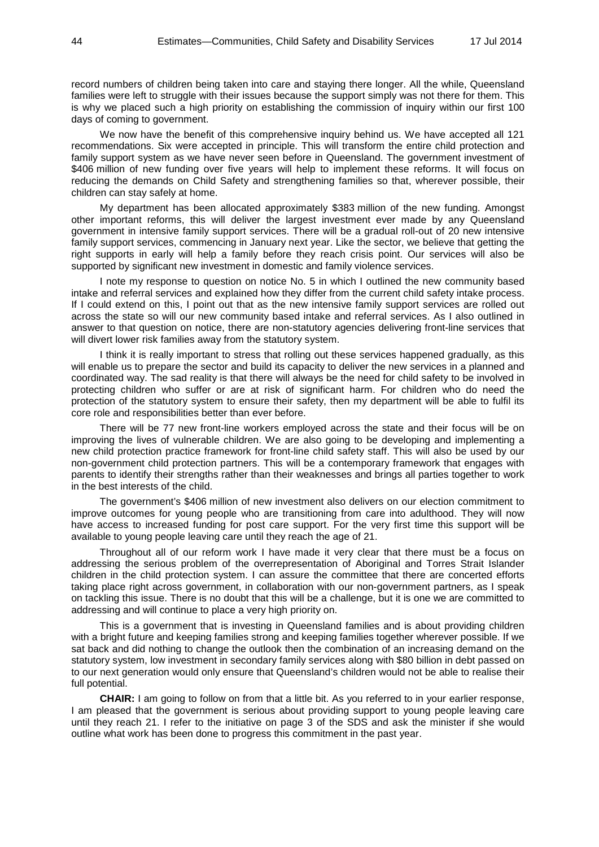record numbers of children being taken into care and staying there longer. All the while, Queensland families were left to struggle with their issues because the support simply was not there for them. This is why we placed such a high priority on establishing the commission of inquiry within our first 100 days of coming to government.

We now have the benefit of this comprehensive inquiry behind us. We have accepted all 121 recommendations. Six were accepted in principle. This will transform the entire child protection and family support system as we have never seen before in Queensland. The government investment of \$406 million of new funding over five years will help to implement these reforms. It will focus on reducing the demands on Child Safety and strengthening families so that, wherever possible, their children can stay safely at home.

My department has been allocated approximately \$383 million of the new funding. Amongst other important reforms, this will deliver the largest investment ever made by any Queensland government in intensive family support services. There will be a gradual roll-out of 20 new intensive family support services, commencing in January next year. Like the sector, we believe that getting the right supports in early will help a family before they reach crisis point. Our services will also be supported by significant new investment in domestic and family violence services.

I note my response to question on notice No. 5 in which I outlined the new community based intake and referral services and explained how they differ from the current child safety intake process. If I could extend on this, I point out that as the new intensive family support services are rolled out across the state so will our new community based intake and referral services. As I also outlined in answer to that question on notice, there are non-statutory agencies delivering front-line services that will divert lower risk families away from the statutory system.

I think it is really important to stress that rolling out these services happened gradually, as this will enable us to prepare the sector and build its capacity to deliver the new services in a planned and coordinated way. The sad reality is that there will always be the need for child safety to be involved in protecting children who suffer or are at risk of significant harm. For children who do need the protection of the statutory system to ensure their safety, then my department will be able to fulfil its core role and responsibilities better than ever before.

There will be 77 new front-line workers employed across the state and their focus will be on improving the lives of vulnerable children. We are also going to be developing and implementing a new child protection practice framework for front-line child safety staff. This will also be used by our non-government child protection partners. This will be a contemporary framework that engages with parents to identify their strengths rather than their weaknesses and brings all parties together to work in the best interests of the child.

The government's \$406 million of new investment also delivers on our election commitment to improve outcomes for young people who are transitioning from care into adulthood. They will now have access to increased funding for post care support. For the very first time this support will be available to young people leaving care until they reach the age of 21.

Throughout all of our reform work I have made it very clear that there must be a focus on addressing the serious problem of the overrepresentation of Aboriginal and Torres Strait Islander children in the child protection system. I can assure the committee that there are concerted efforts taking place right across government, in collaboration with our non-government partners, as I speak on tackling this issue. There is no doubt that this will be a challenge, but it is one we are committed to addressing and will continue to place a very high priority on.

This is a government that is investing in Queensland families and is about providing children with a bright future and keeping families strong and keeping families together wherever possible. If we sat back and did nothing to change the outlook then the combination of an increasing demand on the statutory system, low investment in secondary family services along with \$80 billion in debt passed on to our next generation would only ensure that Queensland's children would not be able to realise their full potential.

**CHAIR:** I am going to follow on from that a little bit. As you referred to in your earlier response, I am pleased that the government is serious about providing support to young people leaving care until they reach 21. I refer to the initiative on page 3 of the SDS and ask the minister if she would outline what work has been done to progress this commitment in the past year.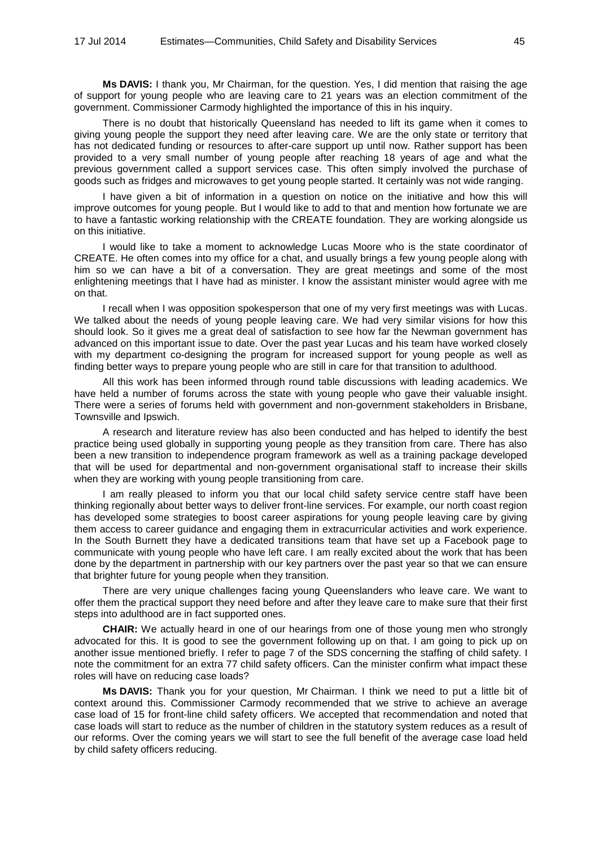**Ms DAVIS:** I thank you, Mr Chairman, for the question. Yes, I did mention that raising the age of support for young people who are leaving care to 21 years was an election commitment of the government. Commissioner Carmody highlighted the importance of this in his inquiry.

There is no doubt that historically Queensland has needed to lift its game when it comes to giving young people the support they need after leaving care. We are the only state or territory that has not dedicated funding or resources to after-care support up until now. Rather support has been provided to a very small number of young people after reaching 18 years of age and what the previous government called a support services case. This often simply involved the purchase of goods such as fridges and microwaves to get young people started. It certainly was not wide ranging.

I have given a bit of information in a question on notice on the initiative and how this will improve outcomes for young people. But I would like to add to that and mention how fortunate we are to have a fantastic working relationship with the CREATE foundation. They are working alongside us on this initiative.

I would like to take a moment to acknowledge Lucas Moore who is the state coordinator of CREATE. He often comes into my office for a chat, and usually brings a few young people along with him so we can have a bit of a conversation. They are great meetings and some of the most enlightening meetings that I have had as minister. I know the assistant minister would agree with me on that.

I recall when I was opposition spokesperson that one of my very first meetings was with Lucas. We talked about the needs of young people leaving care. We had very similar visions for how this should look. So it gives me a great deal of satisfaction to see how far the Newman government has advanced on this important issue to date. Over the past year Lucas and his team have worked closely with my department co-designing the program for increased support for young people as well as finding better ways to prepare young people who are still in care for that transition to adulthood.

All this work has been informed through round table discussions with leading academics. We have held a number of forums across the state with young people who gave their valuable insight. There were a series of forums held with government and non-government stakeholders in Brisbane, Townsville and Ipswich.

A research and literature review has also been conducted and has helped to identify the best practice being used globally in supporting young people as they transition from care. There has also been a new transition to independence program framework as well as a training package developed that will be used for departmental and non-government organisational staff to increase their skills when they are working with young people transitioning from care.

I am really pleased to inform you that our local child safety service centre staff have been thinking regionally about better ways to deliver front-line services. For example, our north coast region has developed some strategies to boost career aspirations for young people leaving care by giving them access to career guidance and engaging them in extracurricular activities and work experience. In the South Burnett they have a dedicated transitions team that have set up a Facebook page to communicate with young people who have left care. I am really excited about the work that has been done by the department in partnership with our key partners over the past year so that we can ensure that brighter future for young people when they transition.

There are very unique challenges facing young Queenslanders who leave care. We want to offer them the practical support they need before and after they leave care to make sure that their first steps into adulthood are in fact supported ones.

**CHAIR:** We actually heard in one of our hearings from one of those young men who strongly advocated for this. It is good to see the government following up on that. I am going to pick up on another issue mentioned briefly. I refer to page 7 of the SDS concerning the staffing of child safety. I note the commitment for an extra 77 child safety officers. Can the minister confirm what impact these roles will have on reducing case loads?

**Ms DAVIS:** Thank you for your question, Mr Chairman. I think we need to put a little bit of context around this. Commissioner Carmody recommended that we strive to achieve an average case load of 15 for front-line child safety officers. We accepted that recommendation and noted that case loads will start to reduce as the number of children in the statutory system reduces as a result of our reforms. Over the coming years we will start to see the full benefit of the average case load held by child safety officers reducing.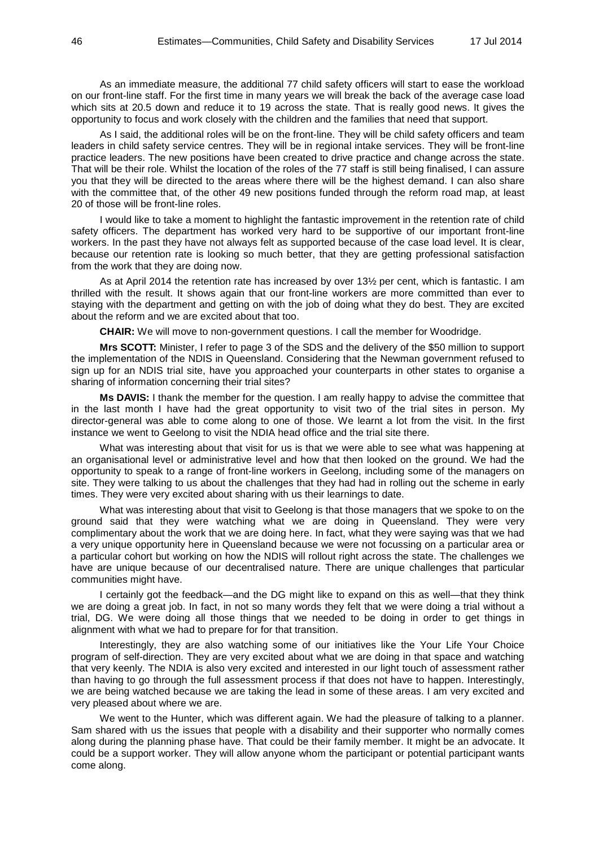As an immediate measure, the additional 77 child safety officers will start to ease the workload on our front-line staff. For the first time in many years we will break the back of the average case load which sits at 20.5 down and reduce it to 19 across the state. That is really good news. It gives the opportunity to focus and work closely with the children and the families that need that support.

As I said, the additional roles will be on the front-line. They will be child safety officers and team leaders in child safety service centres. They will be in regional intake services. They will be front-line practice leaders. The new positions have been created to drive practice and change across the state. That will be their role. Whilst the location of the roles of the 77 staff is still being finalised, I can assure you that they will be directed to the areas where there will be the highest demand. I can also share with the committee that, of the other 49 new positions funded through the reform road map, at least 20 of those will be front-line roles.

I would like to take a moment to highlight the fantastic improvement in the retention rate of child safety officers. The department has worked very hard to be supportive of our important front-line workers. In the past they have not always felt as supported because of the case load level. It is clear, because our retention rate is looking so much better, that they are getting professional satisfaction from the work that they are doing now.

As at April 2014 the retention rate has increased by over 13½ per cent, which is fantastic. I am thrilled with the result. It shows again that our front-line workers are more committed than ever to staying with the department and getting on with the job of doing what they do best. They are excited about the reform and we are excited about that too.

**CHAIR:** We will move to non-government questions. I call the member for Woodridge.

**Mrs SCOTT:** Minister, I refer to page 3 of the SDS and the delivery of the \$50 million to support the implementation of the NDIS in Queensland. Considering that the Newman government refused to sign up for an NDIS trial site, have you approached your counterparts in other states to organise a sharing of information concerning their trial sites?

**Ms DAVIS:** I thank the member for the question. I am really happy to advise the committee that in the last month I have had the great opportunity to visit two of the trial sites in person. My director-general was able to come along to one of those. We learnt a lot from the visit. In the first instance we went to Geelong to visit the NDIA head office and the trial site there.

What was interesting about that visit for us is that we were able to see what was happening at an organisational level or administrative level and how that then looked on the ground. We had the opportunity to speak to a range of front-line workers in Geelong, including some of the managers on site. They were talking to us about the challenges that they had had in rolling out the scheme in early times. They were very excited about sharing with us their learnings to date.

What was interesting about that visit to Geelong is that those managers that we spoke to on the ground said that they were watching what we are doing in Queensland. They were very complimentary about the work that we are doing here. In fact, what they were saying was that we had a very unique opportunity here in Queensland because we were not focussing on a particular area or a particular cohort but working on how the NDIS will rollout right across the state. The challenges we have are unique because of our decentralised nature. There are unique challenges that particular communities might have.

I certainly got the feedback—and the DG might like to expand on this as well—that they think we are doing a great job. In fact, in not so many words they felt that we were doing a trial without a trial, DG. We were doing all those things that we needed to be doing in order to get things in alignment with what we had to prepare for for that transition.

Interestingly, they are also watching some of our initiatives like the Your Life Your Choice program of self-direction. They are very excited about what we are doing in that space and watching that very keenly. The NDIA is also very excited and interested in our light touch of assessment rather than having to go through the full assessment process if that does not have to happen. Interestingly, we are being watched because we are taking the lead in some of these areas. I am very excited and very pleased about where we are.

We went to the Hunter, which was different again. We had the pleasure of talking to a planner. Sam shared with us the issues that people with a disability and their supporter who normally comes along during the planning phase have. That could be their family member. It might be an advocate. It could be a support worker. They will allow anyone whom the participant or potential participant wants come along.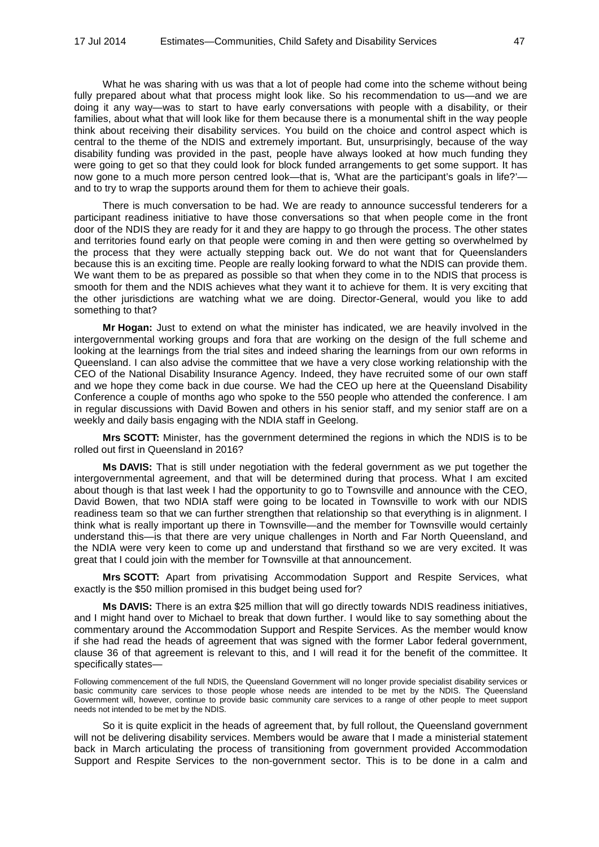What he was sharing with us was that a lot of people had come into the scheme without being fully prepared about what that process might look like. So his recommendation to us—and we are doing it any way—was to start to have early conversations with people with a disability, or their families, about what that will look like for them because there is a monumental shift in the way people think about receiving their disability services. You build on the choice and control aspect which is central to the theme of the NDIS and extremely important. But, unsurprisingly, because of the way disability funding was provided in the past, people have always looked at how much funding they were going to get so that they could look for block funded arrangements to get some support. It has now gone to a much more person centred look—that is, 'What are the participant's goals in life?' and to try to wrap the supports around them for them to achieve their goals.

There is much conversation to be had. We are ready to announce successful tenderers for a participant readiness initiative to have those conversations so that when people come in the front door of the NDIS they are ready for it and they are happy to go through the process. The other states and territories found early on that people were coming in and then were getting so overwhelmed by the process that they were actually stepping back out. We do not want that for Queenslanders because this is an exciting time. People are really looking forward to what the NDIS can provide them. We want them to be as prepared as possible so that when they come in to the NDIS that process is smooth for them and the NDIS achieves what they want it to achieve for them. It is very exciting that the other jurisdictions are watching what we are doing. Director-General, would you like to add something to that?

**Mr Hogan:** Just to extend on what the minister has indicated, we are heavily involved in the intergovernmental working groups and fora that are working on the design of the full scheme and looking at the learnings from the trial sites and indeed sharing the learnings from our own reforms in Queensland. I can also advise the committee that we have a very close working relationship with the CEO of the National Disability Insurance Agency. Indeed, they have recruited some of our own staff and we hope they come back in due course. We had the CEO up here at the Queensland Disability Conference a couple of months ago who spoke to the 550 people who attended the conference. I am in regular discussions with David Bowen and others in his senior staff, and my senior staff are on a weekly and daily basis engaging with the NDIA staff in Geelong.

**Mrs SCOTT:** Minister, has the government determined the regions in which the NDIS is to be rolled out first in Queensland in 2016?

**Ms DAVIS:** That is still under negotiation with the federal government as we put together the intergovernmental agreement, and that will be determined during that process. What I am excited about though is that last week I had the opportunity to go to Townsville and announce with the CEO, David Bowen, that two NDIA staff were going to be located in Townsville to work with our NDIS readiness team so that we can further strengthen that relationship so that everything is in alignment. I think what is really important up there in Townsville—and the member for Townsville would certainly understand this—is that there are very unique challenges in North and Far North Queensland, and the NDIA were very keen to come up and understand that firsthand so we are very excited. It was great that I could join with the member for Townsville at that announcement.

**Mrs SCOTT:** Apart from privatising Accommodation Support and Respite Services, what exactly is the \$50 million promised in this budget being used for?

**Ms DAVIS:** There is an extra \$25 million that will go directly towards NDIS readiness initiatives, and I might hand over to Michael to break that down further. I would like to say something about the commentary around the Accommodation Support and Respite Services. As the member would know if she had read the heads of agreement that was signed with the former Labor federal government, clause 36 of that agreement is relevant to this, and I will read it for the benefit of the committee. It specifically states—

Following commencement of the full NDIS, the Queensland Government will no longer provide specialist disability services or basic community care services to those people whose needs are intended to be met by the NDIS. The Queensland Government will, however, continue to provide basic community care services to a range of other people to meet support needs not intended to be met by the NDIS.

So it is quite explicit in the heads of agreement that, by full rollout, the Queensland government will not be delivering disability services. Members would be aware that I made a ministerial statement back in March articulating the process of transitioning from government provided Accommodation Support and Respite Services to the non-government sector. This is to be done in a calm and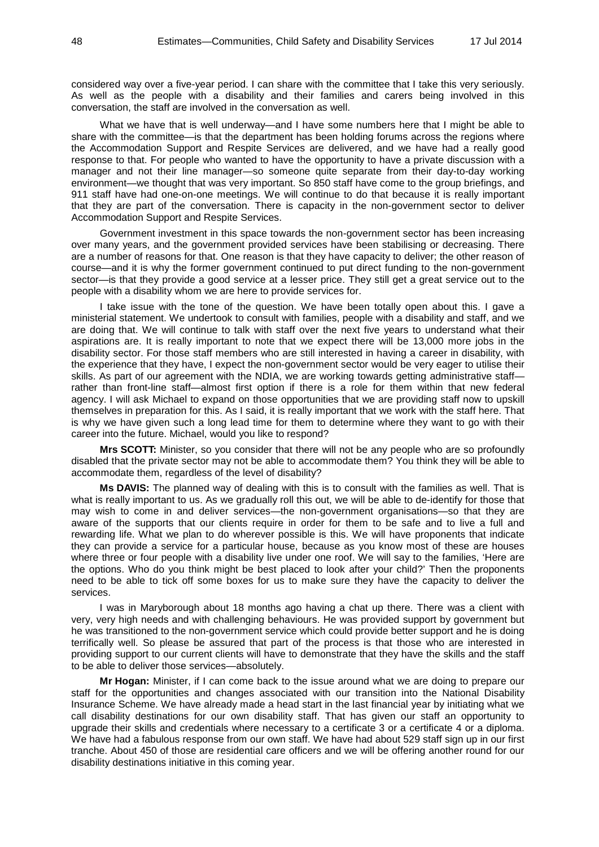considered way over a five-year period. I can share with the committee that I take this very seriously. As well as the people with a disability and their families and carers being involved in this conversation, the staff are involved in the conversation as well.

What we have that is well underway—and I have some numbers here that I might be able to share with the committee—is that the department has been holding forums across the regions where the Accommodation Support and Respite Services are delivered, and we have had a really good response to that. For people who wanted to have the opportunity to have a private discussion with a manager and not their line manager—so someone quite separate from their day-to-day working environment—we thought that was very important. So 850 staff have come to the group briefings, and 911 staff have had one-on-one meetings. We will continue to do that because it is really important that they are part of the conversation. There is capacity in the non-government sector to deliver Accommodation Support and Respite Services.

Government investment in this space towards the non-government sector has been increasing over many years, and the government provided services have been stabilising or decreasing. There are a number of reasons for that. One reason is that they have capacity to deliver; the other reason of course—and it is why the former government continued to put direct funding to the non-government sector—is that they provide a good service at a lesser price. They still get a great service out to the people with a disability whom we are here to provide services for.

I take issue with the tone of the question. We have been totally open about this. I gave a ministerial statement. We undertook to consult with families, people with a disability and staff, and we are doing that. We will continue to talk with staff over the next five years to understand what their aspirations are. It is really important to note that we expect there will be 13,000 more jobs in the disability sector. For those staff members who are still interested in having a career in disability, with the experience that they have, I expect the non-government sector would be very eager to utilise their skills. As part of our agreement with the NDIA, we are working towards getting administrative staff rather than front-line staff—almost first option if there is a role for them within that new federal agency. I will ask Michael to expand on those opportunities that we are providing staff now to upskill themselves in preparation for this. As I said, it is really important that we work with the staff here. That is why we have given such a long lead time for them to determine where they want to go with their career into the future. Michael, would you like to respond?

**Mrs SCOTT:** Minister, so you consider that there will not be any people who are so profoundly disabled that the private sector may not be able to accommodate them? You think they will be able to accommodate them, regardless of the level of disability?

**Ms DAVIS:** The planned way of dealing with this is to consult with the families as well. That is what is really important to us. As we gradually roll this out, we will be able to de-identify for those that may wish to come in and deliver services—the non-government organisations—so that they are aware of the supports that our clients require in order for them to be safe and to live a full and rewarding life. What we plan to do wherever possible is this. We will have proponents that indicate they can provide a service for a particular house, because as you know most of these are houses where three or four people with a disability live under one roof. We will say to the families, 'Here are the options. Who do you think might be best placed to look after your child?' Then the proponents need to be able to tick off some boxes for us to make sure they have the capacity to deliver the services.

I was in Maryborough about 18 months ago having a chat up there. There was a client with very, very high needs and with challenging behaviours. He was provided support by government but he was transitioned to the non-government service which could provide better support and he is doing terrifically well. So please be assured that part of the process is that those who are interested in providing support to our current clients will have to demonstrate that they have the skills and the staff to be able to deliver those services—absolutely.

**Mr Hogan:** Minister, if I can come back to the issue around what we are doing to prepare our staff for the opportunities and changes associated with our transition into the National Disability Insurance Scheme. We have already made a head start in the last financial year by initiating what we call disability destinations for our own disability staff. That has given our staff an opportunity to upgrade their skills and credentials where necessary to a certificate 3 or a certificate 4 or a diploma. We have had a fabulous response from our own staff. We have had about 529 staff sign up in our first tranche. About 450 of those are residential care officers and we will be offering another round for our disability destinations initiative in this coming year.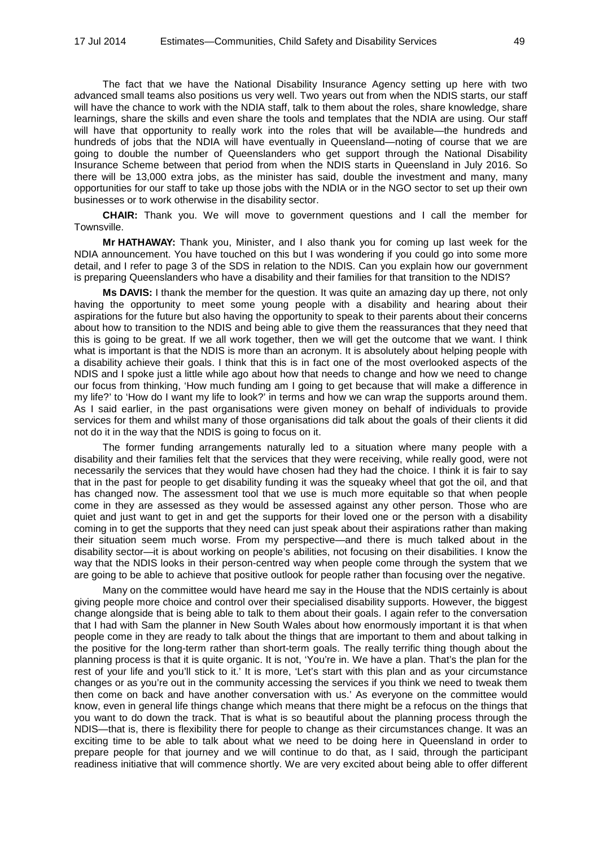The fact that we have the National Disability Insurance Agency setting up here with two advanced small teams also positions us very well. Two years out from when the NDIS starts, our staff will have the chance to work with the NDIA staff, talk to them about the roles, share knowledge, share learnings, share the skills and even share the tools and templates that the NDIA are using. Our staff will have that opportunity to really work into the roles that will be available—the hundreds and hundreds of jobs that the NDIA will have eventually in Queensland—noting of course that we are going to double the number of Queenslanders who get support through the National Disability Insurance Scheme between that period from when the NDIS starts in Queensland in July 2016. So there will be 13,000 extra jobs, as the minister has said, double the investment and many, many opportunities for our staff to take up those jobs with the NDIA or in the NGO sector to set up their own businesses or to work otherwise in the disability sector.

**CHAIR:** Thank you. We will move to government questions and I call the member for Townsville.

**Mr HATHAWAY:** Thank you, Minister, and I also thank you for coming up last week for the NDIA announcement. You have touched on this but I was wondering if you could go into some more detail, and I refer to page 3 of the SDS in relation to the NDIS. Can you explain how our government is preparing Queenslanders who have a disability and their families for that transition to the NDIS?

**Ms DAVIS:** I thank the member for the question. It was quite an amazing day up there, not only having the opportunity to meet some young people with a disability and hearing about their aspirations for the future but also having the opportunity to speak to their parents about their concerns about how to transition to the NDIS and being able to give them the reassurances that they need that this is going to be great. If we all work together, then we will get the outcome that we want. I think what is important is that the NDIS is more than an acronym. It is absolutely about helping people with a disability achieve their goals. I think that this is in fact one of the most overlooked aspects of the NDIS and I spoke just a little while ago about how that needs to change and how we need to change our focus from thinking, 'How much funding am I going to get because that will make a difference in my life?' to 'How do I want my life to look?' in terms and how we can wrap the supports around them. As I said earlier, in the past organisations were given money on behalf of individuals to provide services for them and whilst many of those organisations did talk about the goals of their clients it did not do it in the way that the NDIS is going to focus on it.

The former funding arrangements naturally led to a situation where many people with a disability and their families felt that the services that they were receiving, while really good, were not necessarily the services that they would have chosen had they had the choice. I think it is fair to say that in the past for people to get disability funding it was the squeaky wheel that got the oil, and that has changed now. The assessment tool that we use is much more equitable so that when people come in they are assessed as they would be assessed against any other person. Those who are quiet and just want to get in and get the supports for their loved one or the person with a disability coming in to get the supports that they need can just speak about their aspirations rather than making their situation seem much worse. From my perspective—and there is much talked about in the disability sector—it is about working on people's abilities, not focusing on their disabilities. I know the way that the NDIS looks in their person-centred way when people come through the system that we are going to be able to achieve that positive outlook for people rather than focusing over the negative.

Many on the committee would have heard me say in the House that the NDIS certainly is about giving people more choice and control over their specialised disability supports. However, the biggest change alongside that is being able to talk to them about their goals. I again refer to the conversation that I had with Sam the planner in New South Wales about how enormously important it is that when people come in they are ready to talk about the things that are important to them and about talking in the positive for the long-term rather than short-term goals. The really terrific thing though about the planning process is that it is quite organic. It is not, 'You're in. We have a plan. That's the plan for the rest of your life and you'll stick to it.' It is more, 'Let's start with this plan and as your circumstance changes or as you're out in the community accessing the services if you think we need to tweak them then come on back and have another conversation with us.' As everyone on the committee would know, even in general life things change which means that there might be a refocus on the things that you want to do down the track. That is what is so beautiful about the planning process through the NDIS—that is, there is flexibility there for people to change as their circumstances change. It was an exciting time to be able to talk about what we need to be doing here in Queensland in order to prepare people for that journey and we will continue to do that, as I said, through the participant readiness initiative that will commence shortly. We are very excited about being able to offer different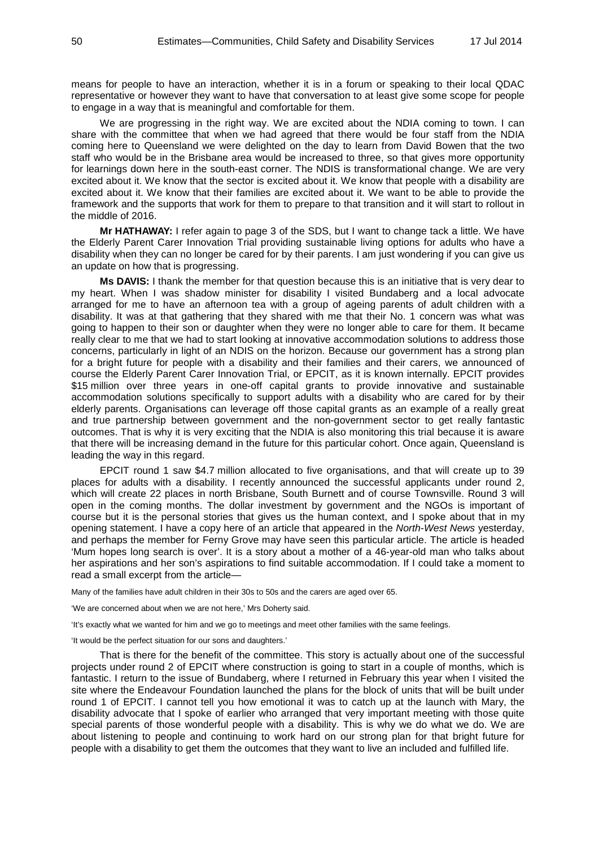means for people to have an interaction, whether it is in a forum or speaking to their local QDAC representative or however they want to have that conversation to at least give some scope for people to engage in a way that is meaningful and comfortable for them.

We are progressing in the right way. We are excited about the NDIA coming to town. I can share with the committee that when we had agreed that there would be four staff from the NDIA coming here to Queensland we were delighted on the day to learn from David Bowen that the two staff who would be in the Brisbane area would be increased to three, so that gives more opportunity for learnings down here in the south-east corner. The NDIS is transformational change. We are very excited about it. We know that the sector is excited about it. We know that people with a disability are excited about it. We know that their families are excited about it. We want to be able to provide the framework and the supports that work for them to prepare to that transition and it will start to rollout in the middle of 2016.

**Mr HATHAWAY:** I refer again to page 3 of the SDS, but I want to change tack a little. We have the Elderly Parent Carer Innovation Trial providing sustainable living options for adults who have a disability when they can no longer be cared for by their parents. I am just wondering if you can give us an update on how that is progressing.

**Ms DAVIS:** I thank the member for that question because this is an initiative that is very dear to my heart. When I was shadow minister for disability I visited Bundaberg and a local advocate arranged for me to have an afternoon tea with a group of ageing parents of adult children with a disability. It was at that gathering that they shared with me that their No. 1 concern was what was going to happen to their son or daughter when they were no longer able to care for them. It became really clear to me that we had to start looking at innovative accommodation solutions to address those concerns, particularly in light of an NDIS on the horizon. Because our government has a strong plan for a bright future for people with a disability and their families and their carers, we announced of course the Elderly Parent Carer Innovation Trial, or EPCIT, as it is known internally. EPCIT provides \$15 million over three years in one-off capital grants to provide innovative and sustainable accommodation solutions specifically to support adults with a disability who are cared for by their elderly parents. Organisations can leverage off those capital grants as an example of a really great and true partnership between government and the non-government sector to get really fantastic outcomes. That is why it is very exciting that the NDIA is also monitoring this trial because it is aware that there will be increasing demand in the future for this particular cohort. Once again, Queensland is leading the way in this regard.

EPCIT round 1 saw \$4.7 million allocated to five organisations, and that will create up to 39 places for adults with a disability. I recently announced the successful applicants under round 2, which will create 22 places in north Brisbane, South Burnett and of course Townsville. Round 3 will open in the coming months. The dollar investment by government and the NGOs is important of course but it is the personal stories that gives us the human context, and I spoke about that in my opening statement. I have a copy here of an article that appeared in the *North-West News* yesterday, and perhaps the member for Ferny Grove may have seen this particular article. The article is headed 'Mum hopes long search is over'. It is a story about a mother of a 46-year-old man who talks about her aspirations and her son's aspirations to find suitable accommodation. If I could take a moment to read a small excerpt from the article—

Many of the families have adult children in their 30s to 50s and the carers are aged over 65.

'We are concerned about when we are not here,' Mrs Doherty said.

'It's exactly what we wanted for him and we go to meetings and meet other families with the same feelings.

'It would be the perfect situation for our sons and daughters.'

That is there for the benefit of the committee. This story is actually about one of the successful projects under round 2 of EPCIT where construction is going to start in a couple of months, which is fantastic. I return to the issue of Bundaberg, where I returned in February this year when I visited the site where the Endeavour Foundation launched the plans for the block of units that will be built under round 1 of EPCIT. I cannot tell you how emotional it was to catch up at the launch with Mary, the disability advocate that I spoke of earlier who arranged that very important meeting with those quite special parents of those wonderful people with a disability. This is why we do what we do. We are about listening to people and continuing to work hard on our strong plan for that bright future for people with a disability to get them the outcomes that they want to live an included and fulfilled life.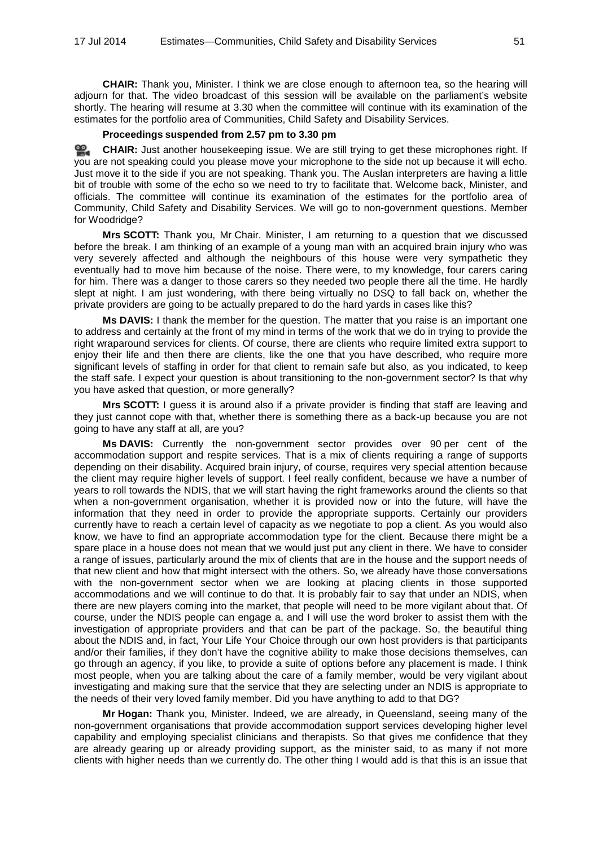**CHAIR:** Thank you, Minister. I think we are close enough to afternoon tea, so the hearing will adjourn for that. The video broadcast of this session will be available on the parliament's website shortly. The hearing will resume at 3.30 when the committee will continue with its examination of the estimates for the portfolio area of Communities, Child Safety and Disability Services.

#### **Proceedings suspended from 2.57 pm to 3.30 pm**

<u>രാ</u> **[CHAIR:](http://www.parliament.qld.gov.au/docs/find.aspx?id=0MbaHCSC20140717_153025)** Just another housekeeping issue. We are still trying to get these microphones right. If you are not speaking could you please move your microphone to the side not up because it will echo. Just move it to the side if you are not speaking. Thank you. The Auslan interpreters are having a little bit of trouble with some of the echo so we need to try to facilitate that. Welcome back, Minister, and officials. The committee will continue its examination of the estimates for the portfolio area of Community, Child Safety and Disability Services. We will go to non-government questions. Member for Woodridge?

**Mrs SCOTT:** Thank you, Mr Chair. Minister, I am returning to a question that we discussed before the break. I am thinking of an example of a young man with an acquired brain injury who was very severely affected and although the neighbours of this house were very sympathetic they eventually had to move him because of the noise. There were, to my knowledge, four carers caring for him. There was a danger to those carers so they needed two people there all the time. He hardly slept at night. I am just wondering, with there being virtually no DSQ to fall back on, whether the private providers are going to be actually prepared to do the hard yards in cases like this?

**Ms DAVIS:** I thank the member for the question. The matter that you raise is an important one to address and certainly at the front of my mind in terms of the work that we do in trying to provide the right wraparound services for clients. Of course, there are clients who require limited extra support to enjoy their life and then there are clients, like the one that you have described, who require more significant levels of staffing in order for that client to remain safe but also, as you indicated, to keep the staff safe. I expect your question is about transitioning to the non-government sector? Is that why you have asked that question, or more generally?

**Mrs SCOTT:** I guess it is around also if a private provider is finding that staff are leaving and they just cannot cope with that, whether there is something there as a back-up because you are not going to have any staff at all, are you?

**Ms DAVIS:** Currently the non-government sector provides over 90 per cent of the accommodation support and respite services. That is a mix of clients requiring a range of supports depending on their disability. Acquired brain injury, of course, requires very special attention because the client may require higher levels of support. I feel really confident, because we have a number of years to roll towards the NDIS, that we will start having the right frameworks around the clients so that when a non-government organisation, whether it is provided now or into the future, will have the information that they need in order to provide the appropriate supports. Certainly our providers currently have to reach a certain level of capacity as we negotiate to pop a client. As you would also know, we have to find an appropriate accommodation type for the client. Because there might be a spare place in a house does not mean that we would just put any client in there. We have to consider a range of issues, particularly around the mix of clients that are in the house and the support needs of that new client and how that might intersect with the others. So, we already have those conversations with the non-government sector when we are looking at placing clients in those supported accommodations and we will continue to do that. It is probably fair to say that under an NDIS, when there are new players coming into the market, that people will need to be more vigilant about that. Of course, under the NDIS people can engage a, and I will use the word broker to assist them with the investigation of appropriate providers and that can be part of the package. So, the beautiful thing about the NDIS and, in fact, Your Life Your Choice through our own host providers is that participants and/or their families, if they don't have the cognitive ability to make those decisions themselves, can go through an agency, if you like, to provide a suite of options before any placement is made. I think most people, when you are talking about the care of a family member, would be very vigilant about investigating and making sure that the service that they are selecting under an NDIS is appropriate to the needs of their very loved family member. Did you have anything to add to that DG?

**Mr Hogan:** Thank you, Minister. Indeed, we are already, in Queensland, seeing many of the non-government organisations that provide accommodation support services developing higher level capability and employing specialist clinicians and therapists. So that gives me confidence that they are already gearing up or already providing support, as the minister said, to as many if not more clients with higher needs than we currently do. The other thing I would add is that this is an issue that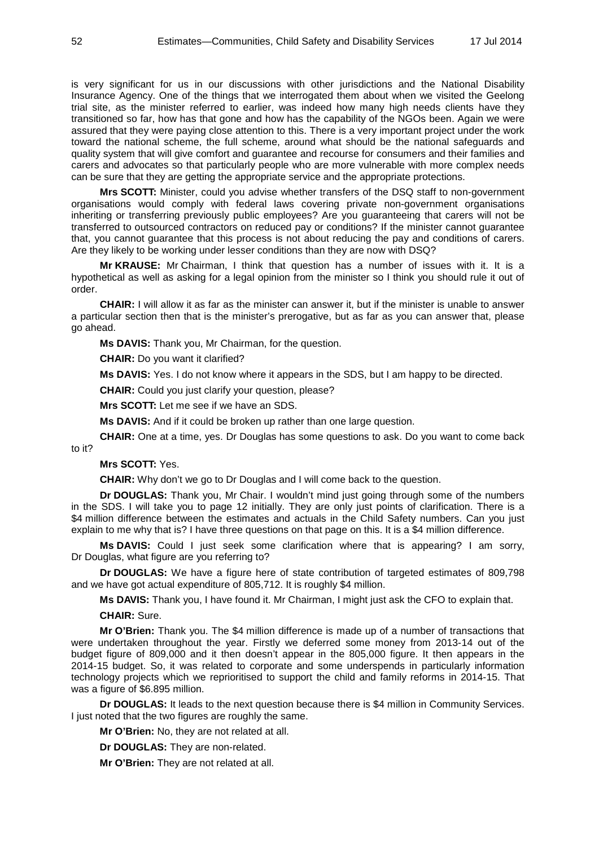is very significant for us in our discussions with other jurisdictions and the National Disability Insurance Agency. One of the things that we interrogated them about when we visited the Geelong trial site, as the minister referred to earlier, was indeed how many high needs clients have they transitioned so far, how has that gone and how has the capability of the NGOs been. Again we were assured that they were paying close attention to this. There is a very important project under the work toward the national scheme, the full scheme, around what should be the national safeguards and quality system that will give comfort and guarantee and recourse for consumers and their families and carers and advocates so that particularly people who are more vulnerable with more complex needs can be sure that they are getting the appropriate service and the appropriate protections.

**Mrs SCOTT:** Minister, could you advise whether transfers of the DSQ staff to non-government organisations would comply with federal laws covering private non-government organisations inheriting or transferring previously public employees? Are you guaranteeing that carers will not be transferred to outsourced contractors on reduced pay or conditions? If the minister cannot guarantee that, you cannot guarantee that this process is not about reducing the pay and conditions of carers. Are they likely to be working under lesser conditions than they are now with DSQ?

**Mr KRAUSE:** Mr Chairman, I think that question has a number of issues with it. It is a hypothetical as well as asking for a legal opinion from the minister so I think you should rule it out of order.

**CHAIR:** I will allow it as far as the minister can answer it, but if the minister is unable to answer a particular section then that is the minister's prerogative, but as far as you can answer that, please go ahead.

**Ms DAVIS:** Thank you, Mr Chairman, for the question.

**CHAIR:** Do you want it clarified?

**Ms DAVIS:** Yes. I do not know where it appears in the SDS, but I am happy to be directed.

**CHAIR:** Could you just clarify your question, please?

**Mrs SCOTT:** Let me see if we have an SDS.

**Ms DAVIS:** And if it could be broken up rather than one large question.

**CHAIR:** One at a time, yes. Dr Douglas has some questions to ask. Do you want to come back to it?

#### **Mrs SCOTT:** Yes.

**CHAIR:** Why don't we go to Dr Douglas and I will come back to the question.

**Dr DOUGLAS:** Thank you, Mr Chair. I wouldn't mind just going through some of the numbers in the SDS. I will take you to page 12 initially. They are only just points of clarification. There is a \$4 million difference between the estimates and actuals in the Child Safety numbers. Can you just explain to me why that is? I have three questions on that page on this. It is a \$4 million difference.

**Ms DAVIS:** Could I just seek some clarification where that is appearing? I am sorry, Dr Douglas, what figure are you referring to?

**Dr DOUGLAS:** We have a figure here of state contribution of targeted estimates of 809,798 and we have got actual expenditure of 805,712. It is roughly \$4 million.

**Ms DAVIS:** Thank you, I have found it. Mr Chairman, I might just ask the CFO to explain that.

**CHAIR:** Sure.

**Mr O'Brien:** Thank you. The \$4 million difference is made up of a number of transactions that were undertaken throughout the year. Firstly we deferred some money from 2013-14 out of the budget figure of 809,000 and it then doesn't appear in the 805,000 figure. It then appears in the 2014-15 budget. So, it was related to corporate and some underspends in particularly information technology projects which we reprioritised to support the child and family reforms in 2014-15. That was a figure of \$6.895 million.

**Dr DOUGLAS:** It leads to the next question because there is \$4 million in Community Services. I just noted that the two figures are roughly the same.

**Mr O'Brien:** No, they are not related at all.

**Dr DOUGLAS:** They are non-related.

**Mr O'Brien:** They are not related at all.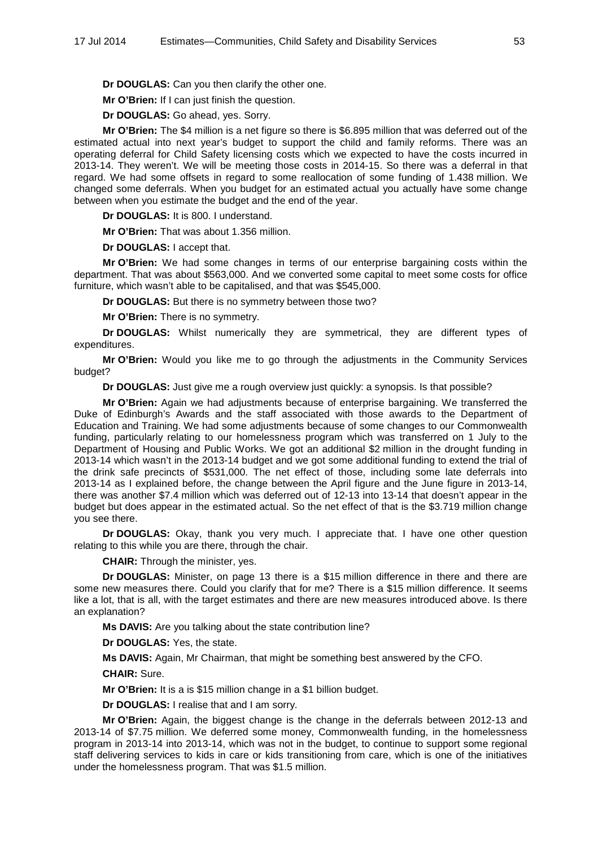**Dr DOUGLAS:** Can you then clarify the other one.

**Mr O'Brien:** If I can just finish the question.

**Dr DOUGLAS:** Go ahead, yes. Sorry.

**Mr O'Brien:** The \$4 million is a net figure so there is \$6.895 million that was deferred out of the estimated actual into next year's budget to support the child and family reforms. There was an operating deferral for Child Safety licensing costs which we expected to have the costs incurred in 2013-14. They weren't. We will be meeting those costs in 2014-15. So there was a deferral in that regard. We had some offsets in regard to some reallocation of some funding of 1.438 million. We changed some deferrals. When you budget for an estimated actual you actually have some change between when you estimate the budget and the end of the year.

**Dr DOUGLAS:** It is 800. I understand.

**Mr O'Brien:** That was about 1.356 million.

**Dr DOUGLAS:** I accept that.

**Mr O'Brien:** We had some changes in terms of our enterprise bargaining costs within the department. That was about \$563,000. And we converted some capital to meet some costs for office furniture, which wasn't able to be capitalised, and that was \$545,000.

**Dr DOUGLAS:** But there is no symmetry between those two?

**Mr O'Brien:** There is no symmetry.

**Dr DOUGLAS:** Whilst numerically they are symmetrical, they are different types of expenditures.

**Mr O'Brien:** Would you like me to go through the adjustments in the Community Services budget?

**Dr DOUGLAS:** Just give me a rough overview just quickly: a synopsis. Is that possible?

**Mr O'Brien:** Again we had adjustments because of enterprise bargaining. We transferred the Duke of Edinburgh's Awards and the staff associated with those awards to the Department of Education and Training. We had some adjustments because of some changes to our Commonwealth funding, particularly relating to our homelessness program which was transferred on 1 July to the Department of Housing and Public Works. We got an additional \$2 million in the drought funding in 2013-14 which wasn't in the 2013-14 budget and we got some additional funding to extend the trial of the drink safe precincts of \$531,000. The net effect of those, including some late deferrals into 2013-14 as I explained before, the change between the April figure and the June figure in 2013-14, there was another \$7.4 million which was deferred out of 12-13 into 13-14 that doesn't appear in the budget but does appear in the estimated actual. So the net effect of that is the \$3.719 million change you see there.

**Dr DOUGLAS:** Okay, thank you very much. I appreciate that. I have one other question relating to this while you are there, through the chair.

**CHAIR:** Through the minister, yes.

**Dr DOUGLAS:** Minister, on page 13 there is a \$15 million difference in there and there are some new measures there. Could you clarify that for me? There is a \$15 million difference. It seems like a lot, that is all, with the target estimates and there are new measures introduced above. Is there an explanation?

**Ms DAVIS:** Are you talking about the state contribution line?

**Dr DOUGLAS:** Yes, the state.

**Ms DAVIS:** Again, Mr Chairman, that might be something best answered by the CFO.

**CHAIR:** Sure.

**Mr O'Brien:** It is a is \$15 million change in a \$1 billion budget.

**Dr DOUGLAS:** I realise that and I am sorry.

**Mr O'Brien:** Again, the biggest change is the change in the deferrals between 2012-13 and 2013-14 of \$7.75 million. We deferred some money, Commonwealth funding, in the homelessness program in 2013-14 into 2013-14, which was not in the budget, to continue to support some regional staff delivering services to kids in care or kids transitioning from care, which is one of the initiatives under the homelessness program. That was \$1.5 million.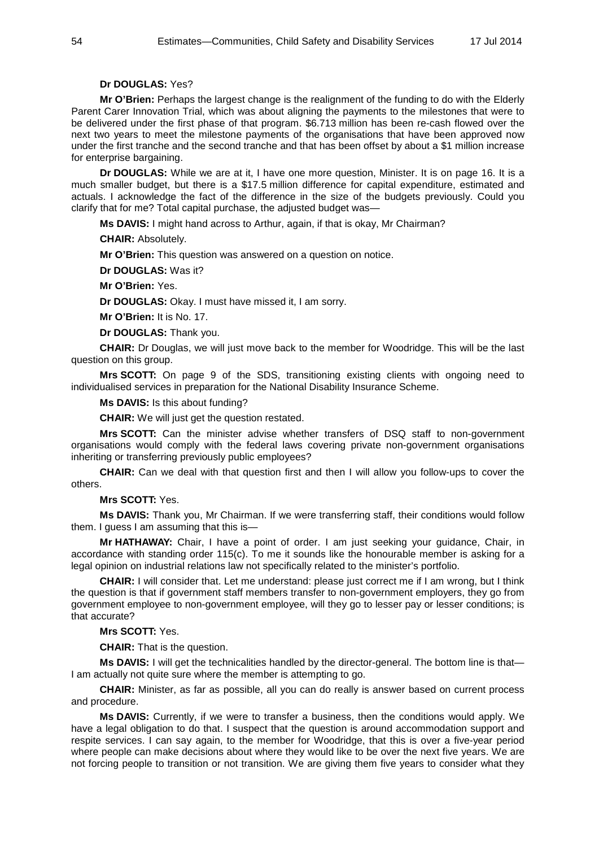## **Dr DOUGLAS:** Yes?

**Mr O'Brien:** Perhaps the largest change is the realignment of the funding to do with the Elderly Parent Carer Innovation Trial, which was about aligning the payments to the milestones that were to be delivered under the first phase of that program. \$6.713 million has been re-cash flowed over the next two years to meet the milestone payments of the organisations that have been approved now under the first tranche and the second tranche and that has been offset by about a \$1 million increase for enterprise bargaining.

**Dr DOUGLAS:** While we are at it, I have one more question, Minister. It is on page 16. It is a much smaller budget, but there is a \$17.5 million difference for capital expenditure, estimated and actuals. I acknowledge the fact of the difference in the size of the budgets previously. Could you clarify that for me? Total capital purchase, the adjusted budget was—

**Ms DAVIS:** I might hand across to Arthur, again, if that is okay, Mr Chairman?

**CHAIR:** Absolutely.

**Mr O'Brien:** This question was answered on a question on notice.

**Dr DOUGLAS:** Was it?

**Mr O'Brien:** Yes.

**Dr DOUGLAS:** Okay. I must have missed it, I am sorry.

**Mr O'Brien:** It is No. 17.

**Dr DOUGLAS:** Thank you.

**CHAIR:** Dr Douglas, we will just move back to the member for Woodridge. This will be the last question on this group.

**Mrs SCOTT:** On page 9 of the SDS, transitioning existing clients with ongoing need to individualised services in preparation for the National Disability Insurance Scheme.

**Ms DAVIS:** Is this about funding?

**CHAIR:** We will just get the question restated.

**Mrs SCOTT:** Can the minister advise whether transfers of DSQ staff to non-government organisations would comply with the federal laws covering private non-government organisations inheriting or transferring previously public employees?

**CHAIR:** Can we deal with that question first and then I will allow you follow-ups to cover the others.

**Mrs SCOTT:** Yes.

**Ms DAVIS:** Thank you, Mr Chairman. If we were transferring staff, their conditions would follow them. I guess I am assuming that this is-

**Mr HATHAWAY:** Chair, I have a point of order. I am just seeking your guidance, Chair, in accordance with standing order 115(c). To me it sounds like the honourable member is asking for a legal opinion on industrial relations law not specifically related to the minister's portfolio.

**CHAIR:** I will consider that. Let me understand: please just correct me if I am wrong, but I think the question is that if government staff members transfer to non-government employers, they go from government employee to non-government employee, will they go to lesser pay or lesser conditions; is that accurate?

## **Mrs SCOTT:** Yes.

**CHAIR:** That is the question.

**Ms DAVIS:** I will get the technicalities handled by the director-general. The bottom line is that— I am actually not quite sure where the member is attempting to go.

**CHAIR:** Minister, as far as possible, all you can do really is answer based on current process and procedure.

**Ms DAVIS:** Currently, if we were to transfer a business, then the conditions would apply. We have a legal obligation to do that. I suspect that the question is around accommodation support and respite services. I can say again, to the member for Woodridge, that this is over a five-year period where people can make decisions about where they would like to be over the next five years. We are not forcing people to transition or not transition. We are giving them five years to consider what they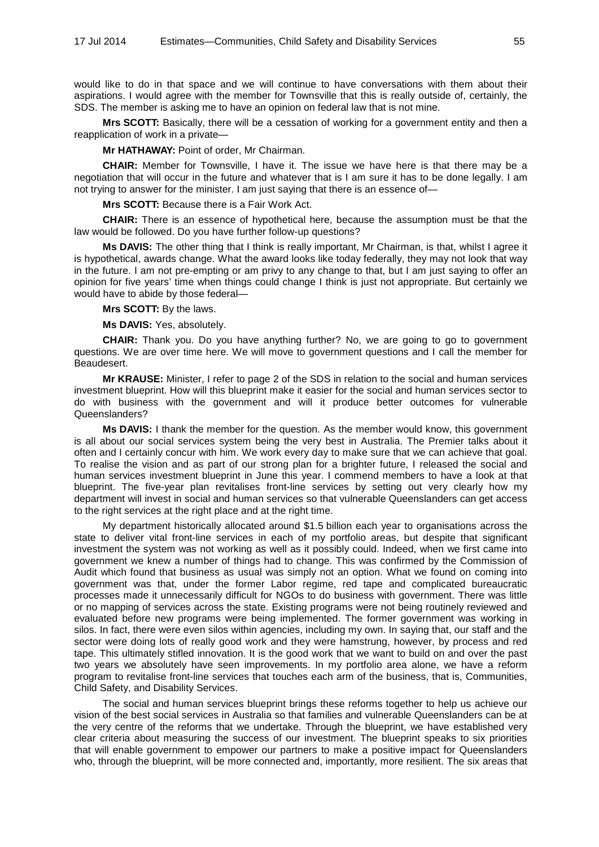would like to do in that space and we will continue to have conversations with them about their aspirations. I would agree with the member for Townsville that this is really outside of, certainly, the SDS. The member is asking me to have an opinion on federal law that is not mine.

**Mrs SCOTT:** Basically, there will be a cessation of working for a government entity and then a reapplication of work in a private—

**Mr HATHAWAY:** Point of order, Mr Chairman.

**CHAIR:** Member for Townsville, I have it. The issue we have here is that there may be a negotiation that will occur in the future and whatever that is I am sure it has to be done legally. I am not trying to answer for the minister. I am just saying that there is an essence of—

**Mrs SCOTT:** Because there is a Fair Work Act.

**CHAIR:** There is an essence of hypothetical here, because the assumption must be that the law would be followed. Do you have further follow-up questions?

**Ms DAVIS:** The other thing that I think is really important, Mr Chairman, is that, whilst I agree it is hypothetical, awards change. What the award looks like today federally, they may not look that way in the future. I am not pre-empting or am privy to any change to that, but I am just saying to offer an opinion for five years' time when things could change I think is just not appropriate. But certainly we would have to abide by those federal—

**Mrs SCOTT:** By the laws.

**Ms DAVIS:** Yes, absolutely.

**CHAIR:** Thank you. Do you have anything further? No, we are going to go to government questions. We are over time here. We will move to government questions and I call the member for Beaudesert.

**Mr KRAUSE:** Minister, I refer to page 2 of the SDS in relation to the social and human services investment blueprint. How will this blueprint make it easier for the social and human services sector to do with business with the government and will it produce better outcomes for vulnerable Queenslanders?

**Ms DAVIS:** I thank the member for the question. As the member would know, this government is all about our social services system being the very best in Australia. The Premier talks about it often and I certainly concur with him. We work every day to make sure that we can achieve that goal. To realise the vision and as part of our strong plan for a brighter future, I released the social and human services investment blueprint in June this year. I commend members to have a look at that blueprint. The five-year plan revitalises front-line services by setting out very clearly how my department will invest in social and human services so that vulnerable Queenslanders can get access to the right services at the right place and at the right time.

My department historically allocated around \$1.5 billion each year to organisations across the state to deliver vital front-line services in each of my portfolio areas, but despite that significant investment the system was not working as well as it possibly could. Indeed, when we first came into government we knew a number of things had to change. This was confirmed by the Commission of Audit which found that business as usual was simply not an option. What we found on coming into government was that, under the former Labor regime, red tape and complicated bureaucratic processes made it unnecessarily difficult for NGOs to do business with government. There was little or no mapping of services across the state. Existing programs were not being routinely reviewed and evaluated before new programs were being implemented. The former government was working in silos. In fact, there were even silos within agencies, including my own. In saying that, our staff and the sector were doing lots of really good work and they were hamstrung, however, by process and red tape. This ultimately stifled innovation. It is the good work that we want to build on and over the past two years we absolutely have seen improvements. In my portfolio area alone, we have a reform program to revitalise front-line services that touches each arm of the business, that is, Communities, Child Safety, and Disability Services.

The social and human services blueprint brings these reforms together to help us achieve our vision of the best social services in Australia so that families and vulnerable Queenslanders can be at the very centre of the reforms that we undertake. Through the blueprint, we have established very clear criteria about measuring the success of our investment. The blueprint speaks to six priorities that will enable government to empower our partners to make a positive impact for Queenslanders who, through the blueprint, will be more connected and, importantly, more resilient. The six areas that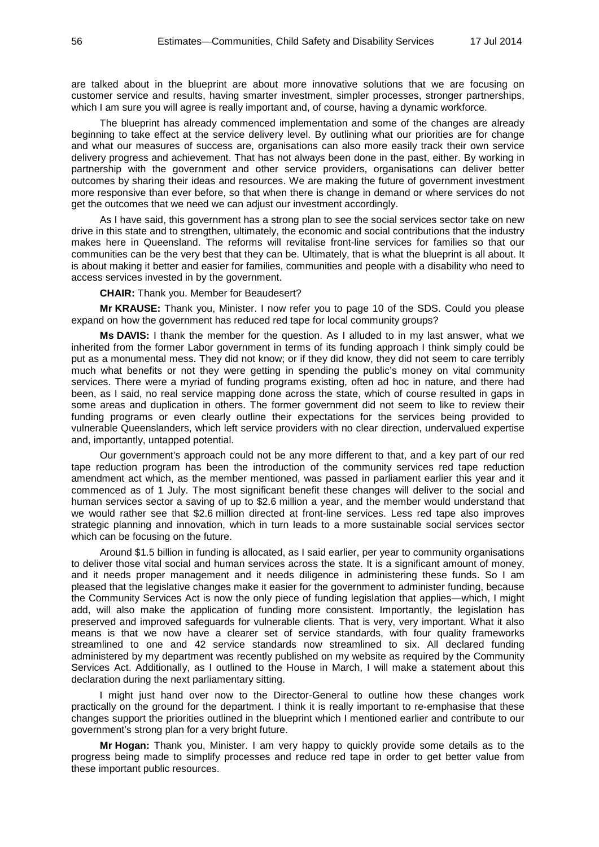are talked about in the blueprint are about more innovative solutions that we are focusing on customer service and results, having smarter investment, simpler processes, stronger partnerships, which I am sure you will agree is really important and, of course, having a dynamic workforce.

The blueprint has already commenced implementation and some of the changes are already beginning to take effect at the service delivery level. By outlining what our priorities are for change and what our measures of success are, organisations can also more easily track their own service delivery progress and achievement. That has not always been done in the past, either. By working in partnership with the government and other service providers, organisations can deliver better outcomes by sharing their ideas and resources. We are making the future of government investment more responsive than ever before, so that when there is change in demand or where services do not get the outcomes that we need we can adjust our investment accordingly.

As I have said, this government has a strong plan to see the social services sector take on new drive in this state and to strengthen, ultimately, the economic and social contributions that the industry makes here in Queensland. The reforms will revitalise front-line services for families so that our communities can be the very best that they can be. Ultimately, that is what the blueprint is all about. It is about making it better and easier for families, communities and people with a disability who need to access services invested in by the government.

**CHAIR:** Thank you. Member for Beaudesert?

**Mr KRAUSE:** Thank you, Minister. I now refer you to page 10 of the SDS. Could you please expand on how the government has reduced red tape for local community groups?

**Ms DAVIS:** I thank the member for the question. As I alluded to in my last answer, what we inherited from the former Labor government in terms of its funding approach I think simply could be put as a monumental mess. They did not know; or if they did know, they did not seem to care terribly much what benefits or not they were getting in spending the public's money on vital community services. There were a myriad of funding programs existing, often ad hoc in nature, and there had been, as I said, no real service mapping done across the state, which of course resulted in gaps in some areas and duplication in others. The former government did not seem to like to review their funding programs or even clearly outline their expectations for the services being provided to vulnerable Queenslanders, which left service providers with no clear direction, undervalued expertise and, importantly, untapped potential.

Our government's approach could not be any more different to that, and a key part of our red tape reduction program has been the introduction of the community services red tape reduction amendment act which, as the member mentioned, was passed in parliament earlier this year and it commenced as of 1 July. The most significant benefit these changes will deliver to the social and human services sector a saving of up to \$2.6 million a year, and the member would understand that we would rather see that \$2.6 million directed at front-line services. Less red tape also improves strategic planning and innovation, which in turn leads to a more sustainable social services sector which can be focusing on the future.

Around \$1.5 billion in funding is allocated, as I said earlier, per year to community organisations to deliver those vital social and human services across the state. It is a significant amount of money, and it needs proper management and it needs diligence in administering these funds. So I am pleased that the legislative changes make it easier for the government to administer funding, because the Community Services Act is now the only piece of funding legislation that applies—which, I might add, will also make the application of funding more consistent. Importantly, the legislation has preserved and improved safeguards for vulnerable clients. That is very, very important. What it also means is that we now have a clearer set of service standards, with four quality frameworks streamlined to one and 42 service standards now streamlined to six. All declared funding administered by my department was recently published on my website as required by the Community Services Act. Additionally, as I outlined to the House in March, I will make a statement about this declaration during the next parliamentary sitting.

I might just hand over now to the Director-General to outline how these changes work practically on the ground for the department. I think it is really important to re-emphasise that these changes support the priorities outlined in the blueprint which I mentioned earlier and contribute to our government's strong plan for a very bright future.

**Mr Hogan:** Thank you, Minister. I am very happy to quickly provide some details as to the progress being made to simplify processes and reduce red tape in order to get better value from these important public resources.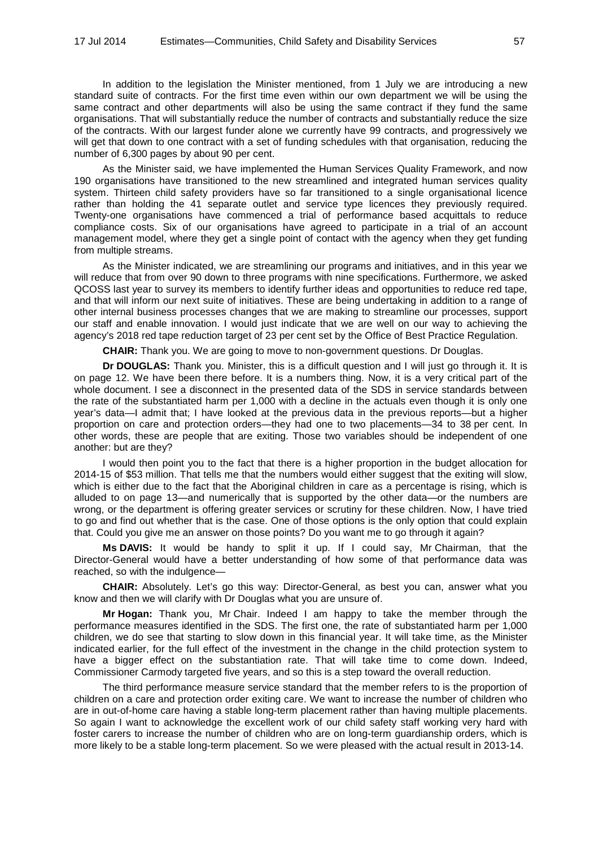In addition to the legislation the Minister mentioned, from 1 July we are introducing a new standard suite of contracts. For the first time even within our own department we will be using the same contract and other departments will also be using the same contract if they fund the same organisations. That will substantially reduce the number of contracts and substantially reduce the size of the contracts. With our largest funder alone we currently have 99 contracts, and progressively we will get that down to one contract with a set of funding schedules with that organisation, reducing the number of 6,300 pages by about 90 per cent.

As the Minister said, we have implemented the Human Services Quality Framework, and now 190 organisations have transitioned to the new streamlined and integrated human services quality system. Thirteen child safety providers have so far transitioned to a single organisational licence rather than holding the 41 separate outlet and service type licences they previously required. Twenty-one organisations have commenced a trial of performance based acquittals to reduce compliance costs. Six of our organisations have agreed to participate in a trial of an account management model, where they get a single point of contact with the agency when they get funding from multiple streams.

As the Minister indicated, we are streamlining our programs and initiatives, and in this year we will reduce that from over 90 down to three programs with nine specifications. Furthermore, we asked QCOSS last year to survey its members to identify further ideas and opportunities to reduce red tape, and that will inform our next suite of initiatives. These are being undertaking in addition to a range of other internal business processes changes that we are making to streamline our processes, support our staff and enable innovation. I would just indicate that we are well on our way to achieving the agency's 2018 red tape reduction target of 23 per cent set by the Office of Best Practice Regulation.

**CHAIR:** Thank you. We are going to move to non-government questions. Dr Douglas.

**Dr DOUGLAS:** Thank you. Minister, this is a difficult question and I will just go through it. It is on page 12. We have been there before. It is a numbers thing. Now, it is a very critical part of the whole document. I see a disconnect in the presented data of the SDS in service standards between the rate of the substantiated harm per 1,000 with a decline in the actuals even though it is only one year's data—I admit that; I have looked at the previous data in the previous reports—but a higher proportion on care and protection orders—they had one to two placements—34 to 38 per cent. In other words, these are people that are exiting. Those two variables should be independent of one another: but are they?

I would then point you to the fact that there is a higher proportion in the budget allocation for 2014-15 of \$53 million. That tells me that the numbers would either suggest that the exiting will slow, which is either due to the fact that the Aboriginal children in care as a percentage is rising, which is alluded to on page 13—and numerically that is supported by the other data—or the numbers are wrong, or the department is offering greater services or scrutiny for these children. Now, I have tried to go and find out whether that is the case. One of those options is the only option that could explain that. Could you give me an answer on those points? Do you want me to go through it again?

**Ms DAVIS:** It would be handy to split it up. If I could say, Mr Chairman, that the Director-General would have a better understanding of how some of that performance data was reached, so with the indulgence—

**CHAIR:** Absolutely. Let's go this way: Director-General, as best you can, answer what you know and then we will clarify with Dr Douglas what you are unsure of.

**Mr Hogan:** Thank you, Mr Chair. Indeed I am happy to take the member through the performance measures identified in the SDS. The first one, the rate of substantiated harm per 1,000 children, we do see that starting to slow down in this financial year. It will take time, as the Minister indicated earlier, for the full effect of the investment in the change in the child protection system to have a bigger effect on the substantiation rate. That will take time to come down. Indeed, Commissioner Carmody targeted five years, and so this is a step toward the overall reduction.

The third performance measure service standard that the member refers to is the proportion of children on a care and protection order exiting care. We want to increase the number of children who are in out-of-home care having a stable long-term placement rather than having multiple placements. So again I want to acknowledge the excellent work of our child safety staff working very hard with foster carers to increase the number of children who are on long-term guardianship orders, which is more likely to be a stable long-term placement. So we were pleased with the actual result in 2013-14.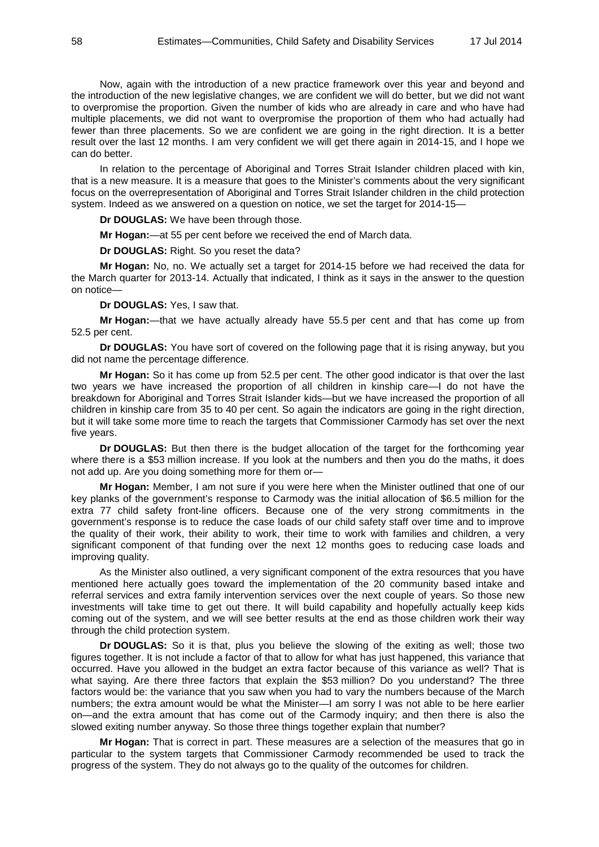Now, again with the introduction of a new practice framework over this year and beyond and the introduction of the new legislative changes, we are confident we will do better, but we did not want to overpromise the proportion. Given the number of kids who are already in care and who have had multiple placements, we did not want to overpromise the proportion of them who had actually had fewer than three placements. So we are confident we are going in the right direction. It is a better result over the last 12 months. I am very confident we will get there again in 2014-15, and I hope we can do better.

In relation to the percentage of Aboriginal and Torres Strait Islander children placed with kin, that is a new measure. It is a measure that goes to the Minister's comments about the very significant focus on the overrepresentation of Aboriginal and Torres Strait Islander children in the child protection system. Indeed as we answered on a question on notice, we set the target for 2014-15—

**Dr DOUGLAS:** We have been through those.

**Mr Hogan:**—at 55 per cent before we received the end of March data.

**Dr DOUGLAS:** Right. So you reset the data?

**Mr Hogan:** No, no. We actually set a target for 2014-15 before we had received the data for the March quarter for 2013-14. Actually that indicated, I think as it says in the answer to the question on notice—

**Dr DOUGLAS:** Yes, I saw that.

**Mr Hogan:**—that we have actually already have 55.5 per cent and that has come up from 52.5 per cent.

**Dr DOUGLAS:** You have sort of covered on the following page that it is rising anyway, but you did not name the percentage difference.

**Mr Hogan:** So it has come up from 52.5 per cent. The other good indicator is that over the last two years we have increased the proportion of all children in kinship care—I do not have the breakdown for Aboriginal and Torres Strait Islander kids—but we have increased the proportion of all children in kinship care from 35 to 40 per cent. So again the indicators are going in the right direction, but it will take some more time to reach the targets that Commissioner Carmody has set over the next five years.

**Dr DOUGLAS:** But then there is the budget allocation of the target for the forthcoming year where there is a \$53 million increase. If you look at the numbers and then you do the maths, it does not add up. Are you doing something more for them or—

**Mr Hogan:** Member, I am not sure if you were here when the Minister outlined that one of our key planks of the government's response to Carmody was the initial allocation of \$6.5 million for the extra 77 child safety front-line officers. Because one of the very strong commitments in the government's response is to reduce the case loads of our child safety staff over time and to improve the quality of their work, their ability to work, their time to work with families and children, a very significant component of that funding over the next 12 months goes to reducing case loads and improving quality.

As the Minister also outlined, a very significant component of the extra resources that you have mentioned here actually goes toward the implementation of the 20 community based intake and referral services and extra family intervention services over the next couple of years. So those new investments will take time to get out there. It will build capability and hopefully actually keep kids coming out of the system, and we will see better results at the end as those children work their way through the child protection system.

**Dr DOUGLAS:** So it is that, plus you believe the slowing of the exiting as well; those two figures together. It is not include a factor of that to allow for what has just happened, this variance that occurred. Have you allowed in the budget an extra factor because of this variance as well? That is what saying. Are there three factors that explain the \$53 million? Do you understand? The three factors would be: the variance that you saw when you had to vary the numbers because of the March numbers; the extra amount would be what the Minister—I am sorry I was not able to be here earlier on—and the extra amount that has come out of the Carmody inquiry; and then there is also the slowed exiting number anyway. So those three things together explain that number?

**Mr Hogan:** That is correct in part. These measures are a selection of the measures that go in particular to the system targets that Commissioner Carmody recommended be used to track the progress of the system. They do not always go to the quality of the outcomes for children.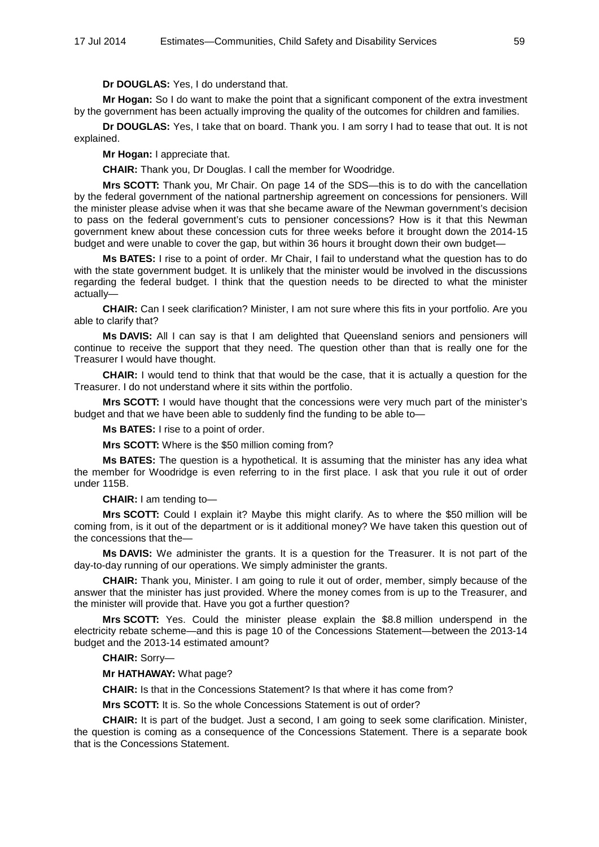**Dr DOUGLAS:** Yes, I do understand that.

**Mr Hogan:** So I do want to make the point that a significant component of the extra investment by the government has been actually improving the quality of the outcomes for children and families.

**Dr DOUGLAS:** Yes, I take that on board. Thank you. I am sorry I had to tease that out. It is not explained.

**Mr Hogan:** I appreciate that.

**CHAIR:** Thank you, Dr Douglas. I call the member for Woodridge.

**Mrs SCOTT:** Thank you, Mr Chair. On page 14 of the SDS—this is to do with the cancellation by the federal government of the national partnership agreement on concessions for pensioners. Will the minister please advise when it was that she became aware of the Newman government's decision to pass on the federal government's cuts to pensioner concessions? How is it that this Newman government knew about these concession cuts for three weeks before it brought down the 2014-15 budget and were unable to cover the gap, but within 36 hours it brought down their own budget—

**Ms BATES:** I rise to a point of order. Mr Chair, I fail to understand what the question has to do with the state government budget. It is unlikely that the minister would be involved in the discussions regarding the federal budget. I think that the question needs to be directed to what the minister actually—

**CHAIR:** Can I seek clarification? Minister, I am not sure where this fits in your portfolio. Are you able to clarify that?

**Ms DAVIS:** All I can say is that I am delighted that Queensland seniors and pensioners will continue to receive the support that they need. The question other than that is really one for the Treasurer I would have thought.

**CHAIR:** I would tend to think that that would be the case, that it is actually a question for the Treasurer. I do not understand where it sits within the portfolio.

**Mrs SCOTT:** I would have thought that the concessions were very much part of the minister's budget and that we have been able to suddenly find the funding to be able to—

**Ms BATES:** I rise to a point of order.

**Mrs SCOTT:** Where is the \$50 million coming from?

**Ms BATES:** The question is a hypothetical. It is assuming that the minister has any idea what the member for Woodridge is even referring to in the first place. I ask that you rule it out of order under 115B.

**CHAIR:** I am tending to—

**Mrs SCOTT:** Could I explain it? Maybe this might clarify. As to where the \$50 million will be coming from, is it out of the department or is it additional money? We have taken this question out of the concessions that the—

**Ms DAVIS:** We administer the grants. It is a question for the Treasurer. It is not part of the day-to-day running of our operations. We simply administer the grants.

**CHAIR:** Thank you, Minister. I am going to rule it out of order, member, simply because of the answer that the minister has just provided. Where the money comes from is up to the Treasurer, and the minister will provide that. Have you got a further question?

**Mrs SCOTT:** Yes. Could the minister please explain the \$8.8 million underspend in the electricity rebate scheme—and this is page 10 of the Concessions Statement—between the 2013-14 budget and the 2013-14 estimated amount?

**CHAIR:** Sorry—

**Mr HATHAWAY:** What page?

**CHAIR:** Is that in the Concessions Statement? Is that where it has come from?

**Mrs SCOTT:** It is. So the whole Concessions Statement is out of order?

**CHAIR:** It is part of the budget. Just a second, I am going to seek some clarification. Minister, the question is coming as a consequence of the Concessions Statement. There is a separate book that is the Concessions Statement.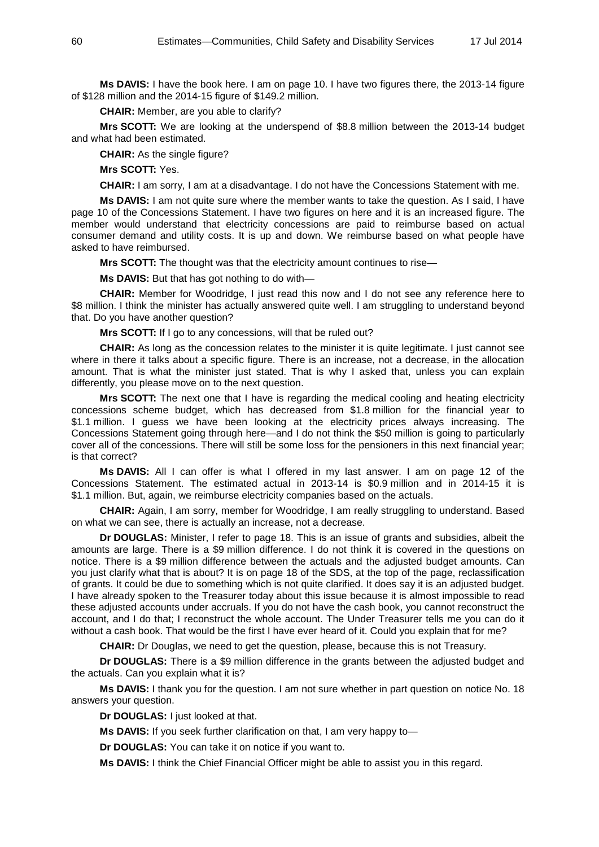**Ms DAVIS:** I have the book here. I am on page 10. I have two figures there, the 2013-14 figure of \$128 million and the 2014-15 figure of \$149.2 million.

**CHAIR:** Member, are you able to clarify?

**Mrs SCOTT:** We are looking at the underspend of \$8.8 million between the 2013-14 budget and what had been estimated.

**CHAIR:** As the single figure?

**Mrs SCOTT:** Yes.

**CHAIR:** I am sorry, I am at a disadvantage. I do not have the Concessions Statement with me.

**Ms DAVIS:** I am not quite sure where the member wants to take the question. As I said, I have page 10 of the Concessions Statement. I have two figures on here and it is an increased figure. The member would understand that electricity concessions are paid to reimburse based on actual consumer demand and utility costs. It is up and down. We reimburse based on what people have asked to have reimbursed.

**Mrs SCOTT:** The thought was that the electricity amount continues to rise—

**Ms DAVIS:** But that has got nothing to do with—

**CHAIR:** Member for Woodridge, I just read this now and I do not see any reference here to \$8 million. I think the minister has actually answered quite well. I am struggling to understand beyond that. Do you have another question?

**Mrs SCOTT:** If I go to any concessions, will that be ruled out?

**CHAIR:** As long as the concession relates to the minister it is quite legitimate. I just cannot see where in there it talks about a specific figure. There is an increase, not a decrease, in the allocation amount. That is what the minister just stated. That is why I asked that, unless you can explain differently, you please move on to the next question.

**Mrs SCOTT:** The next one that I have is regarding the medical cooling and heating electricity concessions scheme budget, which has decreased from \$1.8 million for the financial year to \$1.1 million. I guess we have been looking at the electricity prices always increasing. The Concessions Statement going through here—and I do not think the \$50 million is going to particularly cover all of the concessions. There will still be some loss for the pensioners in this next financial year; is that correct?

**Ms DAVIS:** All I can offer is what I offered in my last answer. I am on page 12 of the Concessions Statement. The estimated actual in 2013-14 is \$0.9 million and in 2014-15 it is \$1.1 million. But, again, we reimburse electricity companies based on the actuals.

**CHAIR:** Again, I am sorry, member for Woodridge, I am really struggling to understand. Based on what we can see, there is actually an increase, not a decrease.

**Dr DOUGLAS:** Minister, I refer to page 18. This is an issue of grants and subsidies, albeit the amounts are large. There is a \$9 million difference. I do not think it is covered in the questions on notice. There is a \$9 million difference between the actuals and the adjusted budget amounts. Can you just clarify what that is about? It is on page 18 of the SDS, at the top of the page, reclassification of grants. It could be due to something which is not quite clarified. It does say it is an adjusted budget. I have already spoken to the Treasurer today about this issue because it is almost impossible to read these adjusted accounts under accruals. If you do not have the cash book, you cannot reconstruct the account, and I do that; I reconstruct the whole account. The Under Treasurer tells me you can do it without a cash book. That would be the first I have ever heard of it. Could you explain that for me?

**CHAIR:** Dr Douglas, we need to get the question, please, because this is not Treasury.

**Dr DOUGLAS:** There is a \$9 million difference in the grants between the adjusted budget and the actuals. Can you explain what it is?

**Ms DAVIS:** I thank you for the question. I am not sure whether in part question on notice No. 18 answers your question.

**Dr DOUGLAS:** I just looked at that.

**Ms DAVIS:** If you seek further clarification on that, I am very happy to—

**Dr DOUGLAS:** You can take it on notice if you want to.

**Ms DAVIS:** I think the Chief Financial Officer might be able to assist you in this regard.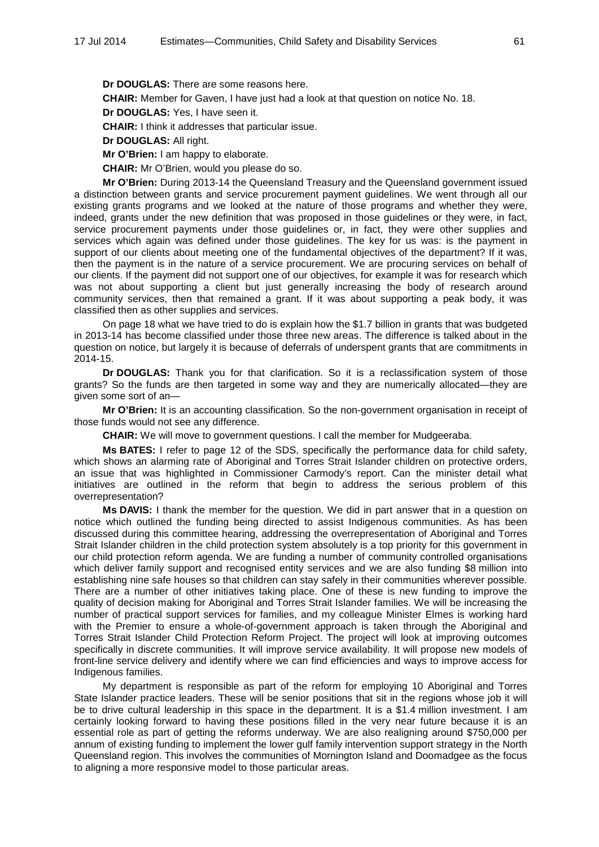**Dr DOUGLAS:** There are some reasons here.

**CHAIR:** Member for Gaven, I have just had a look at that question on notice No. 18.

**Dr DOUGLAS:** Yes, I have seen it.

**CHAIR:** I think it addresses that particular issue.

**Dr DOUGLAS:** All right.

**Mr O'Brien:** I am happy to elaborate.

**CHAIR:** Mr O'Brien, would you please do so.

**Mr O'Brien:** During 2013-14 the Queensland Treasury and the Queensland government issued a distinction between grants and service procurement payment guidelines. We went through all our existing grants programs and we looked at the nature of those programs and whether they were. indeed, grants under the new definition that was proposed in those guidelines or they were, in fact, service procurement payments under those guidelines or, in fact, they were other supplies and services which again was defined under those guidelines. The key for us was: is the payment in support of our clients about meeting one of the fundamental objectives of the department? If it was, then the payment is in the nature of a service procurement. We are procuring services on behalf of our clients. If the payment did not support one of our objectives, for example it was for research which was not about supporting a client but just generally increasing the body of research around community services, then that remained a grant. If it was about supporting a peak body, it was classified then as other supplies and services.

On page 18 what we have tried to do is explain how the \$1.7 billion in grants that was budgeted in 2013-14 has become classified under those three new areas. The difference is talked about in the question on notice, but largely it is because of deferrals of underspent grants that are commitments in 2014-15.

**Dr DOUGLAS:** Thank you for that clarification. So it is a reclassification system of those grants? So the funds are then targeted in some way and they are numerically allocated—they are given some sort of an—

**Mr O'Brien:** It is an accounting classification. So the non-government organisation in receipt of those funds would not see any difference.

**CHAIR:** We will move to government questions. I call the member for Mudgeeraba.

**Ms BATES:** I refer to page 12 of the SDS, specifically the performance data for child safety, which shows an alarming rate of Aboriginal and Torres Strait Islander children on protective orders, an issue that was highlighted in Commissioner Carmody's report. Can the minister detail what initiatives are outlined in the reform that begin to address the serious problem of this overrepresentation?

**Ms DAVIS:** I thank the member for the question. We did in part answer that in a question on notice which outlined the funding being directed to assist Indigenous communities. As has been discussed during this committee hearing, addressing the overrepresentation of Aboriginal and Torres Strait Islander children in the child protection system absolutely is a top priority for this government in our child protection reform agenda. We are funding a number of community controlled organisations which deliver family support and recognised entity services and we are also funding \$8 million into establishing nine safe houses so that children can stay safely in their communities wherever possible. There are a number of other initiatives taking place. One of these is new funding to improve the quality of decision making for Aboriginal and Torres Strait Islander families. We will be increasing the number of practical support services for families, and my colleague Minister Elmes is working hard with the Premier to ensure a whole-of-government approach is taken through the Aboriginal and Torres Strait Islander Child Protection Reform Project. The project will look at improving outcomes specifically in discrete communities. It will improve service availability. It will propose new models of front-line service delivery and identify where we can find efficiencies and ways to improve access for Indigenous families.

My department is responsible as part of the reform for employing 10 Aboriginal and Torres State Islander practice leaders. These will be senior positions that sit in the regions whose job it will be to drive cultural leadership in this space in the department. It is a \$1.4 million investment. I am certainly looking forward to having these positions filled in the very near future because it is an essential role as part of getting the reforms underway. We are also realigning around \$750,000 per annum of existing funding to implement the lower gulf family intervention support strategy in the North Queensland region. This involves the communities of Mornington Island and Doomadgee as the focus to aligning a more responsive model to those particular areas.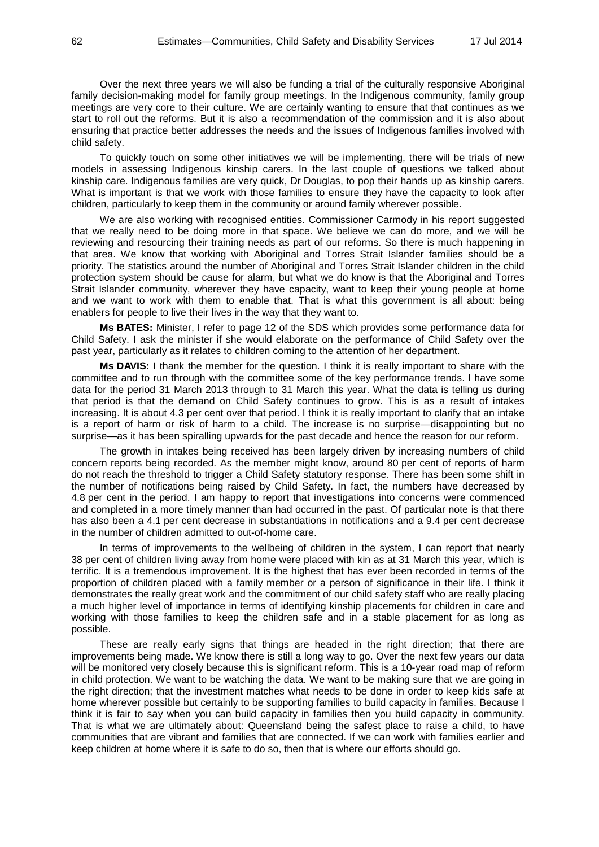Over the next three years we will also be funding a trial of the culturally responsive Aboriginal family decision-making model for family group meetings. In the Indigenous community, family group meetings are very core to their culture. We are certainly wanting to ensure that that continues as we start to roll out the reforms. But it is also a recommendation of the commission and it is also about ensuring that practice better addresses the needs and the issues of Indigenous families involved with child safety.

To quickly touch on some other initiatives we will be implementing, there will be trials of new models in assessing Indigenous kinship carers. In the last couple of questions we talked about kinship care. Indigenous families are very quick, Dr Douglas, to pop their hands up as kinship carers. What is important is that we work with those families to ensure they have the capacity to look after children, particularly to keep them in the community or around family wherever possible.

We are also working with recognised entities. Commissioner Carmody in his report suggested that we really need to be doing more in that space. We believe we can do more, and we will be reviewing and resourcing their training needs as part of our reforms. So there is much happening in that area. We know that working with Aboriginal and Torres Strait Islander families should be a priority. The statistics around the number of Aboriginal and Torres Strait Islander children in the child protection system should be cause for alarm, but what we do know is that the Aboriginal and Torres Strait Islander community, wherever they have capacity, want to keep their young people at home and we want to work with them to enable that. That is what this government is all about: being enablers for people to live their lives in the way that they want to.

**Ms BATES:** Minister, I refer to page 12 of the SDS which provides some performance data for Child Safety. I ask the minister if she would elaborate on the performance of Child Safety over the past year, particularly as it relates to children coming to the attention of her department.

**Ms DAVIS:** I thank the member for the question. I think it is really important to share with the committee and to run through with the committee some of the key performance trends. I have some data for the period 31 March 2013 through to 31 March this year. What the data is telling us during that period is that the demand on Child Safety continues to grow. This is as a result of intakes increasing. It is about 4.3 per cent over that period. I think it is really important to clarify that an intake is a report of harm or risk of harm to a child. The increase is no surprise—disappointing but no surprise—as it has been spiralling upwards for the past decade and hence the reason for our reform.

The growth in intakes being received has been largely driven by increasing numbers of child concern reports being recorded. As the member might know, around 80 per cent of reports of harm do not reach the threshold to trigger a Child Safety statutory response. There has been some shift in the number of notifications being raised by Child Safety. In fact, the numbers have decreased by 4.8 per cent in the period. I am happy to report that investigations into concerns were commenced and completed in a more timely manner than had occurred in the past. Of particular note is that there has also been a 4.1 per cent decrease in substantiations in notifications and a 9.4 per cent decrease in the number of children admitted to out-of-home care.

In terms of improvements to the wellbeing of children in the system, I can report that nearly 38 per cent of children living away from home were placed with kin as at 31 March this year, which is terrific. It is a tremendous improvement. It is the highest that has ever been recorded in terms of the proportion of children placed with a family member or a person of significance in their life. I think it demonstrates the really great work and the commitment of our child safety staff who are really placing a much higher level of importance in terms of identifying kinship placements for children in care and working with those families to keep the children safe and in a stable placement for as long as possible.

These are really early signs that things are headed in the right direction; that there are improvements being made. We know there is still a long way to go. Over the next few years our data will be monitored very closely because this is significant reform. This is a 10-year road map of reform in child protection. We want to be watching the data. We want to be making sure that we are going in the right direction; that the investment matches what needs to be done in order to keep kids safe at home wherever possible but certainly to be supporting families to build capacity in families. Because I think it is fair to say when you can build capacity in families then you build capacity in community. That is what we are ultimately about: Queensland being the safest place to raise a child, to have communities that are vibrant and families that are connected. If we can work with families earlier and keep children at home where it is safe to do so, then that is where our efforts should go.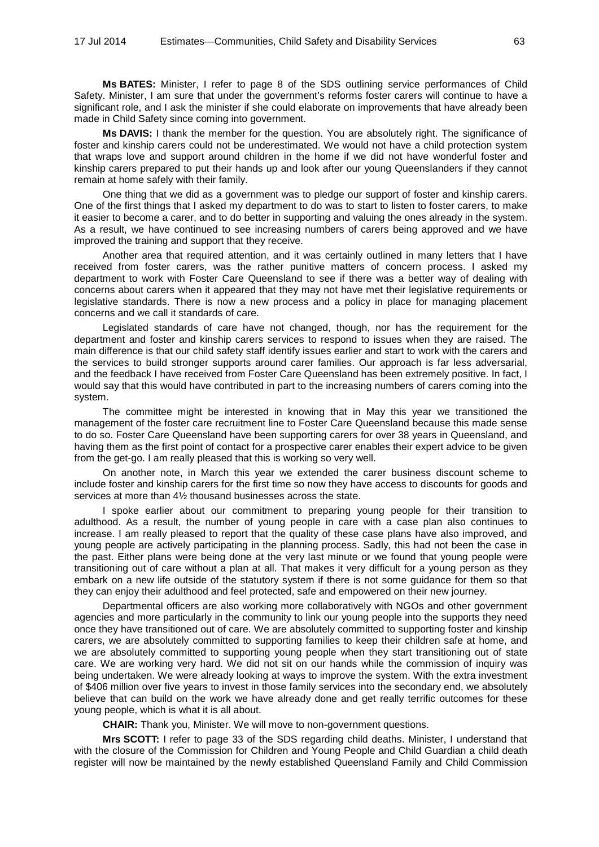**Ms BATES:** Minister, I refer to page 8 of the SDS outlining service performances of Child Safety. Minister, I am sure that under the government's reforms foster carers will continue to have a significant role, and I ask the minister if she could elaborate on improvements that have already been made in Child Safety since coming into government.

**Ms DAVIS:** I thank the member for the question. You are absolutely right. The significance of foster and kinship carers could not be underestimated. We would not have a child protection system that wraps love and support around children in the home if we did not have wonderful foster and kinship carers prepared to put their hands up and look after our young Queenslanders if they cannot remain at home safely with their family.

One thing that we did as a government was to pledge our support of foster and kinship carers. One of the first things that I asked my department to do was to start to listen to foster carers, to make it easier to become a carer, and to do better in supporting and valuing the ones already in the system. As a result, we have continued to see increasing numbers of carers being approved and we have improved the training and support that they receive.

Another area that required attention, and it was certainly outlined in many letters that I have received from foster carers, was the rather punitive matters of concern process. I asked my department to work with Foster Care Queensland to see if there was a better way of dealing with concerns about carers when it appeared that they may not have met their legislative requirements or legislative standards. There is now a new process and a policy in place for managing placement concerns and we call it standards of care.

Legislated standards of care have not changed, though, nor has the requirement for the department and foster and kinship carers services to respond to issues when they are raised. The main difference is that our child safety staff identify issues earlier and start to work with the carers and the services to build stronger supports around carer families. Our approach is far less adversarial, and the feedback I have received from Foster Care Queensland has been extremely positive. In fact, I would say that this would have contributed in part to the increasing numbers of carers coming into the system.

The committee might be interested in knowing that in May this year we transitioned the management of the foster care recruitment line to Foster Care Queensland because this made sense to do so. Foster Care Queensland have been supporting carers for over 38 years in Queensland, and having them as the first point of contact for a prospective carer enables their expert advice to be given from the get-go. I am really pleased that this is working so very well.

On another note, in March this year we extended the carer business discount scheme to include foster and kinship carers for the first time so now they have access to discounts for goods and services at more than 4½ thousand businesses across the state.

I spoke earlier about our commitment to preparing young people for their transition to adulthood. As a result, the number of young people in care with a case plan also continues to increase. I am really pleased to report that the quality of these case plans have also improved, and young people are actively participating in the planning process. Sadly, this had not been the case in the past. Either plans were being done at the very last minute or we found that young people were transitioning out of care without a plan at all. That makes it very difficult for a young person as they embark on a new life outside of the statutory system if there is not some guidance for them so that they can enjoy their adulthood and feel protected, safe and empowered on their new journey.

Departmental officers are also working more collaboratively with NGOs and other government agencies and more particularly in the community to link our young people into the supports they need once they have transitioned out of care. We are absolutely committed to supporting foster and kinship carers, we are absolutely committed to supporting families to keep their children safe at home, and we are absolutely committed to supporting young people when they start transitioning out of state care. We are working very hard. We did not sit on our hands while the commission of inquiry was being undertaken. We were already looking at ways to improve the system. With the extra investment of \$406 million over five years to invest in those family services into the secondary end, we absolutely believe that can build on the work we have already done and get really terrific outcomes for these young people, which is what it is all about.

**CHAIR:** Thank you, Minister. We will move to non-government questions.

**Mrs SCOTT:** I refer to page 33 of the SDS regarding child deaths. Minister, I understand that with the closure of the Commission for Children and Young People and Child Guardian a child death register will now be maintained by the newly established Queensland Family and Child Commission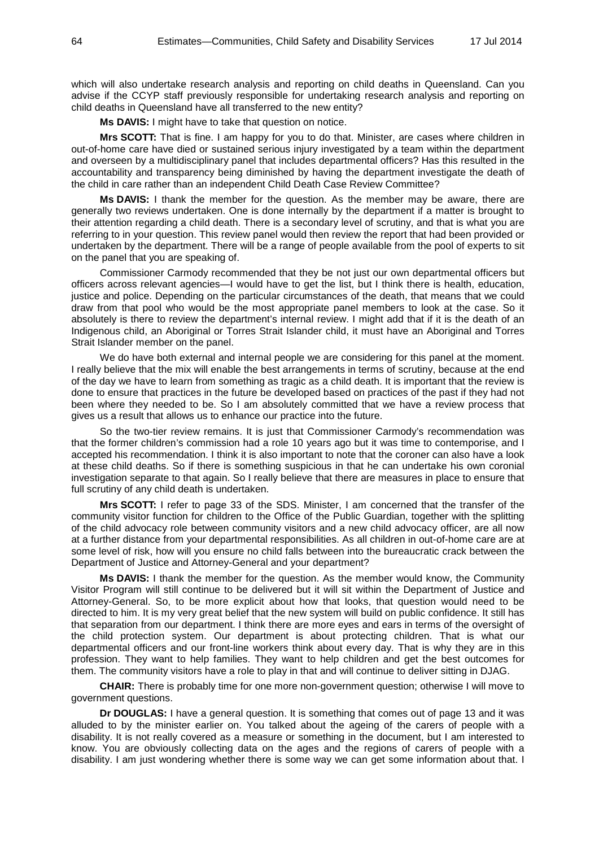which will also undertake research analysis and reporting on child deaths in Queensland. Can you advise if the CCYP staff previously responsible for undertaking research analysis and reporting on child deaths in Queensland have all transferred to the new entity?

**Ms DAVIS:** I might have to take that question on notice.

**Mrs SCOTT:** That is fine. I am happy for you to do that. Minister, are cases where children in out-of-home care have died or sustained serious injury investigated by a team within the department and overseen by a multidisciplinary panel that includes departmental officers? Has this resulted in the accountability and transparency being diminished by having the department investigate the death of the child in care rather than an independent Child Death Case Review Committee?

**Ms DAVIS:** I thank the member for the question. As the member may be aware, there are generally two reviews undertaken. One is done internally by the department if a matter is brought to their attention regarding a child death. There is a secondary level of scrutiny, and that is what you are referring to in your question. This review panel would then review the report that had been provided or undertaken by the department. There will be a range of people available from the pool of experts to sit on the panel that you are speaking of.

Commissioner Carmody recommended that they be not just our own departmental officers but officers across relevant agencies—I would have to get the list, but I think there is health, education, justice and police. Depending on the particular circumstances of the death, that means that we could draw from that pool who would be the most appropriate panel members to look at the case. So it absolutely is there to review the department's internal review. I might add that if it is the death of an Indigenous child, an Aboriginal or Torres Strait Islander child, it must have an Aboriginal and Torres Strait Islander member on the panel.

We do have both external and internal people we are considering for this panel at the moment. I really believe that the mix will enable the best arrangements in terms of scrutiny, because at the end of the day we have to learn from something as tragic as a child death. It is important that the review is done to ensure that practices in the future be developed based on practices of the past if they had not been where they needed to be. So I am absolutely committed that we have a review process that gives us a result that allows us to enhance our practice into the future.

So the two-tier review remains. It is just that Commissioner Carmody's recommendation was that the former children's commission had a role 10 years ago but it was time to contemporise, and I accepted his recommendation. I think it is also important to note that the coroner can also have a look at these child deaths. So if there is something suspicious in that he can undertake his own coronial investigation separate to that again. So I really believe that there are measures in place to ensure that full scrutiny of any child death is undertaken.

**Mrs SCOTT:** I refer to page 33 of the SDS. Minister, I am concerned that the transfer of the community visitor function for children to the Office of the Public Guardian, together with the splitting of the child advocacy role between community visitors and a new child advocacy officer, are all now at a further distance from your departmental responsibilities. As all children in out-of-home care are at some level of risk, how will you ensure no child falls between into the bureaucratic crack between the Department of Justice and Attorney-General and your department?

**Ms DAVIS:** I thank the member for the question. As the member would know, the Community Visitor Program will still continue to be delivered but it will sit within the Department of Justice and Attorney-General. So, to be more explicit about how that looks, that question would need to be directed to him. It is my very great belief that the new system will build on public confidence. It still has that separation from our department. I think there are more eyes and ears in terms of the oversight of the child protection system. Our department is about protecting children. That is what our departmental officers and our front-line workers think about every day. That is why they are in this profession. They want to help families. They want to help children and get the best outcomes for them. The community visitors have a role to play in that and will continue to deliver sitting in DJAG.

**CHAIR:** There is probably time for one more non-government question; otherwise I will move to government questions.

**Dr DOUGLAS:** I have a general question. It is something that comes out of page 13 and it was alluded to by the minister earlier on. You talked about the ageing of the carers of people with a disability. It is not really covered as a measure or something in the document, but I am interested to know. You are obviously collecting data on the ages and the regions of carers of people with a disability. I am just wondering whether there is some way we can get some information about that. I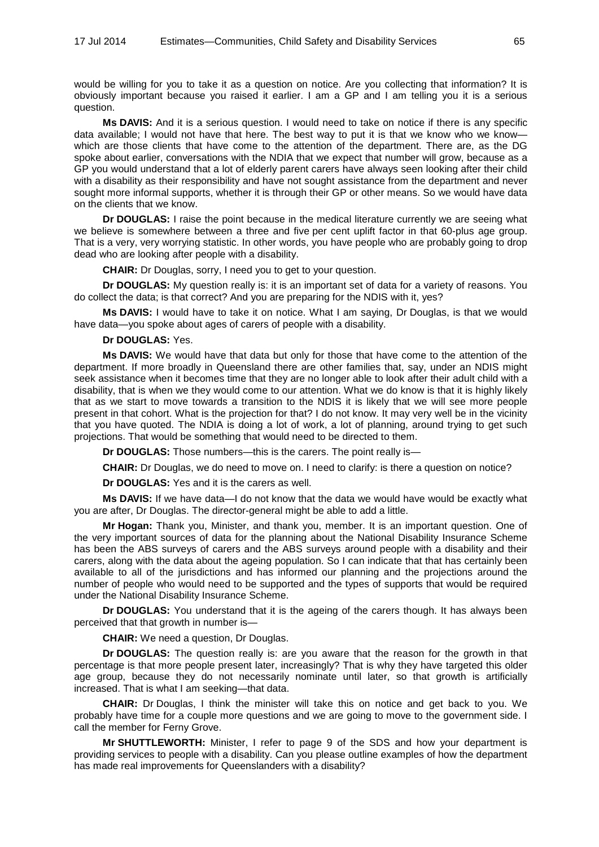would be willing for you to take it as a question on notice. Are you collecting that information? It is obviously important because you raised it earlier. I am a GP and I am telling you it is a serious question.

**Ms DAVIS:** And it is a serious question. I would need to take on notice if there is any specific data available; I would not have that here. The best way to put it is that we know who we know which are those clients that have come to the attention of the department. There are, as the DG spoke about earlier, conversations with the NDIA that we expect that number will grow, because as a GP you would understand that a lot of elderly parent carers have always seen looking after their child with a disability as their responsibility and have not sought assistance from the department and never sought more informal supports, whether it is through their GP or other means. So we would have data on the clients that we know.

**Dr DOUGLAS:** I raise the point because in the medical literature currently we are seeing what we believe is somewhere between a three and five per cent uplift factor in that 60-plus age group. That is a very, very worrying statistic. In other words, you have people who are probably going to drop dead who are looking after people with a disability.

**CHAIR:** Dr Douglas, sorry, I need you to get to your question.

**Dr DOUGLAS:** My question really is: it is an important set of data for a variety of reasons. You do collect the data; is that correct? And you are preparing for the NDIS with it, yes?

**Ms DAVIS:** I would have to take it on notice. What I am saying, Dr Douglas, is that we would have data—you spoke about ages of carers of people with a disability.

#### **Dr DOUGLAS:** Yes.

**Ms DAVIS:** We would have that data but only for those that have come to the attention of the department. If more broadly in Queensland there are other families that, say, under an NDIS might seek assistance when it becomes time that they are no longer able to look after their adult child with a disability, that is when we they would come to our attention. What we do know is that it is highly likely that as we start to move towards a transition to the NDIS it is likely that we will see more people present in that cohort. What is the projection for that? I do not know. It may very well be in the vicinity that you have quoted. The NDIA is doing a lot of work, a lot of planning, around trying to get such projections. That would be something that would need to be directed to them.

**Dr DOUGLAS:** Those numbers—this is the carers. The point really is—

**CHAIR:** Dr Douglas, we do need to move on. I need to clarify: is there a question on notice?

**Dr DOUGLAS:** Yes and it is the carers as well.

**Ms DAVIS:** If we have data—I do not know that the data we would have would be exactly what you are after, Dr Douglas. The director-general might be able to add a little.

**Mr Hogan:** Thank you, Minister, and thank you, member. It is an important question. One of the very important sources of data for the planning about the National Disability Insurance Scheme has been the ABS surveys of carers and the ABS surveys around people with a disability and their carers, along with the data about the ageing population. So I can indicate that that has certainly been available to all of the jurisdictions and has informed our planning and the projections around the number of people who would need to be supported and the types of supports that would be required under the National Disability Insurance Scheme.

**Dr DOUGLAS:** You understand that it is the ageing of the carers though. It has always been perceived that that growth in number is—

**CHAIR:** We need a question, Dr Douglas.

**Dr DOUGLAS:** The question really is: are you aware that the reason for the growth in that percentage is that more people present later, increasingly? That is why they have targeted this older age group, because they do not necessarily nominate until later, so that growth is artificially increased. That is what I am seeking—that data.

**CHAIR:** Dr Douglas, I think the minister will take this on notice and get back to you. We probably have time for a couple more questions and we are going to move to the government side. I call the member for Ferny Grove.

**Mr SHUTTLEWORTH:** Minister, I refer to page 9 of the SDS and how your department is providing services to people with a disability. Can you please outline examples of how the department has made real improvements for Queenslanders with a disability?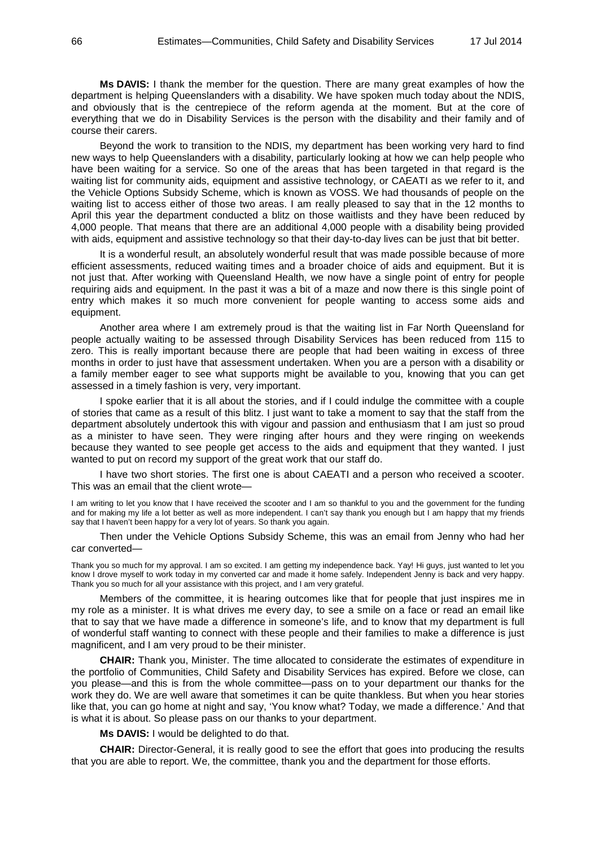**Ms DAVIS:** I thank the member for the question. There are many great examples of how the department is helping Queenslanders with a disability. We have spoken much today about the NDIS, and obviously that is the centrepiece of the reform agenda at the moment. But at the core of everything that we do in Disability Services is the person with the disability and their family and of course their carers.

Beyond the work to transition to the NDIS, my department has been working very hard to find new ways to help Queenslanders with a disability, particularly looking at how we can help people who have been waiting for a service. So one of the areas that has been targeted in that regard is the waiting list for community aids, equipment and assistive technology, or CAEATI as we refer to it, and the Vehicle Options Subsidy Scheme, which is known as VOSS. We had thousands of people on the waiting list to access either of those two areas. I am really pleased to say that in the 12 months to April this year the department conducted a blitz on those waitlists and they have been reduced by 4,000 people. That means that there are an additional 4,000 people with a disability being provided with aids, equipment and assistive technology so that their day-to-day lives can be just that bit better.

It is a wonderful result, an absolutely wonderful result that was made possible because of more efficient assessments, reduced waiting times and a broader choice of aids and equipment. But it is not just that. After working with Queensland Health, we now have a single point of entry for people requiring aids and equipment. In the past it was a bit of a maze and now there is this single point of entry which makes it so much more convenient for people wanting to access some aids and equipment.

Another area where I am extremely proud is that the waiting list in Far North Queensland for people actually waiting to be assessed through Disability Services has been reduced from 115 to zero. This is really important because there are people that had been waiting in excess of three months in order to just have that assessment undertaken. When you are a person with a disability or a family member eager to see what supports might be available to you, knowing that you can get assessed in a timely fashion is very, very important.

I spoke earlier that it is all about the stories, and if I could indulge the committee with a couple of stories that came as a result of this blitz. I just want to take a moment to say that the staff from the department absolutely undertook this with vigour and passion and enthusiasm that I am just so proud as a minister to have seen. They were ringing after hours and they were ringing on weekends because they wanted to see people get access to the aids and equipment that they wanted. I just wanted to put on record my support of the great work that our staff do.

I have two short stories. The first one is about CAEATI and a person who received a scooter. This was an email that the client wrote—

I am writing to let you know that I have received the scooter and I am so thankful to you and the government for the funding and for making my life a lot better as well as more independent. I can't say thank you enough but I am happy that my friends say that I haven't been happy for a very lot of years. So thank you again.

Then under the Vehicle Options Subsidy Scheme, this was an email from Jenny who had her car converted—

Thank you so much for my approval. I am so excited. I am getting my independence back. Yay! Hi guys, just wanted to let you know I drove myself to work today in my converted car and made it home safely. Independent Jenny is back and very happy. Thank you so much for all your assistance with this project, and I am very grateful.

Members of the committee, it is hearing outcomes like that for people that just inspires me in my role as a minister. It is what drives me every day, to see a smile on a face or read an email like that to say that we have made a difference in someone's life, and to know that my department is full of wonderful staff wanting to connect with these people and their families to make a difference is just magnificent, and I am very proud to be their minister.

**CHAIR:** Thank you, Minister. The time allocated to considerate the estimates of expenditure in the portfolio of Communities, Child Safety and Disability Services has expired. Before we close, can you please—and this is from the whole committee—pass on to your department our thanks for the work they do. We are well aware that sometimes it can be quite thankless. But when you hear stories like that, you can go home at night and say, 'You know what? Today, we made a difference.' And that is what it is about. So please pass on our thanks to your department.

**Ms DAVIS:** I would be delighted to do that.

**CHAIR:** Director-General, it is really good to see the effort that goes into producing the results that you are able to report. We, the committee, thank you and the department for those efforts.